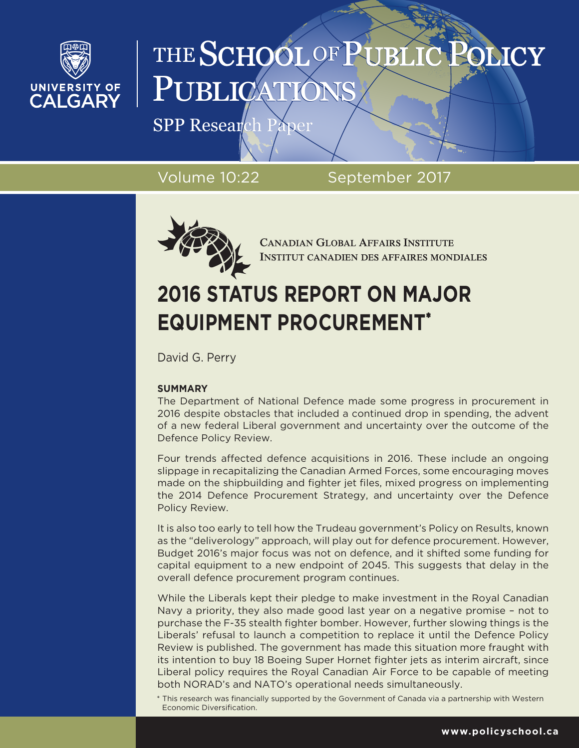

# THE SCHOOL OF PUBLI PUBLICA

SPP Research Paper

Volume 10:22 September 2017



**CANADIAN GLOBAL AFFAIRS INSTITUTE INSTITUT CANADIEN DES AFFAIRES MONDIALES** 

### **2016 STATUS REPORT ON MAJOR EQUIPMENT PROCUREMENT\***

David G. Perry

#### **SUMMARY**

The Department of National Defence made some progress in procurement in 2016 despite obstacles that included a continued drop in spending, the advent of a new federal Liberal government and uncertainty over the outcome of the Defence Policy Review.

Four trends affected defence acquisitions in 2016. These include an ongoing slippage in recapitalizing the Canadian Armed Forces, some encouraging moves made on the shipbuilding and fighter jet files, mixed progress on implementing the 2014 Defence Procurement Strategy, and uncertainty over the Defence Policy Review.

It is also too early to tell how the Trudeau government's Policy on Results, known as the "deliverology" approach, will play out for defence procurement. However, Budget 2016's major focus was not on defence, and it shifted some funding for capital equipment to a new endpoint of 2045. This suggests that delay in the overall defence procurement program continues.

While the Liberals kept their pledge to make investment in the Royal Canadian Navy a priority, they also made good last year on a negative promise – not to purchase the F-35 stealth fighter bomber. However, further slowing things is the Liberals' refusal to launch a competition to replace it until the Defence Policy Review is published. The government has made this situation more fraught with its intention to buy 18 Boeing Super Hornet fighter jets as interim aircraft, since Liberal policy requires the Royal Canadian Air Force to be capable of meeting both NORAD's and NATO's operational needs simultaneously.

\* This research was financially supported by the Government of Canada via a partnership with Western Economic Diversification.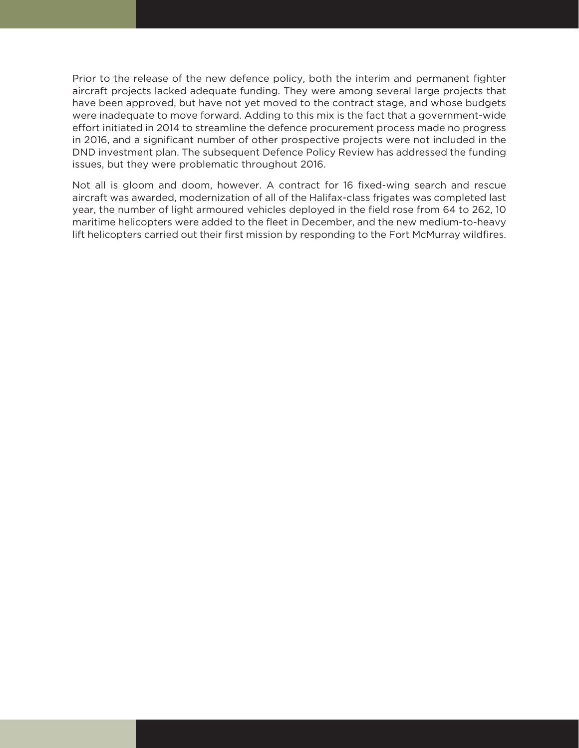Prior to the release of the new defence policy, both the interim and permanent fighter aircraft projects lacked adequate funding. They were among several large projects that have been approved, but have not yet moved to the contract stage, and whose budgets were inadequate to move forward. Adding to this mix is the fact that a government-wide effort initiated in 2014 to streamline the defence procurement process made no progress in 2016, and a significant number of other prospective projects were not included in the DND investment plan. The subsequent Defence Policy Review has addressed the funding issues, but they were problematic throughout 2016.

Not all is gloom and doom, however. A contract for 16 fixed-wing search and rescue aircraft was awarded, modernization of all of the Halifax-class frigates was completed last year, the number of light armoured vehicles deployed in the field rose from 64 to 262, 10 maritime helicopters were added to the fleet in December, and the new medium-to-heavy lift helicopters carried out their first mission by responding to the Fort McMurray wildfires.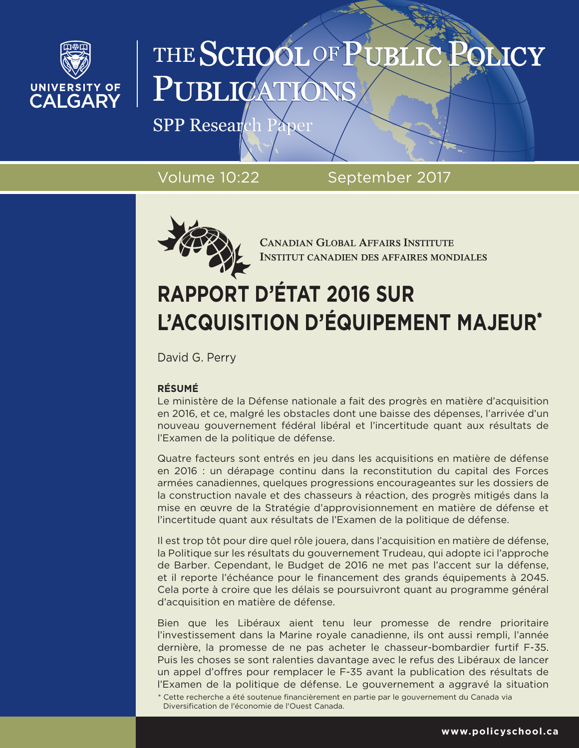

# THE SCHOOL OF PUBLI PUBLICA

SPP Research Paper

Volume 10:22 September 2017



**CANADIAN GLOBAL AFFAIRS INSTITUTE INSTITUT CANADIEN DES AFFAIRES MONDIALES** 

## **RAPPORT D'ÉTAT 2016 SUR L'ACQUISITION D'ÉQUIPEMENT MAJEUR\***

David G. Perry

#### **RÉSUMÉ**

Le ministère de la Défense nationale a fait des progrès en matière d'acquisition en 2016, et ce, malgré les obstacles dont une baisse des dépenses, l'arrivée d'un nouveau gouvernement fédéral libéral et l'incertitude quant aux résultats de l'Examen de la politique de défense.

Quatre facteurs sont entrés en jeu dans les acquisitions en matière de défense en 2016 : un dérapage continu dans la reconstitution du capital des Forces armées canadiennes, quelques progressions encourageantes sur les dossiers de la construction navale et des chasseurs à réaction, des progrès mitigés dans la mise en œuvre de la Stratégie d'approvisionnement en matière de défense et l'incertitude quant aux résultats de l'Examen de la politique de défense.

Il est trop tôt pour dire quel rôle jouera, dans l'acquisition en matière de défense, la Politique sur les résultats du gouvernement Trudeau, qui adopte ici l'approche de Barber. Cependant, le Budget de 2016 ne met pas l'accent sur la défense, et il reporte l'échéance pour le financement des grands équipements à 2045. Cela porte à croire que les délais se poursuivront quant au programme général d'acquisition en matière de défense.

Bien que les Libéraux aient tenu leur promesse de rendre prioritaire l'investissement dans la Marine royale canadienne, ils ont aussi rempli, l'année dernière, la promesse de ne pas acheter le chasseur-bombardier furtif F-35. Puis les choses se sont ralenties davantage avec le refus des Libéraux de lancer un appel d'offres pour remplacer le F-35 avant la publication des résultats de l'Examen de la politique de défense. Le gouvernement a aggravé la situation

<sup>\*</sup> Cette recherche a été soutenue financièrement en partie par le gouvernement du Canada via Diversification de l'économie de l'Ouest Canada.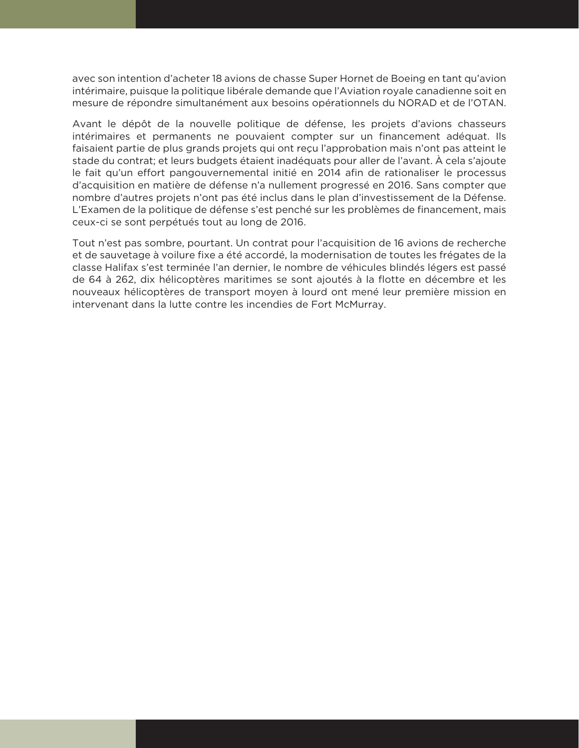avec son intention d'acheter 18 avions de chasse Super Hornet de Boeing en tant qu'avion intérimaire, puisque la politique libérale demande que l'Aviation royale canadienne soit en mesure de répondre simultanément aux besoins opérationnels du NORAD et de l'OTAN.

Avant le dépôt de la nouvelle politique de défense, les projets d'avions chasseurs intérimaires et permanents ne pouvaient compter sur un financement adéquat. Ils faisaient partie de plus grands projets qui ont reçu l'approbation mais n'ont pas atteint le stade du contrat; et leurs budgets étaient inadéquats pour aller de l'avant. À cela s'ajoute le fait qu'un effort pangouvernemental initié en 2014 afin de rationaliser le processus d'acquisition en matière de défense n'a nullement progressé en 2016. Sans compter que nombre d'autres projets n'ont pas été inclus dans le plan d'investissement de la Défense. L'Examen de la politique de défense s'est penché sur les problèmes de financement, mais ceux-ci se sont perpétués tout au long de 2016.

Tout n'est pas sombre, pourtant. Un contrat pour l'acquisition de 16 avions de recherche et de sauvetage à voilure fixe a été accordé, la modernisation de toutes les frégates de la classe Halifax s'est terminée l'an dernier, le nombre de véhicules blindés légers est passé de 64 à 262, dix hélicoptères maritimes se sont ajoutés à la flotte en décembre et les nouveaux hélicoptères de transport moyen à lourd ont mené leur première mission en intervenant dans la lutte contre les incendies de Fort McMurray.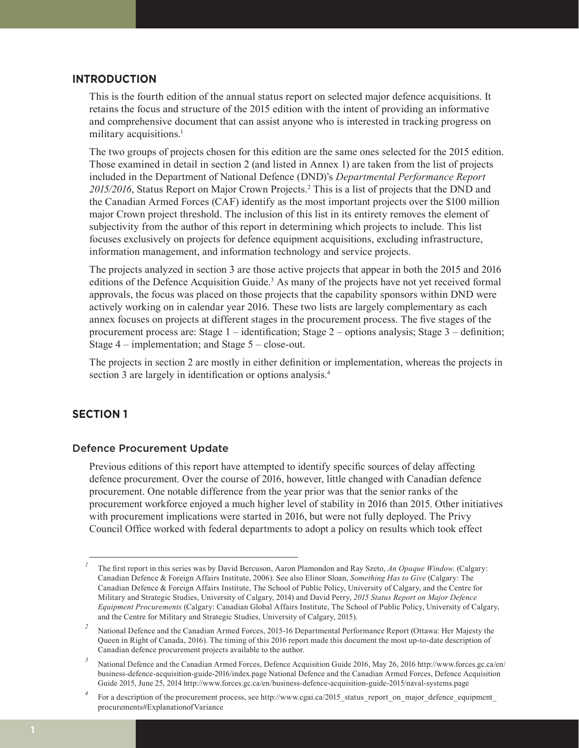#### **INTRODUCTION**

This is the fourth edition of the annual status report on selected major defence acquisitions. It retains the focus and structure of the 2015 edition with the intent of providing an informative and comprehensive document that can assist anyone who is interested in tracking progress on military acquisitions.<sup>1</sup>

The two groups of projects chosen for this edition are the same ones selected for the 2015 edition. Those examined in detail in section 2 (and listed in Annex 1) are taken from the list of projects included in the Department of National Defence (DND)'s *Departmental Performance Report*  2015/2016, Status Report on Major Crown Projects.<sup>2</sup> This is a list of projects that the DND and the Canadian Armed Forces (CAF) identify as the most important projects over the \$100 million major Crown project threshold. The inclusion of this list in its entirety removes the element of subjectivity from the author of this report in determining which projects to include. This list focuses exclusively on projects for defence equipment acquisitions, excluding infrastructure, information management, and information technology and service projects.

The projects analyzed in section 3 are those active projects that appear in both the 2015 and 2016 editions of the Defence Acquisition Guide.<sup>3</sup> As many of the projects have not yet received formal approvals, the focus was placed on those projects that the capability sponsors within DND were actively working on in calendar year 2016. These two lists are largely complementary as each annex focuses on projects at different stages in the procurement process. The five stages of the procurement process are: Stage 1 – identification; Stage 2 – options analysis; Stage 3 – definition; Stage 4 – implementation; and Stage 5 – close-out.

The projects in section 2 are mostly in either definition or implementation, whereas the projects in section 3 are largely in identification or options analysis.<sup>4</sup>

#### **SECTION 1**

#### Defence Procurement Update

Previous editions of this report have attempted to identify specific sources of delay affecting defence procurement. Over the course of 2016, however, little changed with Canadian defence procurement. One notable difference from the year prior was that the senior ranks of the procurement workforce enjoyed a much higher level of stability in 2016 than 2015. Other initiatives with procurement implications were started in 2016, but were not fully deployed. The Privy Council Office worked with federal departments to adopt a policy on results which took effect

*<sup>1</sup>* The first report in this series was by David Bercuson, Aaron Plamondon and Ray Szeto, *An Opaque Window*. (Calgary: Canadian Defence & Foreign Affairs Institute, 2006). See also Elinor Sloan, *Something Has to Give* (Calgary: The Canadian Defence & Foreign Affairs Institute, The School of Public Policy, University of Calgary, and the Centre for Military and Strategic Studies, University of Calgary, 2014) and David Perry, *2015 Status Report on Major Defence Equipment Procurements* (Calgary: Canadian Global Affairs Institute, The School of Public Policy, University of Calgary, and the Centre for Military and Strategic Studies, University of Calgary, 2015).

*<sup>2</sup>* National Defence and the Canadian Armed Forces, 2015-16 Departmental Performance Report (Ottawa: Her Majesty the Queen in Right of Canada, 2016). The timing of this 2016 report made this document the most up-to-date description of Canadian defence procurement projects available to the author.

<sup>&</sup>lt;sup>3</sup> National Defence and the Canadian Armed Forces, Defence Acquisition Guide 2016, May 26, 2016 http://www.forces.gc.ca/en/ business-defence-acquisition-guide-2016/index.page National Defence and the Canadian Armed Forces, Defence Acquisition Guide 2015, June 25, 2014 http://www.forces.gc.ca/en/business-defence-acquisition-guide-2015/naval-systems.page

For a description of the procurement process, see http://www.cgai.ca/2015\_status\_report\_on\_major\_defence\_equipment procurements#ExplanationofVariance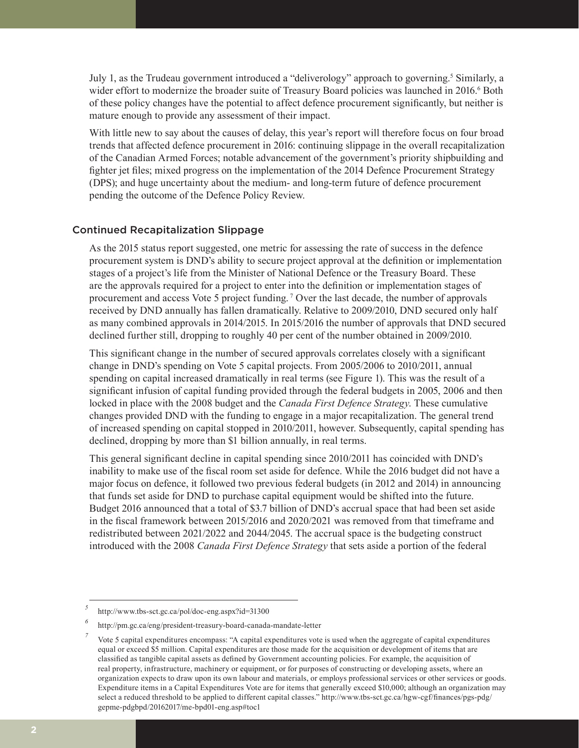July 1, as the Trudeau government introduced a "deliverology" approach to governing.<sup>5</sup> Similarly, a wider effort to modernize the broader suite of Treasury Board policies was launched in 2016.<sup>6</sup> Both of these policy changes have the potential to affect defence procurement significantly, but neither is mature enough to provide any assessment of their impact.

With little new to say about the causes of delay, this year's report will therefore focus on four broad trends that affected defence procurement in 2016: continuing slippage in the overall recapitalization of the Canadian Armed Forces; notable advancement of the government's priority shipbuilding and fighter jet files; mixed progress on the implementation of the 2014 Defence Procurement Strategy (DPS); and huge uncertainty about the medium- and long-term future of defence procurement pending the outcome of the Defence Policy Review.

#### Continued Recapitalization Slippage

As the 2015 status report suggested, one metric for assessing the rate of success in the defence procurement system is DND's ability to secure project approval at the definition or implementation stages of a project's life from the Minister of National Defence or the Treasury Board. These are the approvals required for a project to enter into the definition or implementation stages of procurement and access Vote 5 project funding.<sup>7</sup> Over the last decade, the number of approvals received by DND annually has fallen dramatically. Relative to 2009/2010, DND secured only half as many combined approvals in 2014/2015. In 2015/2016 the number of approvals that DND secured declined further still, dropping to roughly 40 per cent of the number obtained in 2009/2010.

This significant change in the number of secured approvals correlates closely with a significant change in DND's spending on Vote 5 capital projects. From 2005/2006 to 2010/2011, annual spending on capital increased dramatically in real terms (see Figure 1). This was the result of a significant infusion of capital funding provided through the federal budgets in 2005, 2006 and then locked in place with the 2008 budget and the *Canada First Defence Strategy*. These cumulative changes provided DND with the funding to engage in a major recapitalization. The general trend of increased spending on capital stopped in 2010/2011, however. Subsequently, capital spending has declined, dropping by more than \$1 billion annually, in real terms.

This general significant decline in capital spending since 2010/2011 has coincided with DND's inability to make use of the fiscal room set aside for defence. While the 2016 budget did not have a major focus on defence, it followed two previous federal budgets (in 2012 and 2014) in announcing that funds set aside for DND to purchase capital equipment would be shifted into the future. Budget 2016 announced that a total of \$3.7 billion of DND's accrual space that had been set aside in the fiscal framework between 2015/2016 and 2020/2021 was removed from that timeframe and redistributed between 2021/2022 and 2044/2045. The accrual space is the budgeting construct introduced with the 2008 *Canada First Defence Strategy* that sets aside a portion of the federal

*<sup>5</sup>* http://www.tbs-sct.gc.ca/pol/doc-eng.aspx?id=31300

*<sup>6</sup>* http://pm.gc.ca/eng/president-treasury-board-canada-mandate-letter

*<sup>7</sup>* Vote 5 capital expenditures encompass: "A capital expenditures vote is used when the aggregate of capital expenditures equal or exceed \$5 million. Capital expenditures are those made for the acquisition or development of items that are classified as tangible capital assets as defined by Government accounting policies. For example, the acquisition of real property, infrastructure, machinery or equipment, or for purposes of constructing or developing assets, where an organization expects to draw upon its own labour and materials, or employs professional services or other services or goods. Expenditure items in a Capital Expenditures Vote are for items that generally exceed \$10,000; although an organization may select a reduced threshold to be applied to different capital classes." http://www.tbs-sct.gc.ca/hgw-cgf/finances/pgs-pdg/ gepme-pdgbpd/20162017/me-bpd01-eng.asp#toc1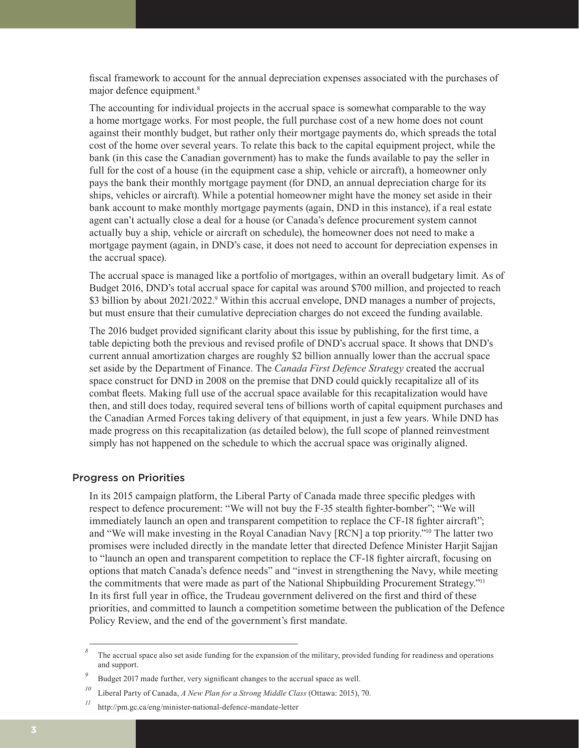fiscal framework to account for the annual depreciation expenses associated with the purchases of major defence equipment.<sup>8</sup>

The accounting for individual projects in the accrual space is somewhat comparable to the way a home mortgage works. For most people, the full purchase cost of a new home does not count against their monthly budget, but rather only their mortgage payments do, which spreads the total cost of the home over several years. To relate this back to the capital equipment project, while the bank (in this case the Canadian government) has to make the funds available to pay the seller in full for the cost of a house (in the equipment case a ship, vehicle or aircraft), a homeowner only pays the bank their monthly mortgage payment (for DND, an annual depreciation charge for its ships, vehicles or aircraft). While a potential homeowner might have the money set aside in their bank account to make monthly mortgage payments (again, DND in this instance), if a real estate agent can't actually close a deal for a house (or Canada's defence procurement system cannot actually buy a ship, vehicle or aircraft on schedule), the homeowner does not need to make a mortgage payment (again, in DND's case, it does not need to account for depreciation expenses in the accrual space).

The accrual space is managed like a portfolio of mortgages, within an overall budgetary limit. As of Budget 2016, DND's total accrual space for capital was around \$700 million, and projected to reach \$3 billion by about 2021/2022.<sup>9</sup> Within this accrual envelope, DND manages a number of projects, but must ensure that their cumulative depreciation charges do not exceed the funding available.

The 2016 budget provided significant clarity about this issue by publishing, for the first time, a table depicting both the previous and revised profile of DND's accrual space. It shows that DND's current annual amortization charges are roughly \$2 billion annually lower than the accrual space set aside by the Department of Finance. The *Canada First Defence Strategy* created the accrual space construct for DND in 2008 on the premise that DND could quickly recapitalize all of its combat fleets. Making full use of the accrual space available for this recapitalization would have then, and still does today, required several tens of billions worth of capital equipment purchases and the Canadian Armed Forces taking delivery of that equipment, in just a few years. While DND has made progress on this recapitalization (as detailed below), the full scope of planned reinvestment simply has not happened on the schedule to which the accrual space was originally aligned.

#### Progress on Priorities

In its 2015 campaign platform, the Liberal Party of Canada made three specific pledges with respect to defence procurement: "We will not buy the F-35 stealth fighter-bomber"; "We will immediately launch an open and transparent competition to replace the CF-18 fighter aircraft"; and "We will make investing in the Royal Canadian Navy [RCN] a top priority."10 The latter two promises were included directly in the mandate letter that directed Defence Minister Harjit Sajjan to "launch an open and transparent competition to replace the CF-18 fighter aircraft, focusing on options that match Canada's defence needs" and "invest in strengthening the Navy, while meeting the commitments that were made as part of the National Shipbuilding Procurement Strategy."11 In its first full year in office, the Trudeau government delivered on the first and third of these priorities, and committed to launch a competition sometime between the publication of the Defence Policy Review, and the end of the government's first mandate.

*<sup>8</sup>* The accrual space also set aside funding for the expansion of the military, provided funding for readiness and operations and support.

*<sup>9</sup>* Budget 2017 made further, very significant changes to the accrual space as well.

*<sup>10</sup>* Liberal Party of Canada, *A New Plan for a Strong Middle Class* (Ottawa: 2015), 70.

*<sup>11</sup>* http://pm.gc.ca/eng/minister-national-defence-mandate-letter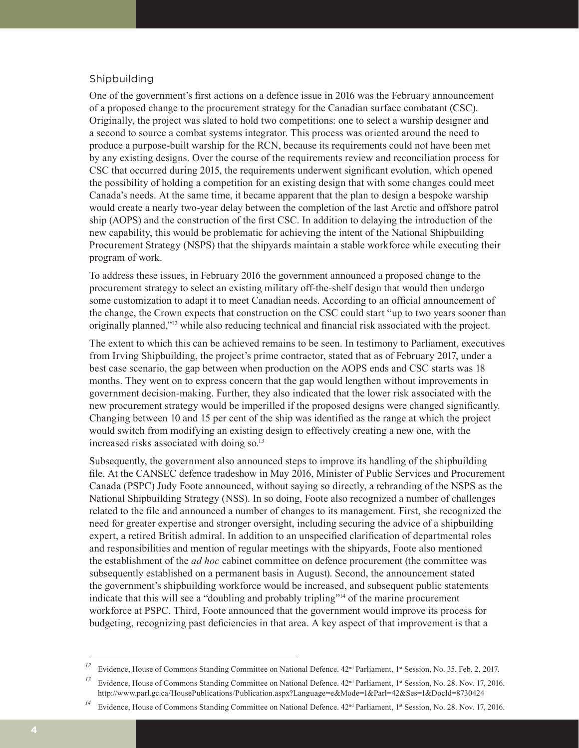#### Shipbuilding

One of the government's first actions on a defence issue in 2016 was the February announcement of a proposed change to the procurement strategy for the Canadian surface combatant (CSC). Originally, the project was slated to hold two competitions: one to select a warship designer and a second to source a combat systems integrator. This process was oriented around the need to produce a purpose-built warship for the RCN, because its requirements could not have been met by any existing designs. Over the course of the requirements review and reconciliation process for CSC that occurred during 2015, the requirements underwent significant evolution, which opened the possibility of holding a competition for an existing design that with some changes could meet Canada's needs. At the same time, it became apparent that the plan to design a bespoke warship would create a nearly two-year delay between the completion of the last Arctic and offshore patrol ship (AOPS) and the construction of the first CSC. In addition to delaying the introduction of the new capability, this would be problematic for achieving the intent of the National Shipbuilding Procurement Strategy (NSPS) that the shipyards maintain a stable workforce while executing their program of work.

To address these issues, in February 2016 the government announced a proposed change to the procurement strategy to select an existing military off-the-shelf design that would then undergo some customization to adapt it to meet Canadian needs. According to an official announcement of the change, the Crown expects that construction on the CSC could start "up to two years sooner than originally planned,"12 while also reducing technical and financial risk associated with the project.

The extent to which this can be achieved remains to be seen. In testimony to Parliament, executives from Irving Shipbuilding, the project's prime contractor, stated that as of February 2017, under a best case scenario, the gap between when production on the AOPS ends and CSC starts was 18 months. They went on to express concern that the gap would lengthen without improvements in government decision-making. Further, they also indicated that the lower risk associated with the new procurement strategy would be imperilled if the proposed designs were changed significantly. Changing between 10 and 15 per cent of the ship was identified as the range at which the project would switch from modifying an existing design to effectively creating a new one, with the increased risks associated with doing so.<sup>13</sup>

Subsequently, the government also announced steps to improve its handling of the shipbuilding file. At the CANSEC defence tradeshow in May 2016, Minister of Public Services and Procurement Canada (PSPC) Judy Foote announced, without saying so directly, a rebranding of the NSPS as the National Shipbuilding Strategy (NSS). In so doing, Foote also recognized a number of challenges related to the file and announced a number of changes to its management. First, she recognized the need for greater expertise and stronger oversight, including securing the advice of a shipbuilding expert, a retired British admiral. In addition to an unspecified clarification of departmental roles and responsibilities and mention of regular meetings with the shipyards, Foote also mentioned the establishment of the *ad hoc* cabinet committee on defence procurement (the committee was subsequently established on a permanent basis in August). Second, the announcement stated the government's shipbuilding workforce would be increased, and subsequent public statements indicate that this will see a "doubling and probably tripling"14 of the marine procurement workforce at PSPC. Third, Foote announced that the government would improve its process for budgeting, recognizing past deficiencies in that area. A key aspect of that improvement is that a

<sup>&</sup>lt;sup>12</sup> Evidence, House of Commons Standing Committee on National Defence. 42<sup>nd</sup> Parliament, 1<sup>st</sup> Session, No. 35. Feb. 2, 2017.

Evidence, House of Commons Standing Committee on National Defence. 42<sup>nd</sup> Parliament, 1<sup>st</sup> Session, No. 28. Nov. 17, 2016. http://www.parl.gc.ca/HousePublications/Publication.aspx?Language=e&Mode=1&Parl=42&Ses=1&DocId=8730424

<sup>&</sup>lt;sup>14</sup> Evidence, House of Commons Standing Committee on National Defence. 42<sup>nd</sup> Parliament, 1<sup>st</sup> Session, No. 28. Nov. 17, 2016.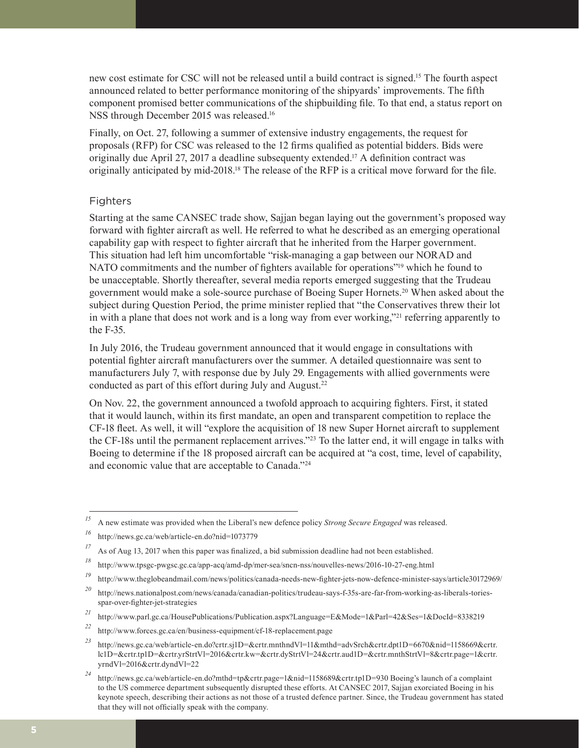new cost estimate for CSC will not be released until a build contract is signed.15 The fourth aspect announced related to better performance monitoring of the shipyards' improvements. The fifth component promised better communications of the shipbuilding file. To that end, a status report on NSS through December 2015 was released.16

Finally, on Oct. 27, following a summer of extensive industry engagements, the request for proposals (RFP) for CSC was released to the 12 firms qualified as potential bidders. Bids were originally due April 27, 2017 a deadline subsequenty extended.17 A definition contract was originally anticipated by mid-2018.<sup>18</sup> The release of the RFP is a critical move forward for the file.

#### Fighters

Starting at the same CANSEC trade show, Sajjan began laying out the government's proposed way forward with fighter aircraft as well. He referred to what he described as an emerging operational capability gap with respect to fighter aircraft that he inherited from the Harper government. This situation had left him uncomfortable "risk-managing a gap between our NORAD and NATO commitments and the number of fighters available for operations"19 which he found to be unacceptable. Shortly thereafter, several media reports emerged suggesting that the Trudeau government would make a sole-source purchase of Boeing Super Hornets.20 When asked about the subject during Question Period, the prime minister replied that "the Conservatives threw their lot in with a plane that does not work and is a long way from ever working,"21 referring apparently to the F-35.

In July 2016, the Trudeau government announced that it would engage in consultations with potential fighter aircraft manufacturers over the summer. A detailed questionnaire was sent to manufacturers July 7, with response due by July 29. Engagements with allied governments were conducted as part of this effort during July and August.<sup>22</sup>

On Nov. 22, the government announced a twofold approach to acquiring fighters. First, it stated that it would launch, within its first mandate, an open and transparent competition to replace the CF-18 fleet. As well, it will "explore the acquisition of 18 new Super Hornet aircraft to supplement the CF-18s until the permanent replacement arrives."23 To the latter end, it will engage in talks with Boeing to determine if the 18 proposed aircraft can be acquired at "a cost, time, level of capability, and economic value that are acceptable to Canada."24

*<sup>15</sup>* A new estimate was provided when the Liberal's new defence policy *Strong Secure Engaged* was released.

*<sup>16</sup>* http://news.gc.ca/web/article-en.do?nid=1073779

<sup>&</sup>lt;sup>17</sup> As of Aug 13, 2017 when this paper was finalized, a bid submission deadline had not been established.

*<sup>18</sup>* http://www.tpsgc-pwgsc.gc.ca/app-acq/amd-dp/mer-sea/sncn-nss/nouvelles-news/2016-10-27-eng.html

*<sup>19</sup>* http://www.theglobeandmail.com/news/politics/canada-needs-new-fighter-jets-now-defence-minister-says/article30172969/

*<sup>20</sup>* http://news.nationalpost.com/news/canada/canadian-politics/trudeau-says-f-35s-are-far-from-working-as-liberals-toriesspar-over-fighter-jet-strategies

*<sup>21</sup>* http://www.parl.gc.ca/HousePublications/Publication.aspx?Language=E&Mode=1&Parl=42&Ses=1&DocId=8338219

*<sup>22</sup>* http://www.forces.gc.ca/en/business-equipment/cf-18-replacement.page

*<sup>23</sup>* http://news.gc.ca/web/article-en.do?crtr.sj1D=&crtr.mnthndVl=11&mthd=advSrch&crtr.dpt1D=6670&nid=1158669&crtr. lc1D=&crtr.tp1D=&crtr.yrStrtVl=2016&crtr.kw=&crtr.dyStrtVl=24&crtr.aud1D=&crtr.mnthStrtVl=8&crtr.page=1&crtr. yrndVl=2016&crtr.dyndVl=22

*<sup>24</sup>* http://news.gc.ca/web/article-en.do?mthd=tp&crtr.page=1&nid=1158689&crtr.tp1D=930 Boeing's launch of a complaint to the US commerce department subsequently disrupted these efforts. At CANSEC 2017, Sajjan exorciated Boeing in his keynote speech, describing their actions as not those of a trusted defence partner. Since, the Trudeau government has stated that they will not officially speak with the company.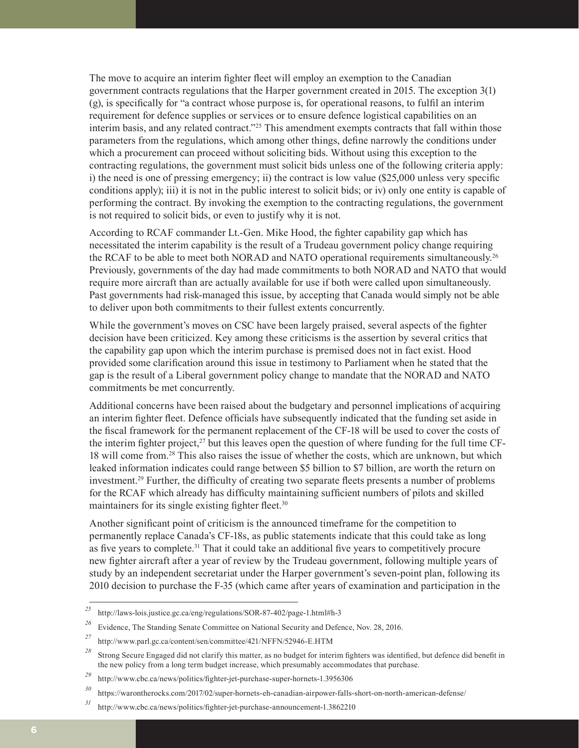The move to acquire an interim fighter fleet will employ an exemption to the Canadian government contracts regulations that the Harper government created in 2015. The exception 3(1) (g), is specifically for "a contract whose purpose is, for operational reasons, to fulfil an interim requirement for defence supplies or services or to ensure defence logistical capabilities on an interim basis, and any related contract."<sup>25</sup> This amendment exempts contracts that fall within those parameters from the regulations, which among other things, define narrowly the conditions under which a procurement can proceed without soliciting bids. Without using this exception to the contracting regulations, the government must solicit bids unless one of the following criteria apply: i) the need is one of pressing emergency; ii) the contract is low value (\$25,000 unless very specific conditions apply); iii) it is not in the public interest to solicit bids; or iv) only one entity is capable of performing the contract. By invoking the exemption to the contracting regulations, the government is not required to solicit bids, or even to justify why it is not.

According to RCAF commander Lt.-Gen. Mike Hood, the fighter capability gap which has necessitated the interim capability is the result of a Trudeau government policy change requiring the RCAF to be able to meet both NORAD and NATO operational requirements simultaneously.<sup>26</sup> Previously, governments of the day had made commitments to both NORAD and NATO that would require more aircraft than are actually available for use if both were called upon simultaneously. Past governments had risk-managed this issue, by accepting that Canada would simply not be able to deliver upon both commitments to their fullest extents concurrently.

While the government's moves on CSC have been largely praised, several aspects of the fighter decision have been criticized. Key among these criticisms is the assertion by several critics that the capability gap upon which the interim purchase is premised does not in fact exist. Hood provided some clarification around this issue in testimony to Parliament when he stated that the gap is the result of a Liberal government policy change to mandate that the NORAD and NATO commitments be met concurrently.

Additional concerns have been raised about the budgetary and personnel implications of acquiring an interim fighter fleet. Defence officials have subsequently indicated that the funding set aside in the fiscal framework for the permanent replacement of the CF-18 will be used to cover the costs of the interim fighter project,<sup>27</sup> but this leaves open the question of where funding for the full time CF-18 will come from.28 This also raises the issue of whether the costs, which are unknown, but which leaked information indicates could range between \$5 billion to \$7 billion, are worth the return on investment.29 Further, the difficulty of creating two separate fleets presents a number of problems for the RCAF which already has difficulty maintaining sufficient numbers of pilots and skilled maintainers for its single existing fighter fleet.<sup>30</sup>

Another significant point of criticism is the announced timeframe for the competition to permanently replace Canada's CF-18s, as public statements indicate that this could take as long as five years to complete.<sup>31</sup> That it could take an additional five years to competitively procure new fighter aircraft after a year of review by the Trudeau government, following multiple years of study by an independent secretariat under the Harper government's seven-point plan, following its 2010 decision to purchase the F-35 (which came after years of examination and participation in the

*<sup>25</sup>* http://laws-lois.justice.gc.ca/eng/regulations/SOR-87-402/page-1.html#h-3

<sup>&</sup>lt;sup>26</sup> Evidence, The Standing Senate Committee on National Security and Defence, Nov. 28, 2016.

*<sup>27</sup>* http://www.parl.gc.ca/content/sen/committee/421/NFFN/52946-E.HTM

*<sup>28</sup>* Strong Secure Engaged did not clarify this matter, as no budget for interim fighters was identified, but defence did benefit in the new policy from a long term budget increase, which presumably accommodates that purchase.

*<sup>29</sup>* http://www.cbc.ca/news/politics/fighter-jet-purchase-super-hornets-1.3956306

*<sup>30</sup>* https://warontherocks.com/2017/02/super-hornets-eh-canadian-airpower-falls-short-on-north-american-defense/

*<sup>31</sup>* http://www.cbc.ca/news/politics/fighter-jet-purchase-announcement-1.3862210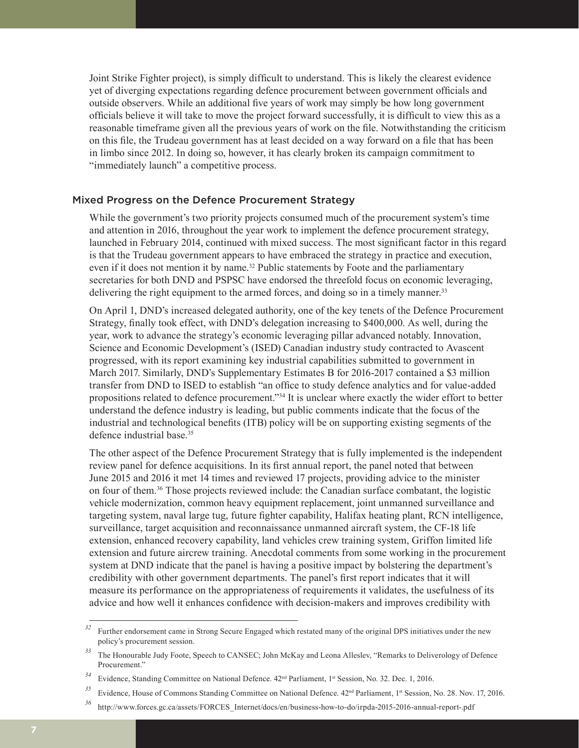Joint Strike Fighter project), is simply difficult to understand. This is likely the clearest evidence yet of diverging expectations regarding defence procurement between government officials and outside observers. While an additional five years of work may simply be how long government officials believe it will take to move the project forward successfully, it is difficult to view this as a reasonable timeframe given all the previous years of work on the file. Notwithstanding the criticism on this file, the Trudeau government has at least decided on a way forward on a file that has been in limbo since 2012. In doing so, however, it has clearly broken its campaign commitment to "immediately launch" a competitive process.

#### Mixed Progress on the Defence Procurement Strategy

While the government's two priority projects consumed much of the procurement system's time and attention in 2016, throughout the year work to implement the defence procurement strategy, launched in February 2014, continued with mixed success. The most significant factor in this regard is that the Trudeau government appears to have embraced the strategy in practice and execution, even if it does not mention it by name.<sup>32</sup> Public statements by Foote and the parliamentary secretaries for both DND and PSPSC have endorsed the threefold focus on economic leveraging, delivering the right equipment to the armed forces, and doing so in a timely manner.<sup>33</sup>

On April 1, DND's increased delegated authority, one of the key tenets of the Defence Procurement Strategy, finally took effect, with DND's delegation increasing to \$400,000. As well, during the year, work to advance the strategy's economic leveraging pillar advanced notably. Innovation, Science and Economic Development's (ISED) Canadian industry study contracted to Avascent progressed, with its report examining key industrial capabilities submitted to government in March 2017. Similarly, DND's Supplementary Estimates B for 2016-2017 contained a \$3 million transfer from DND to ISED to establish "an office to study defence analytics and for value-added propositions related to defence procurement."34 It is unclear where exactly the wider effort to better understand the defence industry is leading, but public comments indicate that the focus of the industrial and technological benefits (ITB) policy will be on supporting existing segments of the defence industrial base.35

The other aspect of the Defence Procurement Strategy that is fully implemented is the independent review panel for defence acquisitions. In its first annual report, the panel noted that between June 2015 and 2016 it met 14 times and reviewed 17 projects, providing advice to the minister on four of them.36 Those projects reviewed include: the Canadian surface combatant, the logistic vehicle modernization, common heavy equipment replacement, joint unmanned surveillance and targeting system, naval large tug, future fighter capability, Halifax heating plant, RCN intelligence, surveillance, target acquisition and reconnaissance unmanned aircraft system, the CF-18 life extension, enhanced recovery capability, land vehicles crew training system, Griffon limited life extension and future aircrew training. Anecdotal comments from some working in the procurement system at DND indicate that the panel is having a positive impact by bolstering the department's credibility with other government departments. The panel's first report indicates that it will measure its performance on the appropriateness of requirements it validates, the usefulness of its advice and how well it enhances confidence with decision-makers and improves credibility with

<sup>&</sup>lt;sup>32</sup> Further endorsement came in Strong Secure Engaged which restated many of the original DPS initiatives under the new policy's procurement session.

*<sup>33</sup>* The Honourable Judy Foote, Speech to CANSEC; John McKay and Leona Alleslev, "Remarks to Deliverology of Defence Procurement."

*<sup>34</sup>* Evidence, Standing Committee on National Defence. 42nd Parliament, 1st Session, No. 32. Dec. 1, 2016.

<sup>&</sup>lt;sup>35</sup> Evidence, House of Commons Standing Committee on National Defence. 42<sup>nd</sup> Parliament, 1<sup>st</sup> Session, No. 28. Nov. 17, 2016.

*<sup>36</sup>* http://www.forces.gc.ca/assets/FORCES\_Internet/docs/en/business-how-to-do/irpda-2015-2016-annual-report-.pdf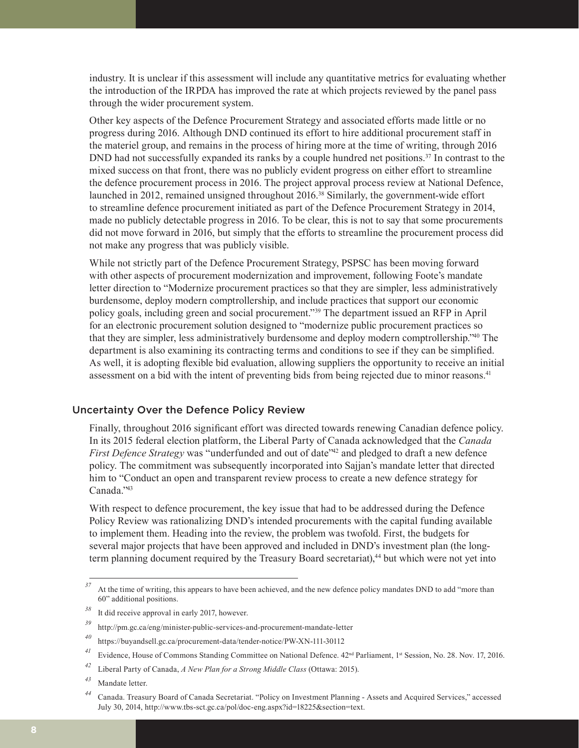industry. It is unclear if this assessment will include any quantitative metrics for evaluating whether the introduction of the IRPDA has improved the rate at which projects reviewed by the panel pass through the wider procurement system.

Other key aspects of the Defence Procurement Strategy and associated efforts made little or no progress during 2016. Although DND continued its effort to hire additional procurement staff in the materiel group, and remains in the process of hiring more at the time of writing, through 2016 DND had not successfully expanded its ranks by a couple hundred net positions.<sup>37</sup> In contrast to the mixed success on that front, there was no publicly evident progress on either effort to streamline the defence procurement process in 2016. The project approval process review at National Defence, launched in 2012, remained unsigned throughout 2016.38 Similarly, the government-wide effort to streamline defence procurement initiated as part of the Defence Procurement Strategy in 2014, made no publicly detectable progress in 2016. To be clear, this is not to say that some procurements did not move forward in 2016, but simply that the efforts to streamline the procurement process did not make any progress that was publicly visible.

While not strictly part of the Defence Procurement Strategy, PSPSC has been moving forward with other aspects of procurement modernization and improvement, following Foote's mandate letter direction to "Modernize procurement practices so that they are simpler, less administratively burdensome, deploy modern comptrollership, and include practices that support our economic policy goals, including green and social procurement."39 The department issued an RFP in April for an electronic procurement solution designed to "modernize public procurement practices so that they are simpler, less administratively burdensome and deploy modern comptrollership."40 The department is also examining its contracting terms and conditions to see if they can be simplified. As well, it is adopting flexible bid evaluation, allowing suppliers the opportunity to receive an initial assessment on a bid with the intent of preventing bids from being rejected due to minor reasons.41

#### Uncertainty Over the Defence Policy Review

Finally, throughout 2016 significant effort was directed towards renewing Canadian defence policy. In its 2015 federal election platform, the Liberal Party of Canada acknowledged that the *Canada First Defence Strategy* was "underfunded and out of date"<sup>42</sup> and pledged to draft a new defence policy. The commitment was subsequently incorporated into Sajjan's mandate letter that directed him to "Conduct an open and transparent review process to create a new defence strategy for Canada."43

With respect to defence procurement, the key issue that had to be addressed during the Defence Policy Review was rationalizing DND's intended procurements with the capital funding available to implement them. Heading into the review, the problem was twofold. First, the budgets for several major projects that have been approved and included in DND's investment plan (the longterm planning document required by the Treasury Board secretariat),<sup>44</sup> but which were not yet into

<sup>&</sup>lt;sup>37</sup> At the time of writing, this appears to have been achieved, and the new defence policy mandates DND to add "more than 60" additional positions.

*<sup>38</sup>* It did receive approval in early 2017, however.

*<sup>39</sup>* http://pm.gc.ca/eng/minister-public-services-and-procurement-mandate-letter

*<sup>40</sup>* https://buyandsell.gc.ca/procurement-data/tender-notice/PW-XN-111-30112

<sup>&</sup>lt;sup>41</sup> Evidence, House of Commons Standing Committee on National Defence. 42<sup>nd</sup> Parliament, 1<sup>st</sup> Session, No. 28. Nov. 17, 2016.

*<sup>42</sup>* Liberal Party of Canada, *A New Plan for a Strong Middle Class* (Ottawa: 2015).

*<sup>43</sup>* Mandate letter.

*<sup>44</sup>* Canada. Treasury Board of Canada Secretariat. "Policy on Investment Planning - Assets and Acquired Services," accessed July 30, 2014, http://www.tbs-sct.gc.ca/pol/doc-eng.aspx?id=18225&section=text.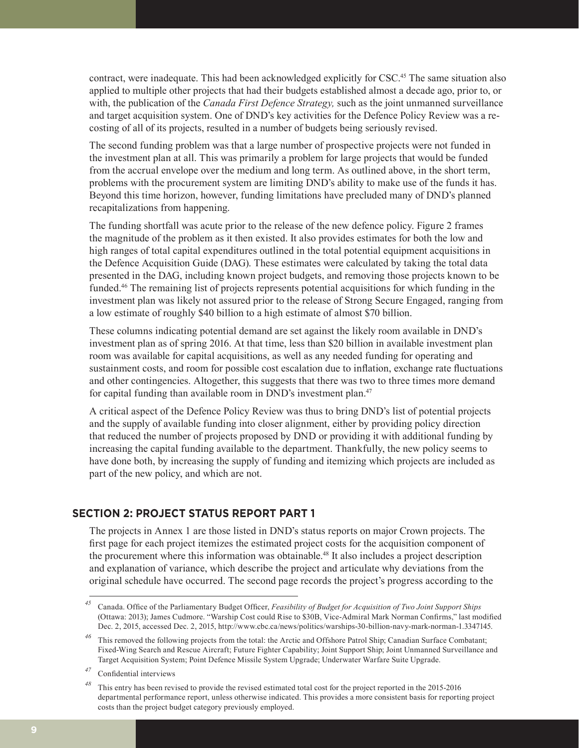contract, were inadequate. This had been acknowledged explicitly for CSC.<sup>45</sup> The same situation also applied to multiple other projects that had their budgets established almost a decade ago, prior to, or with, the publication of the *Canada First Defence Strategy*, such as the joint unmanned surveillance and target acquisition system. One of DND's key activities for the Defence Policy Review was a recosting of all of its projects, resulted in a number of budgets being seriously revised.

The second funding problem was that a large number of prospective projects were not funded in the investment plan at all. This was primarily a problem for large projects that would be funded from the accrual envelope over the medium and long term. As outlined above, in the short term, problems with the procurement system are limiting DND's ability to make use of the funds it has. Beyond this time horizon, however, funding limitations have precluded many of DND's planned recapitalizations from happening.

The funding shortfall was acute prior to the release of the new defence policy. Figure 2 frames the magnitude of the problem as it then existed. It also provides estimates for both the low and high ranges of total capital expenditures outlined in the total potential equipment acquisitions in the Defence Acquisition Guide (DAG). These estimates were calculated by taking the total data presented in the DAG, including known project budgets, and removing those projects known to be funded.46 The remaining list of projects represents potential acquisitions for which funding in the investment plan was likely not assured prior to the release of Strong Secure Engaged, ranging from a low estimate of roughly \$40 billion to a high estimate of almost \$70 billion.

These columns indicating potential demand are set against the likely room available in DND's investment plan as of spring 2016. At that time, less than \$20 billion in available investment plan room was available for capital acquisitions, as well as any needed funding for operating and sustainment costs, and room for possible cost escalation due to inflation, exchange rate fluctuations and other contingencies. Altogether, this suggests that there was two to three times more demand for capital funding than available room in DND's investment plan.47

A critical aspect of the Defence Policy Review was thus to bring DND's list of potential projects and the supply of available funding into closer alignment, either by providing policy direction that reduced the number of projects proposed by DND or providing it with additional funding by increasing the capital funding available to the department. Thankfully, the new policy seems to have done both, by increasing the supply of funding and itemizing which projects are included as part of the new policy, and which are not.

#### **SECTION 2: PROJECT STATUS REPORT PART 1**

The projects in Annex 1 are those listed in DND's status reports on major Crown projects. The first page for each project itemizes the estimated project costs for the acquisition component of the procurement where this information was obtainable.48 It also includes a project description and explanation of variance, which describe the project and articulate why deviations from the original schedule have occurred. The second page records the project's progress according to the

*<sup>45</sup>* Canada. Office of the Parliamentary Budget Officer, *Feasibility of Budget for Acquisition of Two Joint Support Ships* (Ottawa: 2013); James Cudmore. "Warship Cost could Rise to \$30B, Vice-Admiral Mark Norman Confirms," last modified Dec. 2, 2015, accessed Dec. 2, 2015, http://www.cbc.ca/news/politics/warships-30-billion-navy-mark-norman-1.3347145.

*<sup>46</sup>* This removed the following projects from the total: the Arctic and Offshore Patrol Ship; Canadian Surface Combatant; Fixed-Wing Search and Rescue Aircraft; Future Fighter Capability; Joint Support Ship; Joint Unmanned Surveillance and Target Acquisition System; Point Defence Missile System Upgrade; Underwater Warfare Suite Upgrade.

*<sup>47</sup>* Confidential interviews

*<sup>48</sup>* This entry has been revised to provide the revised estimated total cost for the project reported in the 2015-2016 departmental performance report, unless otherwise indicated. This provides a more consistent basis for reporting project costs than the project budget category previously employed.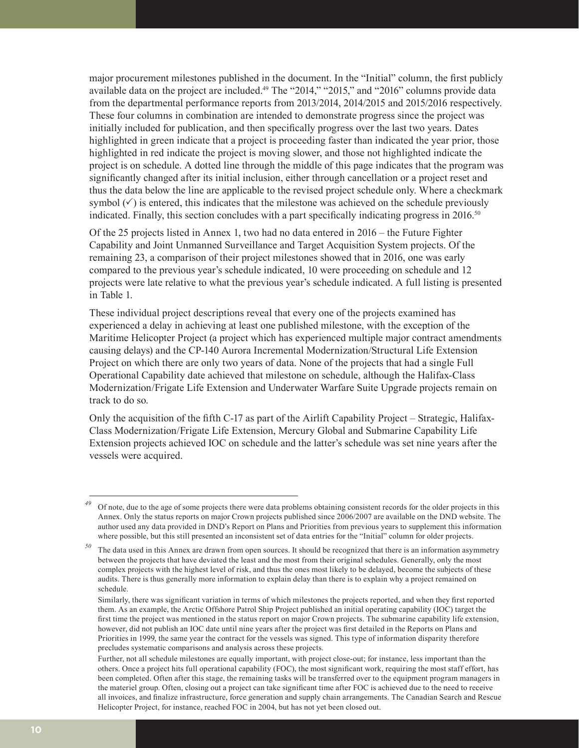major procurement milestones published in the document. In the "Initial" column, the first publicly available data on the project are included.<sup>49</sup> The "2014," "2015," and "2016" columns provide data from the departmental performance reports from 2013/2014, 2014/2015 and 2015/2016 respectively. These four columns in combination are intended to demonstrate progress since the project was initially included for publication, and then specifically progress over the last two years. Dates highlighted in green indicate that a project is proceeding faster than indicated the year prior, those highlighted in red indicate the project is moving slower, and those not highlighted indicate the project is on schedule. A dotted line through the middle of this page indicates that the program was significantly changed after its initial inclusion, either through cancellation or a project reset and thus the data below the line are applicable to the revised project schedule only. Where a checkmark symbol  $(\checkmark)$  is entered, this indicates that the milestone was achieved on the schedule previously indicated. Finally, this section concludes with a part specifically indicating progress in  $2016<sup>50</sup>$ 

Of the 25 projects listed in Annex 1, two had no data entered in 2016 – the Future Fighter Capability and Joint Unmanned Surveillance and Target Acquisition System projects. Of the remaining 23, a comparison of their project milestones showed that in 2016, one was early compared to the previous year's schedule indicated, 10 were proceeding on schedule and 12 projects were late relative to what the previous year's schedule indicated. A full listing is presented in Table 1.

These individual project descriptions reveal that every one of the projects examined has experienced a delay in achieving at least one published milestone, with the exception of the Maritime Helicopter Project (a project which has experienced multiple major contract amendments causing delays) and the CP-140 Aurora Incremental Modernization/Structural Life Extension Project on which there are only two years of data. None of the projects that had a single Full Operational Capability date achieved that milestone on schedule, although the Halifax-Class Modernization/Frigate Life Extension and Underwater Warfare Suite Upgrade projects remain on track to do so.

Only the acquisition of the fifth C-17 as part of the Airlift Capability Project – Strategic, Halifax-Class Modernization/Frigate Life Extension, Mercury Global and Submarine Capability Life Extension projects achieved IOC on schedule and the latter's schedule was set nine years after the vessels were acquired.

<sup>&</sup>lt;sup>49</sup> Of note, due to the age of some projects there were data problems obtaining consistent records for the older projects in this Annex. Only the status reports on major Crown projects published since 2006/2007 are available on the DND website. The author used any data provided in DND's Report on Plans and Priorities from previous years to supplement this information where possible, but this still presented an inconsistent set of data entries for the "Initial" column for older projects.

*<sup>50</sup>* The data used in this Annex are drawn from open sources. It should be recognized that there is an information asymmetry between the projects that have deviated the least and the most from their original schedules. Generally, only the most complex projects with the highest level of risk, and thus the ones most likely to be delayed, become the subjects of these audits. There is thus generally more information to explain delay than there is to explain why a project remained on schedule.

Similarly, there was significant variation in terms of which milestones the projects reported, and when they first reported them. As an example, the Arctic Offshore Patrol Ship Project published an initial operating capability (IOC) target the first time the project was mentioned in the status report on major Crown projects. The submarine capability life extension, however, did not publish an IOC date until nine years after the project was first detailed in the Reports on Plans and Priorities in 1999, the same year the contract for the vessels was signed. This type of information disparity therefore precludes systematic comparisons and analysis across these projects.

Further, not all schedule milestones are equally important, with project close-out; for instance, less important than the others. Once a project hits full operational capability (FOC), the most significant work, requiring the most staff effort, has been completed. Often after this stage, the remaining tasks will be transferred over to the equipment program managers in the materiel group. Often, closing out a project can take significant time after FOC is achieved due to the need to receive all invoices, and finalize infrastructure, force generation and supply chain arrangements. The Canadian Search and Rescue Helicopter Project, for instance, reached FOC in 2004, but has not yet been closed out.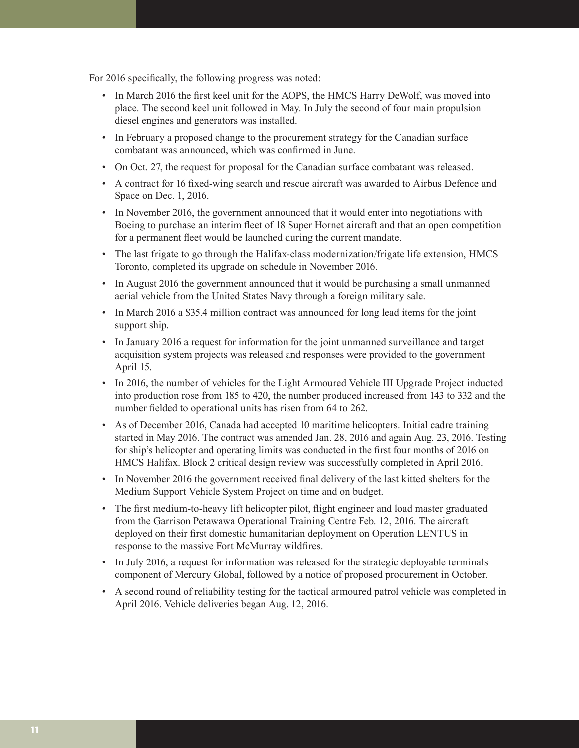For 2016 specifically, the following progress was noted:

- In March 2016 the first keel unit for the AOPS, the HMCS Harry DeWolf, was moved into place. The second keel unit followed in May. In July the second of four main propulsion diesel engines and generators was installed.
- In February a proposed change to the procurement strategy for the Canadian surface combatant was announced, which was confirmed in June.
- On Oct. 27, the request for proposal for the Canadian surface combatant was released.
- A contract for 16 fixed-wing search and rescue aircraft was awarded to Airbus Defence and Space on Dec. 1, 2016.
- In November 2016, the government announced that it would enter into negotiations with Boeing to purchase an interim fleet of 18 Super Hornet aircraft and that an open competition for a permanent fleet would be launched during the current mandate.
- The last frigate to go through the Halifax-class modernization/frigate life extension, HMCS Toronto, completed its upgrade on schedule in November 2016.
- In August 2016 the government announced that it would be purchasing a small unmanned aerial vehicle from the United States Navy through a foreign military sale.
- In March 2016 a \$35.4 million contract was announced for long lead items for the joint support ship.
- In January 2016 a request for information for the joint unmanned surveillance and target acquisition system projects was released and responses were provided to the government April 15.
- In 2016, the number of vehicles for the Light Armoured Vehicle III Upgrade Project inducted into production rose from 185 to 420, the number produced increased from 143 to 332 and the number fielded to operational units has risen from 64 to 262.
- As of December 2016, Canada had accepted 10 maritime helicopters. Initial cadre training started in May 2016. The contract was amended Jan. 28, 2016 and again Aug. 23, 2016. Testing for ship's helicopter and operating limits was conducted in the first four months of 2016 on HMCS Halifax. Block 2 critical design review was successfully completed in April 2016.
- In November 2016 the government received final delivery of the last kitted shelters for the Medium Support Vehicle System Project on time and on budget.
- The first medium-to-heavy lift helicopter pilot, flight engineer and load master graduated from the Garrison Petawawa Operational Training Centre Feb. 12, 2016. The aircraft deployed on their first domestic humanitarian deployment on Operation LENTUS in response to the massive Fort McMurray wildfires.
- In July 2016, a request for information was released for the strategic deployable terminals component of Mercury Global, followed by a notice of proposed procurement in October.
- A second round of reliability testing for the tactical armoured patrol vehicle was completed in April 2016. Vehicle deliveries began Aug. 12, 2016.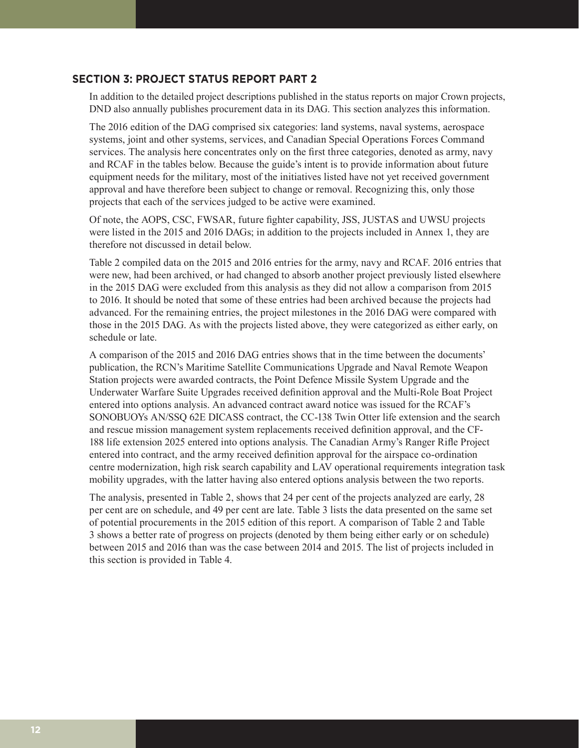#### **SECTION 3: PROJECT STATUS REPORT PART 2**

In addition to the detailed project descriptions published in the status reports on major Crown projects, DND also annually publishes procurement data in its DAG. This section analyzes this information.

The 2016 edition of the DAG comprised six categories: land systems, naval systems, aerospace systems, joint and other systems, services, and Canadian Special Operations Forces Command services. The analysis here concentrates only on the first three categories, denoted as army, navy and RCAF in the tables below. Because the guide's intent is to provide information about future equipment needs for the military, most of the initiatives listed have not yet received government approval and have therefore been subject to change or removal. Recognizing this, only those projects that each of the services judged to be active were examined.

Of note, the AOPS, CSC, FWSAR, future fighter capability, JSS, JUSTAS and UWSU projects were listed in the 2015 and 2016 DAGs; in addition to the projects included in Annex 1, they are therefore not discussed in detail below.

Table 2 compiled data on the 2015 and 2016 entries for the army, navy and RCAF. 2016 entries that were new, had been archived, or had changed to absorb another project previously listed elsewhere in the 2015 DAG were excluded from this analysis as they did not allow a comparison from 2015 to 2016. It should be noted that some of these entries had been archived because the projects had advanced. For the remaining entries, the project milestones in the 2016 DAG were compared with those in the 2015 DAG. As with the projects listed above, they were categorized as either early, on schedule or late.

A comparison of the 2015 and 2016 DAG entries shows that in the time between the documents' publication, the RCN's Maritime Satellite Communications Upgrade and Naval Remote Weapon Station projects were awarded contracts, the Point Defence Missile System Upgrade and the Underwater Warfare Suite Upgrades received definition approval and the Multi-Role Boat Project entered into options analysis. An advanced contract award notice was issued for the RCAF's SONOBUOYs AN/SSQ 62E DICASS contract, the CC-138 Twin Otter life extension and the search and rescue mission management system replacements received definition approval, and the CF-188 life extension 2025 entered into options analysis. The Canadian Army's Ranger Rifle Project entered into contract, and the army received definition approval for the airspace co-ordination centre modernization, high risk search capability and LAV operational requirements integration task mobility upgrades, with the latter having also entered options analysis between the two reports.

The analysis, presented in Table 2, shows that 24 per cent of the projects analyzed are early, 28 per cent are on schedule, and 49 per cent are late. Table 3 lists the data presented on the same set of potential procurements in the 2015 edition of this report. A comparison of Table 2 and Table 3 shows a better rate of progress on projects (denoted by them being either early or on schedule) between 2015 and 2016 than was the case between 2014 and 2015. The list of projects included in this section is provided in Table 4.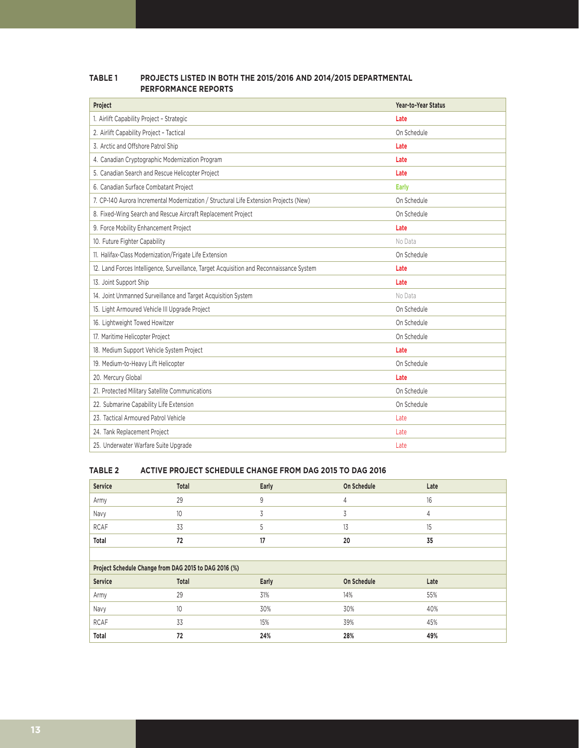| Project                                                                                  | Year-to-Year Status |
|------------------------------------------------------------------------------------------|---------------------|
| 1. Airlift Capability Project - Strategic                                                | Late                |
| 2. Airlift Capability Project - Tactical                                                 | On Schedule         |
| 3. Arctic and Offshore Patrol Ship                                                       | Late                |
| 4. Canadian Cryptographic Modernization Program                                          | Late                |
| 5. Canadian Search and Rescue Helicopter Project                                         | Late                |
| 6. Canadian Surface Combatant Project                                                    | <b>Early</b>        |
| 7. CP-140 Aurora Incremental Modernization / Structural Life Extension Projects (New)    | On Schedule         |
| 8. Fixed-Wing Search and Rescue Aircraft Replacement Project                             | On Schedule         |
| 9. Force Mobility Enhancement Project                                                    | Late                |
| 10. Future Fighter Capability                                                            | No Data             |
| 11. Halifax-Class Modernization/Frigate Life Extension                                   | On Schedule         |
| 12. Land Forces Intelligence, Surveillance, Target Acquisition and Reconnaissance System | Late                |
| 13. Joint Support Ship                                                                   | Late                |
| 14. Joint Unmanned Surveillance and Target Acquisition System                            | No Data             |
| 15. Light Armoured Vehicle III Upgrade Project                                           | On Schedule         |
|                                                                                          |                     |
| 16. Lightweight Towed Howitzer                                                           | On Schedule         |
| 17. Maritime Helicopter Project                                                          | On Schedule         |
| 18. Medium Support Vehicle System Project                                                | Late                |
| 19. Medium-to-Heavy Lift Helicopter                                                      | On Schedule         |
| 20. Mercury Global                                                                       | Late                |
| 21. Protected Military Satellite Communications                                          | On Schedule         |
| 22. Submarine Capability Life Extension                                                  | On Schedule         |
| 23. Tactical Armoured Patrol Vehicle                                                     | Late                |
| 24. Tank Replacement Project                                                             | Late                |

#### **TABLE 1 PROJECTS LISTED IN BOTH THE 2015/2016 AND 2014/2015 DEPARTMENTAL PERFORMANCE REPORTS**

#### **TABLE 2 ACTIVE PROJECT SCHEDULE CHANGE FROM DAG 2015 TO DAG 2016**

| <b>Service</b>                                        | Total           | Early | On Schedule | Late |
|-------------------------------------------------------|-----------------|-------|-------------|------|
| Army                                                  | 29              | 9     | 4           | 16   |
| Navy                                                  | 10 <sup>°</sup> | 3     | 3           | 4    |
| <b>RCAF</b>                                           | 33              | 5     | 13          | 15   |
| Total                                                 | 72              | 17    | 20          | 35   |
|                                                       |                 |       |             |      |
| Project Schedule Change from DAG 2015 to DAG 2016 (%) |                 |       |             |      |
| <b>Service</b>                                        |                 |       |             |      |
|                                                       | Total           | Early | On Schedule | Late |
| Army                                                  | 29              | 31%   | 14%         | 55%  |
| Navy                                                  | 10              | 30%   | 30%         | 40%  |
| <b>RCAF</b>                                           | 33              | 15%   | 39%         | 45%  |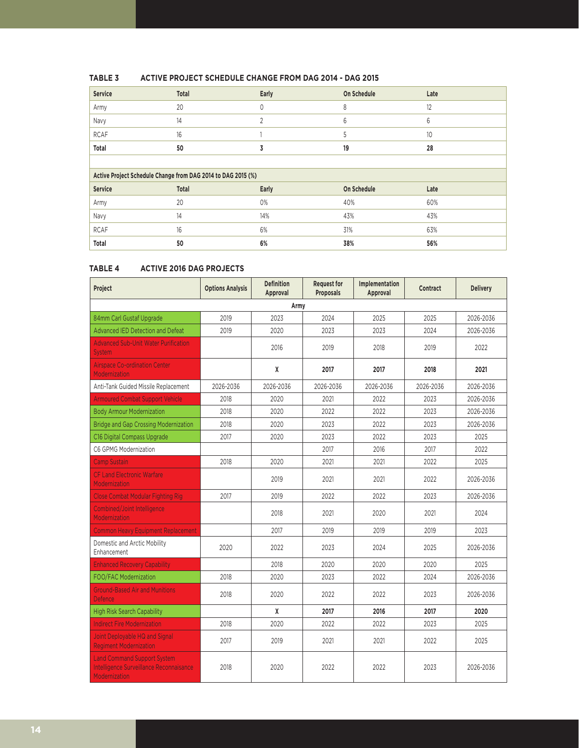| <b>Service</b> | Total                                                        | Early       | On Schedule | Late |
|----------------|--------------------------------------------------------------|-------------|-------------|------|
| Army           | 20                                                           | $\mathbf 0$ | 8           | 12   |
| Navy           | 14                                                           | 2           | 6           | 6    |
| <b>RCAF</b>    | 16                                                           |             | 5           | 10   |
| Total          | 50                                                           | 3           | 19          | 28   |
|                |                                                              |             |             |      |
|                | Active Project Schedule Change from DAG 2014 to DAG 2015 (%) |             |             |      |
| Service        | Total                                                        | Early       | On Schedule | Late |
| Army           | 20                                                           | 0%          | 40%         | 60%  |
| Navy           | 14                                                           | 14%         | 43%         | 43%  |
| <b>RCAF</b>    | 16                                                           | 6%          | 31%         | 63%  |
| Total          | 50                                                           | 6%          | 38%         | 56%  |

#### **TABLE 3 ACTIVE PROJECT SCHEDULE CHANGE FROM DAG 2014 - DAG 2015**

#### **TABLE 4 ACTIVE 2016 DAG PROJECTS**

| Project                                                                                        | <b>Options Analysis</b> | <b>Definition</b><br>Approval | <b>Request for</b><br><b>Proposals</b> | Implementation<br>Approval | <b>Contract</b> | <b>Delivery</b> |
|------------------------------------------------------------------------------------------------|-------------------------|-------------------------------|----------------------------------------|----------------------------|-----------------|-----------------|
|                                                                                                |                         | Army                          |                                        |                            |                 |                 |
| 84mm Carl Gustaf Upgrade                                                                       | 2019                    | 2023                          | 2024                                   | 2025                       | 2025            | 2026-2036       |
| Advanced IED Detection and Defeat                                                              | 2019                    | 2020                          | 2023                                   | 2023                       | 2024            | 2026-2036       |
| <b>Advanced Sub-Unit Water Purification</b><br><b>System</b>                                   |                         | 2016                          | 2019                                   | 2018                       | 2019            | 2022            |
| <b>Airspace Co-ordination Center</b><br><b>Modernization</b>                                   |                         | X                             | 2017                                   | 2017                       | 2018            | 2021            |
| Anti-Tank Guided Missile Replacement                                                           | 2026-2036               | 2026-2036                     | 2026-2036                              | 2026-2036                  | 2026-2036       | 2026-2036       |
| <b>Armoured Combat Support Vehicle</b>                                                         | 2018                    | 2020                          | 2021                                   | 2022                       | 2023            | 2026-2036       |
| <b>Body Armour Modernization</b>                                                               | 2018                    | 2020                          | 2022                                   | 2022                       | 2023            | 2026-2036       |
| <b>Bridge and Gap Crossing Modernization</b>                                                   | 2018                    | 2020                          | 2023                                   | 2022                       | 2023            | 2026-2036       |
| C16 Digital Compass Upgrade                                                                    | 2017                    | 2020                          | 2023                                   | 2022                       | 2023            | 2025            |
| C6 GPMG Modernization                                                                          |                         |                               | 2017                                   | 2016                       | 2017            | 2022            |
| <b>Camp Sustain</b>                                                                            | 2018                    | 2020                          | 2021                                   | 2021                       | 2022            | 2025            |
| <b>CF Land Electronic Warfare</b><br>Modernization                                             |                         | 2019                          | 2021                                   | 2021                       | 2022            | 2026-2036       |
| <b>Close Combat Modular Fighting Rig</b>                                                       | 2017                    | 2019                          | 2022                                   | 2022                       | 2023            | 2026-2036       |
| <b>Combined/Joint Intelligence</b><br>Modernization                                            |                         | 2018                          | 2021                                   | 2020                       | 2021            | 2024            |
| <b>Common Heavy Equipment Replacement</b>                                                      |                         | 2017                          | 2019                                   | 2019                       | 2019            | 2023            |
| Domestic and Arctic Mobility<br>Enhancement                                                    | 2020                    | 2022                          | 2023                                   | 2024                       | 2025            | 2026-2036       |
| <b>Enhanced Recovery Capability</b>                                                            |                         | 2018                          | 2020                                   | 2020                       | 2020            | 2025            |
| FOO/FAC Modernization                                                                          | 2018                    | 2020                          | 2023                                   | 2022                       | 2024            | 2026-2036       |
| <b>Ground-Based Air and Munitions</b><br><b>Defence</b>                                        | 2018                    | 2020                          | 2022                                   | 2022                       | 2023            | 2026-2036       |
| <b>High Risk Search Capability</b>                                                             |                         | X                             | 2017                                   | 2016                       | 2017            | 2020            |
| <b>Indirect Fire Modernization</b>                                                             | 2018                    | 2020                          | 2022                                   | 2022                       | 2023            | 2025            |
| Joint Deployable HQ and Signal<br><b>Regiment Modernization</b>                                | 2017                    | 2019                          | 2021                                   | 2021                       | 2022            | 2025            |
| <b>Land Command Support System</b><br>Intelligence Surveillance Reconnaisance<br>Modernization | 2018                    | 2020                          | 2022                                   | 2022                       | 2023            | 2026-2036       |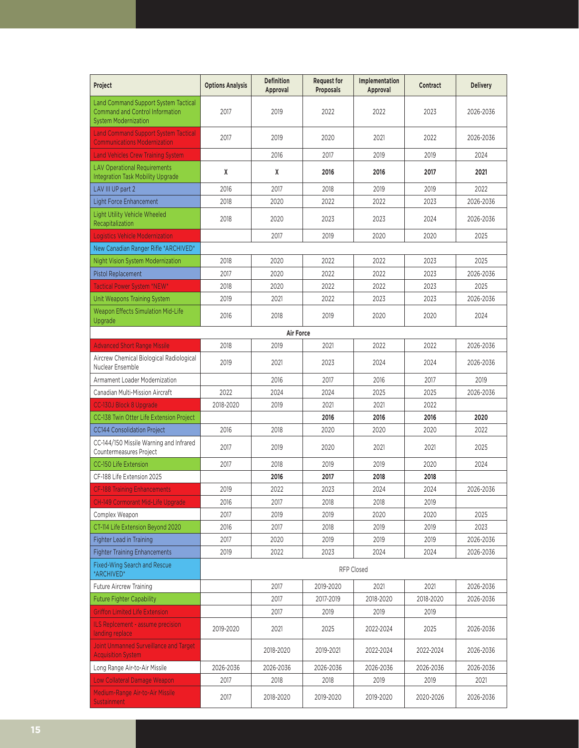| Project                                                                                                              | <b>Options Analysis</b> | <b>Definition</b><br>Approval | <b>Request for</b><br><b>Proposals</b> | <b>Implementation</b><br>Approval | <b>Contract</b> | <b>Delivery</b> |
|----------------------------------------------------------------------------------------------------------------------|-------------------------|-------------------------------|----------------------------------------|-----------------------------------|-----------------|-----------------|
| <b>Land Command Support System Tactical</b><br><b>Command and Control Information</b><br><b>System Modernization</b> | 2017                    | 2019                          | 2022                                   | 2022                              | 2023            | 2026-2036       |
| <b>Land Command Support System Tactical</b><br><b>Communications Modernization</b>                                   | 2017                    | 2019                          | 2020                                   | 2021                              | 2022            | 2026-2036       |
| <b>Land Vehicles Crew Training System</b>                                                                            |                         | 2016                          | 2017                                   | 2019                              | 2019            | 2024            |
| <b>LAV Operational Requirements</b><br><b>Integration Task Mobility Upgrade</b>                                      | X                       | X                             | 2016                                   | 2016                              | 2017            | 2021            |
| LAV III UP part 2                                                                                                    | 2016                    | 2017                          | 2018                                   | 2019                              | 2019            | 2022            |
| <b>Light Force Enhancement</b>                                                                                       | 2018                    | 2020                          | 2022                                   | 2022                              | 2023            | 2026-2036       |
| Light Utility Vehicle Wheeled<br>Recapitalization                                                                    | 2018                    | 2020                          | 2023                                   | 2023                              | 2024            | 2026-2036       |
| <b>Logistics Vehicle Modernization</b>                                                                               |                         | 2017                          | 2019                                   | 2020                              | 2020            | 2025            |
| New Canadian Ranger Rifle *ARCHIVED*                                                                                 |                         |                               |                                        |                                   |                 |                 |
| <b>Night Vision System Modernization</b>                                                                             | 2018                    | 2020                          | 2022                                   | 2022                              | 2023            | 2025            |
| <b>Pistol Replacement</b>                                                                                            | 2017                    | 2020                          | 2022                                   | 2022                              | 2023            | 2026-2036       |
| Tactical Power System *NEW*                                                                                          | 2018                    | 2020                          | 2022                                   | 2022                              | 2023            | 2025            |
| Unit Weapons Training System                                                                                         | 2019                    | 2021                          | 2022                                   | 2023                              | 2023            | 2026-2036       |
| <b>Weapon Effects Simulation Mid-Life</b><br>Upgrade                                                                 | 2016                    | 2018                          | 2019                                   | 2020                              | 2020            | 2024            |
|                                                                                                                      |                         | Air Force                     |                                        |                                   |                 |                 |
| <b>Advanced Short Range Missile</b>                                                                                  | 2018                    | 2019                          | 2021                                   | 2022                              | 2022            | 2026-2036       |
| Aircrew Chemical Biological Radiological<br>Nuclear Ensemble                                                         | 2019                    | 2021                          | 2023                                   | 2024                              | 2024            | 2026-2036       |
| Armament Loader Modernization                                                                                        |                         | 2016                          | 2017                                   | 2016                              | 2017            | 2019            |
| Canadian Multi-Mission Aircraft                                                                                      | 2022                    | 2024                          | 2024                                   | 2025                              | 2025            | 2026-2036       |
| <b>CC-130J Block 8 Upgrade</b>                                                                                       | 2018-2020               | 2019                          | 2021                                   | 2021                              | 2022            |                 |
| CC-138 Twin Otter Life Extension Project                                                                             |                         |                               | 2016                                   | 2016                              | 2016            | 2020            |
| <b>CC144 Consolidation Project</b>                                                                                   | 2016                    | 2018                          | 2020                                   | 2020                              | 2020            | 2022            |
| CC-144/150 Missile Warning and Infrared<br>Countermeasures Project                                                   | 2017                    | 2019                          | 2020                                   | 2021                              | 2021            | 2025            |
| <b>CC-150 Life Extension</b>                                                                                         | 2017                    | 2018                          | 2019                                   | 2019                              | 2020            | 2024            |
| CF-188 Life Extension 2025                                                                                           |                         | 2016                          | 2017                                   | 2018                              | 2018            |                 |
| <b>CF-188 Training Enhancements</b>                                                                                  | 2019                    | 2022                          | 2023                                   | 2024                              | 2024            | 2026-2036       |
| CH-149 Cormorant Mid-Life Upgrade                                                                                    | 2016                    | 2017                          | 2018                                   | 2018                              | 2019            |                 |
| Complex Weapon                                                                                                       | 2017                    | 2019                          | 2019                                   | 2020                              | 2020            | 2025            |
| CT-114 Life Extension Beyond 2020                                                                                    | 2016                    | 2017                          | 2018                                   | 2019                              | 2019            | 2023            |
| Fighter Lead in Training                                                                                             | 2017                    | 2020                          | 2019                                   | 2019                              | 2019            | 2026-2036       |
| <b>Fighter Training Enhancements</b>                                                                                 | 2019                    | 2022                          | 2023                                   | 2024                              | 2024            | 2026-2036       |
| <b>Fixed-Wing Search and Rescue</b><br>*ARCHIVED*                                                                    |                         |                               |                                        | <b>RFP Closed</b>                 |                 |                 |
| Future Aircrew Training                                                                                              |                         | 2017                          | 2019-2020                              | 2021                              | 2021            | 2026-2036       |
| <b>Future Fighter Capability</b>                                                                                     |                         | 2017                          | 2017-2019                              | 2018-2020                         | 2018-2020       | 2026-2036       |
| <b>Griffon Limited Life Extension</b>                                                                                |                         | 2017                          | 2019                                   | 2019                              | 2019            |                 |
| ILS Replcement - assume precision<br>landing replace                                                                 | 2019-2020               | 2021                          | 2025                                   | 2022-2024                         | 2025            | 2026-2036       |
| Joint Unmanned Surveillance and Target<br><b>Acquisition System</b>                                                  |                         | 2018-2020                     | 2019-2021                              | 2022-2024                         | 2022-2024       | 2026-2036       |
| Long Range Air-to-Air Missile                                                                                        | 2026-2036               | 2026-2036                     | 2026-2036                              | 2026-2036                         | 2026-2036       | 2026-2036       |
| Low Collateral Damage Weapon                                                                                         | 2017                    | 2018                          | 2018                                   | 2019                              | 2019            | 2021            |
| Medium-Range Air-to-Air Missile<br><b>Sustainment</b>                                                                | 2017                    | 2018-2020                     | 2019-2020                              | 2019-2020                         | 2020-2026       | 2026-2036       |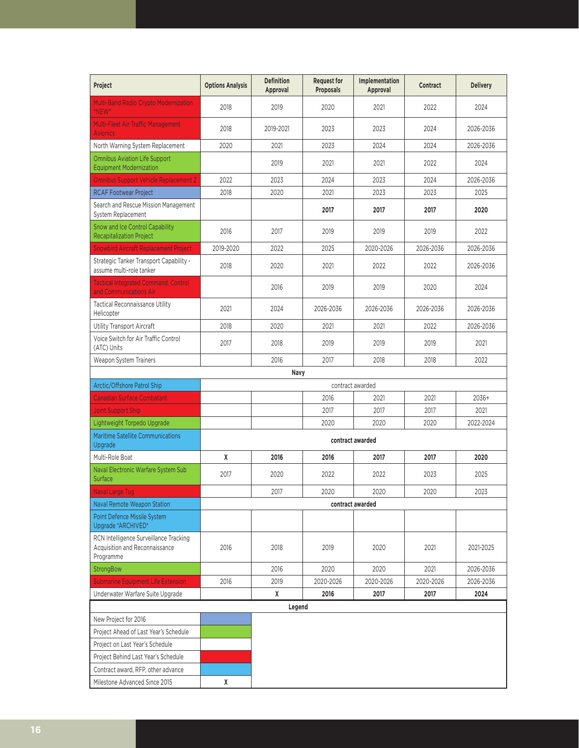| Project                                                                               | <b>Options Analysis</b> | <b>Definition</b><br>Approval | <b>Request for</b><br>Proposals | Implementation<br>Approval | <b>Contract</b> | <b>Delivery</b> |
|---------------------------------------------------------------------------------------|-------------------------|-------------------------------|---------------------------------|----------------------------|-----------------|-----------------|
| <b>Multi-Band Radio Crypto Modernization</b><br>*NEW*                                 | 2018                    | 2019                          | 2020                            | 2021                       | 2022            | 2024            |
| Multi-Fleet Air Traffic Management<br><b>Avionics</b>                                 | 2018                    | 2019-2021                     | 2023                            | 2023                       | 2024            | 2026-2036       |
| North Warning System Replacement                                                      | 2020                    | 2021                          | 2023                            | 2024                       | 2024            | 2026-2036       |
| <b>Omnibus Aviation Life Support</b><br><b>Equipment Modernization</b>                |                         | 2019                          | 2021                            | 2021                       | 2022            | 2024            |
| <b>Omnibus Support Vehicle Replacement 2</b>                                          | 2022                    | 2023                          | 2024                            | 2023                       | 2024            | 2026-2036       |
| <b>RCAF Footwear Project</b>                                                          | 2018                    | 2020                          | 2021                            | 2023                       | 2023            | 2025            |
| Search and Rescue Mission Management<br>System Replacement                            |                         |                               | 2017                            | 2017                       | 2017            | 2020            |
| Snow and Ice Control Capability<br><b>Recapitalization Project</b>                    | 2016                    | 2017                          | 2019                            | 2019                       | 2019            | 2022            |
| <b>Snowbird Aircraft Replacement Project</b>                                          | 2019-2020               | 2022                          | 2025                            | 2020-2026                  | 2026-2036       | 2026-2036       |
| Strategic Tanker Transport Capability -<br>assume multi-role tanker                   | 2018                    | 2020                          | 2021                            | 2022                       | 2022            | 2026-2036       |
| <b>Tactical Integrated Command, Control</b><br>and Communications Air                 |                         | 2016                          | 2019                            | 2019                       | 2020            | 2024            |
| <b>Tactical Reconnaissance Utility</b><br>Helicopter                                  | 2021                    | 2024                          | 2026-2036                       | 2026-2036                  | 2026-2036       | 2026-2036       |
| Utility Transport Aircraft                                                            | 2018                    | 2020                          | 2021                            | 2021                       | 2022            | 2026-2036       |
| Voice Switch for Air Traffic Control<br>(ATC) Units                                   | 2017                    | 2018                          | 2019                            | 2019                       | 2019            | 2021            |
| Weapon System Trainers                                                                |                         | 2016                          | 2017                            | 2018                       | 2018            | 2022            |
|                                                                                       |                         | Navy                          |                                 |                            |                 |                 |
| Arctic/Offshore Patrol Ship                                                           |                         |                               |                                 | contract awarded           |                 |                 |
| <b>Canadian Surface Combatant</b>                                                     |                         |                               | 2016                            | 2021                       | 2021            | 2036+           |
| Joint Support Ship                                                                    |                         |                               | 2017                            | 2017                       | 2017            | 2021            |
| Lightweight Torpedo Upgrade                                                           |                         |                               | 2020                            | 2020                       | 2020            | 2022-2024       |
| Maritime Satellite Communications<br>Upgrade                                          |                         |                               |                                 | contract awarded           |                 |                 |
| Multi-Role Boat                                                                       | χ                       | 2016                          | 2016                            | 2017                       | 2017            | 2020            |
| Naval Electronic Warfare System Sub<br>Surface                                        | 2017                    | 2020                          | 2022                            | 2022                       | 2023            | 2025            |
| <b>Naval Large Tug</b>                                                                |                         | 2017                          | 2020                            | 2020                       | 2020            | 2023            |
| Naval Remote Weapon Station                                                           |                         |                               |                                 | contract awarded           |                 |                 |
| Point Defence Missile System<br>Upgrade *ARCHIVED*                                    |                         |                               |                                 |                            |                 |                 |
| RCN Intelligence Surveillance Tracking<br>Acquisition and Reconnaissance<br>Programme | 2016                    | 2018                          | 2019                            | 2020                       | 2021            | 2021-2025       |
| StrongBow                                                                             |                         | 2016                          | 2020                            | 2020                       | 2021            | 2026-2036       |
| <b>Submarine Equipment Life Extension</b>                                             | 2016                    | 2019                          | 2020-2026                       | 2020-2026                  | 2020-2026       | 2026-2036       |
| Underwater Warfare Suite Upgrade                                                      |                         | X                             | 2016                            | 2017                       | 2017            | 2024            |
|                                                                                       |                         | Legend                        |                                 |                            |                 |                 |
| New Project for 2016                                                                  |                         |                               |                                 |                            |                 |                 |
| Project Ahead of Last Year's Schedule                                                 |                         |                               |                                 |                            |                 |                 |
| Project on Last Year's Schedule                                                       |                         |                               |                                 |                            |                 |                 |
| Project Behind Last Year's Schedule                                                   |                         |                               |                                 |                            |                 |                 |
| Contract award, RFP, other advance                                                    |                         |                               |                                 |                            |                 |                 |
| Milestone Advanced Since 2015                                                         | X                       |                               |                                 |                            |                 |                 |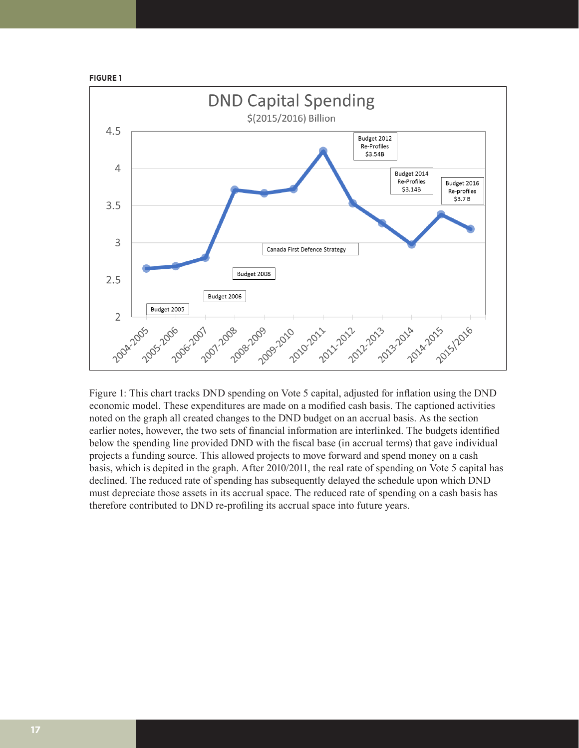



Figure 1: This chart tracks DND spending on Vote 5 capital, adjusted for inflation using the DND economic model. These expenditures are made on a modified cash basis. The captioned activities noted on the graph all created changes to the DND budget on an accrual basis. As the section earlier notes, however, the two sets of financial information are interlinked. The budgets identified below the spending line provided DND with the fiscal base (in accrual terms) that gave individual projects a funding source. This allowed projects to move forward and spend money on a cash basis, which is depited in the graph. After 2010/2011, the real rate of spending on Vote 5 capital has declined. The reduced rate of spending has subsequently delayed the schedule upon which DND must depreciate those assets in its accrual space. The reduced rate of spending on a cash basis has therefore contributed to DND re-profiling its accrual space into future years.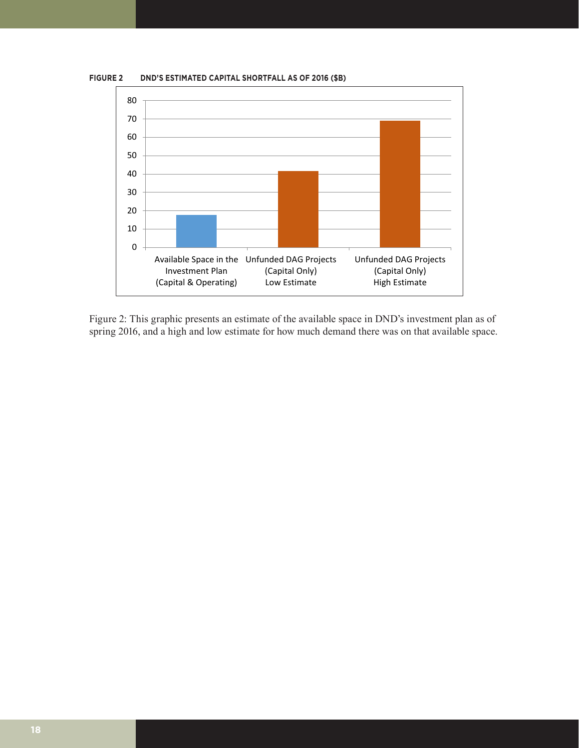

Figure 2: This graphic presents an estimate of the available space in DND's investment plan as of spring 2016, and a high and low estimate for how much demand there was on that available space.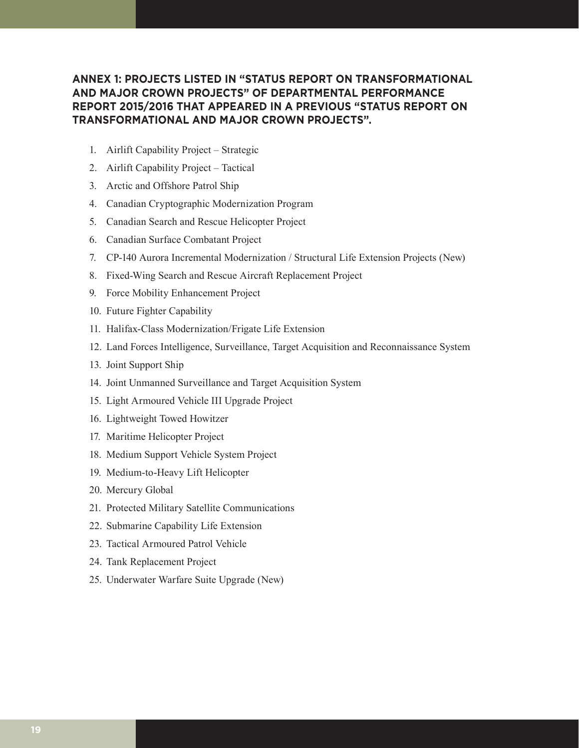#### **ANNEX 1: PROJECTS LISTED IN "STATUS REPORT ON TRANSFORMATIONAL AND MAJOR CROWN PROJECTS" OF DEPARTMENTAL PERFORMANCE REPORT 2015/2016 THAT APPEARED IN A PREVIOUS "STATUS REPORT ON TRANSFORMATIONAL AND MAJOR CROWN PROJECTS".**

- 1. Airlift Capability Project Strategic
- 2. Airlift Capability Project Tactical
- 3. Arctic and Offshore Patrol Ship
- 4. Canadian Cryptographic Modernization Program
- 5. Canadian Search and Rescue Helicopter Project
- 6. Canadian Surface Combatant Project
- 7. CP-140 Aurora Incremental Modernization / Structural Life Extension Projects (New)
- 8. Fixed-Wing Search and Rescue Aircraft Replacement Project
- 9. Force Mobility Enhancement Project
- 10. Future Fighter Capability
- 11. Halifax-Class Modernization/Frigate Life Extension
- 12. Land Forces Intelligence, Surveillance, Target Acquisition and Reconnaissance System
- 13. Joint Support Ship
- 14. Joint Unmanned Surveillance and Target Acquisition System
- 15. Light Armoured Vehicle III Upgrade Project
- 16. Lightweight Towed Howitzer
- 17. Maritime Helicopter Project
- 18. Medium Support Vehicle System Project
- 19. Medium-to-Heavy Lift Helicopter
- 20. Mercury Global
- 21. Protected Military Satellite Communications
- 22. Submarine Capability Life Extension
- 23. Tactical Armoured Patrol Vehicle
- 24. Tank Replacement Project
- 25. Underwater Warfare Suite Upgrade (New)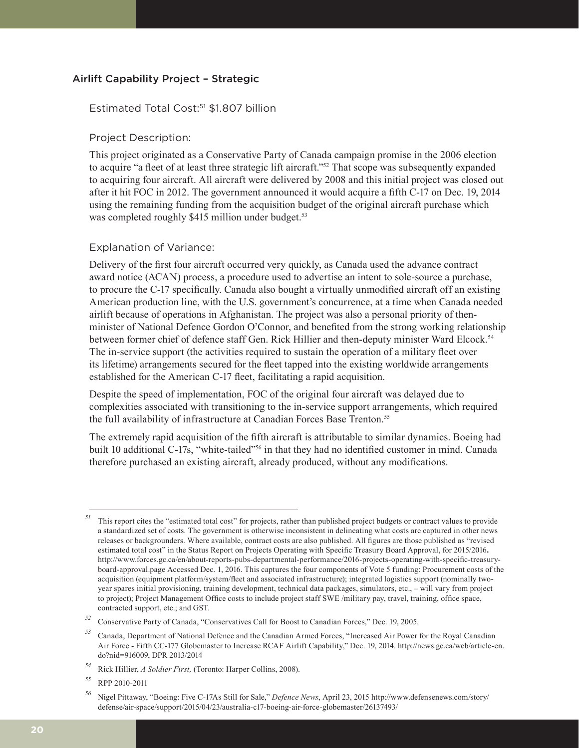#### Airlift Capability Project – Strategic

#### Estimated Total Cost:<sup>51</sup> \$1.807 billion

#### Project Description:

This project originated as a Conservative Party of Canada campaign promise in the 2006 election to acquire "a fleet of at least three strategic lift aircraft."52 That scope was subsequently expanded to acquiring four aircraft. All aircraft were delivered by 2008 and this initial project was closed out after it hit FOC in 2012. The government announced it would acquire a fifth C-17 on Dec. 19, 2014 using the remaining funding from the acquisition budget of the original aircraft purchase which was completed roughly \$415 million under budget.<sup>53</sup>

#### Explanation of Variance:

Delivery of the first four aircraft occurred very quickly, as Canada used the advance contract award notice (ACAN) process, a procedure used to advertise an intent to sole-source a purchase, to procure the C-17 specifically. Canada also bought a virtually unmodified aircraft off an existing American production line, with the U.S. government's concurrence, at a time when Canada needed airlift because of operations in Afghanistan. The project was also a personal priority of thenminister of National Defence Gordon O'Connor, and benefited from the strong working relationship between former chief of defence staff Gen. Rick Hillier and then-deputy minister Ward Elcock.<sup>54</sup> The in-service support (the activities required to sustain the operation of a military fleet over its lifetime) arrangements secured for the fleet tapped into the existing worldwide arrangements established for the American C-17 fleet, facilitating a rapid acquisition.

Despite the speed of implementation, FOC of the original four aircraft was delayed due to complexities associated with transitioning to the in-service support arrangements, which required the full availability of infrastructure at Canadian Forces Base Trenton.<sup>55</sup>

The extremely rapid acquisition of the fifth aircraft is attributable to similar dynamics. Boeing had built 10 additional C-17s, "white-tailed"<sup>56</sup> in that they had no identified customer in mind. Canada therefore purchased an existing aircraft, already produced, without any modifications.

*<sup>51</sup>* This report cites the "estimated total cost" for projects, rather than published project budgets or contract values to provide a standardized set of costs. The government is otherwise inconsistent in delineating what costs are captured in other news releases or backgrounders. Where available, contract costs are also published. All figures are those published as "revised estimated total cost" in the Status Report on Projects Operating with Specific Treasury Board Approval, for 2015/2016**.**  http://www.forces.gc.ca/en/about-reports-pubs-departmental-performance/2016-projects-operating-with-specific-treasuryboard-approval.page Accessed Dec. 1, 2016. This captures the four components of Vote 5 funding: Procurement costs of the acquisition (equipment platform/system/fleet and associated infrastructure); integrated logistics support (nominally twoyear spares initial provisioning, training development, technical data packages, simulators, etc., – will vary from project to project); Project Management Office costs to include project staff SWE /military pay, travel, training, office space, contracted support, etc.; and GST.

*<sup>52</sup>* Conservative Party of Canada, "Conservatives Call for Boost to Canadian Forces," Dec. 19, 2005.

*<sup>53</sup>* Canada, Department of National Defence and the Canadian Armed Forces, "Increased Air Power for the Royal Canadian Air Force - Fifth CC-177 Globemaster to Increase RCAF Airlift Capability," Dec. 19, 2014. http://news.gc.ca/web/article-en. do?nid=916009, DPR 2013/2014

*<sup>54</sup>* Rick Hillier, *A Soldier First,* (Toronto: Harper Collins, 2008).

*<sup>55</sup>* RPP 2010-2011

*<sup>56</sup>* Nigel Pittaway, "Boeing: Five C-17As Still for Sale," *Defence News*, April 23, 2015 http://www.defensenews.com/story/ defense/air-space/support/2015/04/23/australia-c17-boeing-air-force-globemaster/26137493/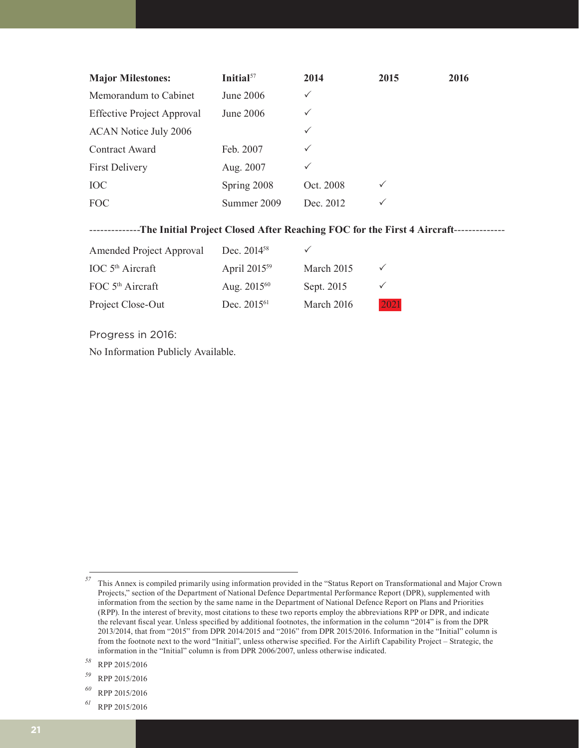| <b>Major Milestones:</b>          | Initial $57$     | 2014         | 2015         | 2016 |
|-----------------------------------|------------------|--------------|--------------|------|
| Memorandum to Cabinet             | <b>June 2006</b> | $\checkmark$ |              |      |
| <b>Effective Project Approval</b> | June 2006        | $\checkmark$ |              |      |
| <b>ACAN Notice July 2006</b>      |                  | $\checkmark$ |              |      |
| Contract Award                    | Feb. 2007        | $\checkmark$ |              |      |
| <b>First Delivery</b>             | Aug. 2007        | $\checkmark$ |              |      |
| <b>IOC</b>                        | Spring 2008      | Oct. 2008    | $\checkmark$ |      |
| <b>FOC</b>                        | Summer 2009      | Dec. 2012    | $\checkmark$ |      |

--------------**The Initial Project Closed After Reaching FOC for the First 4 Aircraft**--------------

| Amended Project Approval     | Dec. $2014^{58}$         |            |              |
|------------------------------|--------------------------|------------|--------------|
| IOC $5th$ Aircraft           | April 2015 <sup>59</sup> | March 2015 | $\checkmark$ |
| FOC 5 <sup>th</sup> Aircraft | Aug. 2015 <sup>60</sup>  | Sept. 2015 | $\checkmark$ |
| Project Close-Out            | Dec. 2015 <sup>61</sup>  | March 2016 | 2021         |

Progress in 2016:

No Information Publicly Available.

*<sup>61</sup>* RPP 2015/2016

*<sup>57</sup>* This Annex is compiled primarily using information provided in the "Status Report on Transformational and Major Crown Projects," section of the Department of National Defence Departmental Performance Report (DPR), supplemented with information from the section by the same name in the Department of National Defence Report on Plans and Priorities (RPP). In the interest of brevity, most citations to these two reports employ the abbreviations RPP or DPR, and indicate the relevant fiscal year. Unless specified by additional footnotes, the information in the column "2014" is from the DPR 2013/2014, that from "2015" from DPR 2014/2015 and "2016" from DPR 2015/2016. Information in the "Initial" column is from the footnote next to the word "Initial", unless otherwise specified. For the Airlift Capability Project – Strategic, the information in the "Initial" column is from DPR 2006/2007, unless otherwise indicated.

*<sup>58</sup>* RPP 2015/2016

*<sup>59</sup>* RPP 2015/2016

*<sup>60</sup>* RPP 2015/2016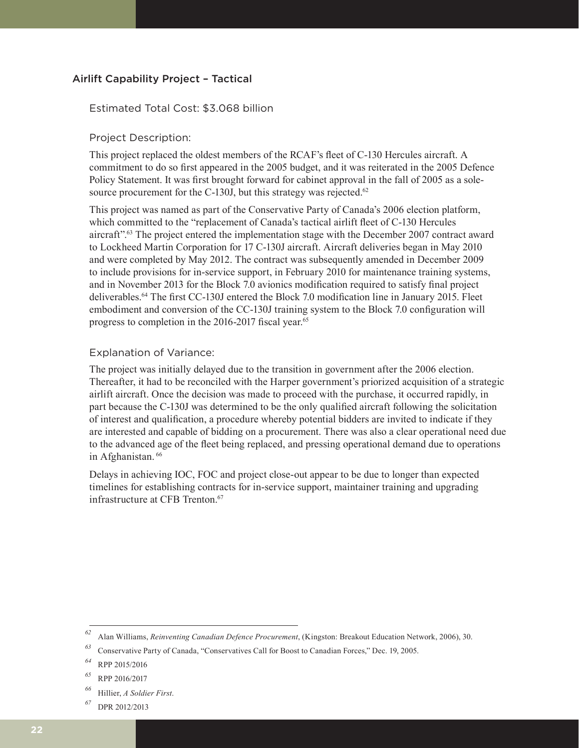#### Airlift Capability Project – Tactical

#### Estimated Total Cost: \$3.068 billion

#### Project Description:

This project replaced the oldest members of the RCAF's fleet of C-130 Hercules aircraft. A commitment to do so first appeared in the 2005 budget, and it was reiterated in the 2005 Defence Policy Statement. It was first brought forward for cabinet approval in the fall of 2005 as a solesource procurement for the C-130J, but this strategy was rejected. $62$ 

This project was named as part of the Conservative Party of Canada's 2006 election platform, which committed to the "replacement of Canada's tactical airlift fleet of C-130 Hercules aircraft".63 The project entered the implementation stage with the December 2007 contract award to Lockheed Martin Corporation for 17 C-130J aircraft. Aircraft deliveries began in May 2010 and were completed by May 2012. The contract was subsequently amended in December 2009 to include provisions for in-service support, in February 2010 for maintenance training systems, and in November 2013 for the Block 7.0 avionics modification required to satisfy final project deliverables.64 The first CC-130J entered the Block 7.0 modification line in January 2015. Fleet embodiment and conversion of the CC-130J training system to the Block 7.0 configuration will progress to completion in the 2016-2017 fiscal year.<sup>65</sup>

#### Explanation of Variance:

The project was initially delayed due to the transition in government after the 2006 election. Thereafter, it had to be reconciled with the Harper government's priorized acquisition of a strategic airlift aircraft. Once the decision was made to proceed with the purchase, it occurred rapidly, in part because the C-130J was determined to be the only qualified aircraft following the solicitation of interest and qualification, a procedure whereby potential bidders are invited to indicate if they are interested and capable of bidding on a procurement. There was also a clear operational need due to the advanced age of the fleet being replaced, and pressing operational demand due to operations in Afghanistan. 66

Delays in achieving IOC, FOC and project close-out appear to be due to longer than expected timelines for establishing contracts for in-service support, maintainer training and upgrading infrastructure at CFB Trenton.<sup>67</sup>

*<sup>62</sup>* Alan Williams, *Reinventing Canadian Defence Procurement*, (Kingston: Breakout Education Network, 2006), 30.

*<sup>63</sup>* Conservative Party of Canada, "Conservatives Call for Boost to Canadian Forces," Dec. 19, 2005.

*<sup>64</sup>* RPP 2015/2016

*<sup>65</sup>* RPP 2016/2017

*<sup>66</sup>* Hillier, *A Soldier First*.

*<sup>67</sup>* DPR 2012/2013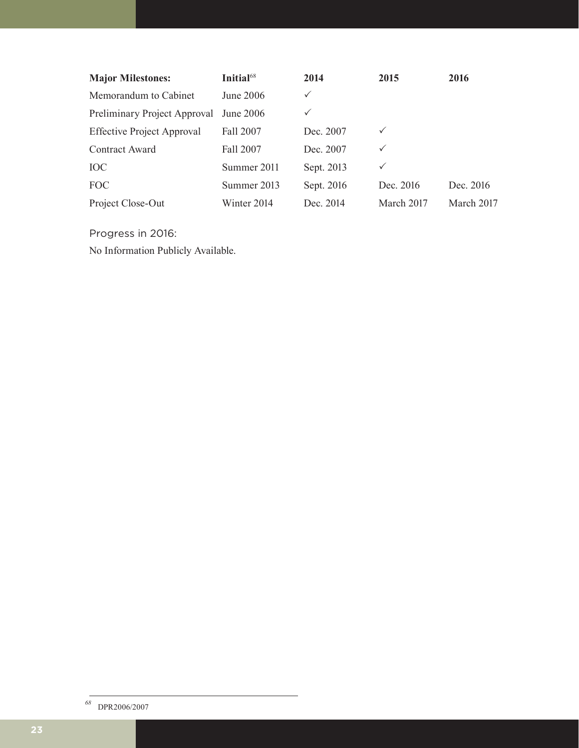| <b>Major Milestones:</b>          | Initial <sup>68</sup> | 2014       | 2015         | 2016       |
|-----------------------------------|-----------------------|------------|--------------|------------|
| Memorandum to Cabinet             | June 2006             | ✓          |              |            |
| Preliminary Project Approval      | June 2006             | ✓          |              |            |
| <b>Effective Project Approval</b> | Fall 2007             | Dec. 2007  | $\checkmark$ |            |
| Contract Award                    | Fall 2007             | Dec. 2007  | $\checkmark$ |            |
| <b>IOC</b>                        | Summer 2011           | Sept. 2013 | ✓            |            |
| <b>FOC</b>                        | Summer 2013           | Sept. 2016 | Dec. 2016    | Dec. 2016  |
| Project Close-Out                 | Winter 2014           | Dec. 2014  | March 2017   | March 2017 |

Progress in 2016:

No Information Publicly Available.

*<sup>68</sup>* DPR2006/2007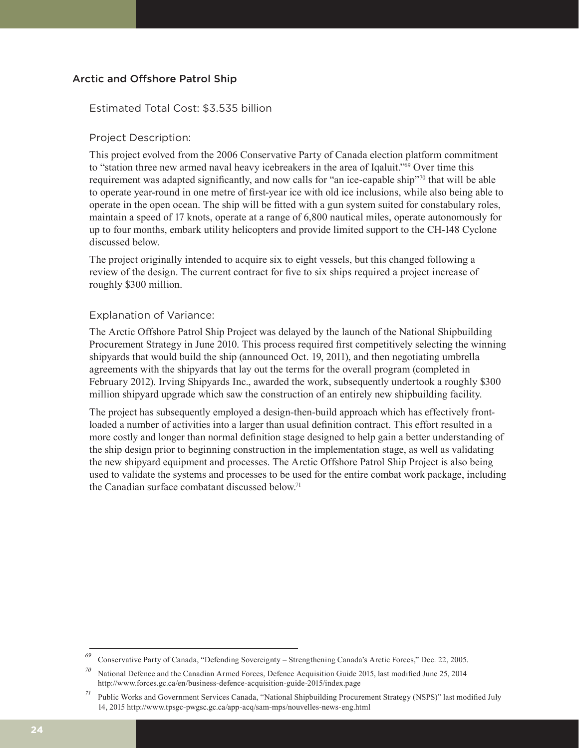#### Arctic and Offshore Patrol Ship

#### Estimated Total Cost: \$3.535 billion

#### Project Description:

This project evolved from the 2006 Conservative Party of Canada election platform commitment to "station three new armed naval heavy icebreakers in the area of Iqaluit."69 Over time this requirement was adapted significantly, and now calls for "an ice-capable ship"70 that will be able to operate year-round in one metre of first-year ice with old ice inclusions, while also being able to operate in the open ocean. The ship will be fitted with a gun system suited for constabulary roles, maintain a speed of 17 knots, operate at a range of 6,800 nautical miles, operate autonomously for up to four months, embark utility helicopters and provide limited support to the CH-148 Cyclone discussed below.

The project originally intended to acquire six to eight vessels, but this changed following a review of the design. The current contract for five to six ships required a project increase of roughly \$300 million.

#### Explanation of Variance:

The Arctic Offshore Patrol Ship Project was delayed by the launch of the National Shipbuilding Procurement Strategy in June 2010. This process required first competitively selecting the winning shipyards that would build the ship (announced Oct. 19, 2011), and then negotiating umbrella agreements with the shipyards that lay out the terms for the overall program (completed in February 2012). Irving Shipyards Inc., awarded the work, subsequently undertook a roughly \$300 million shipyard upgrade which saw the construction of an entirely new shipbuilding facility.

The project has subsequently employed a design-then-build approach which has effectively frontloaded a number of activities into a larger than usual definition contract. This effort resulted in a more costly and longer than normal definition stage designed to help gain a better understanding of the ship design prior to beginning construction in the implementation stage, as well as validating the new shipyard equipment and processes. The Arctic Offshore Patrol Ship Project is also being used to validate the systems and processes to be used for the entire combat work package, including the Canadian surface combatant discussed below.71

*<sup>69</sup>* Conservative Party of Canada, "Defending Sovereignty – Strengthening Canada's Arctic Forces," Dec. 22, 2005.

*<sup>70</sup>* National Defence and the Canadian Armed Forces, Defence Acquisition Guide 2015, last modified June 25, 2014 http://www.forces.gc.ca/en/business-defence-acquisition-guide-2015/index.page

*<sup>71</sup>* Public Works and Government Services Canada, "National Shipbuilding Procurement Strategy (NSPS)" last modified July 14, 2015 http://www.tpsgc-pwgsc.gc.ca/app-acq/sam-mps/nouvelles-news-eng.html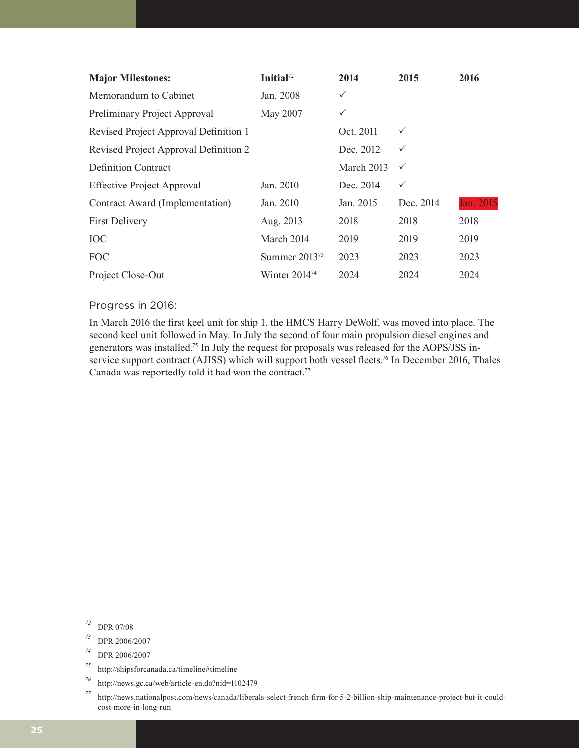| <b>Major Milestones:</b>              | Initial <sup>72</sup> | 2014         | 2015         | 2016      |
|---------------------------------------|-----------------------|--------------|--------------|-----------|
| Memorandum to Cabinet                 | Jan. 2008             | $\checkmark$ |              |           |
| Preliminary Project Approval          | May 2007              | $\checkmark$ |              |           |
| Revised Project Approval Definition 1 |                       | Oct. 2011    | $\checkmark$ |           |
| Revised Project Approval Definition 2 |                       | Dec. 2012    | $\checkmark$ |           |
| <b>Definition Contract</b>            |                       | March 2013   | $\checkmark$ |           |
| <b>Effective Project Approval</b>     | Jan. 2010             | Dec. 2014    | ✓            |           |
| Contract Award (Implementation)       | Jan. 2010             | Jan. 2015    | Dec. 2014    | Jan. 2015 |
| <b>First Delivery</b>                 | Aug. 2013             | 2018         | 2018         | 2018      |
| <b>IOC</b>                            | March 2014            | 2019         | 2019         | 2019      |
| <b>FOC</b>                            | Summer $2013^{73}$    | 2023         | 2023         | 2023      |
| Project Close-Out                     | Winter $2014^{74}$    | 2024         | 2024         | 2024      |

#### Progress in 2016:

In March 2016 the first keel unit for ship 1, the HMCS Harry DeWolf, was moved into place. The second keel unit followed in May. In July the second of four main propulsion diesel engines and generators was installed.75 In July the request for proposals was released for the AOPS/JSS inservice support contract (AJISS) which will support both vessel fleets.<sup>76</sup> In December 2016, Thales Canada was reportedly told it had won the contract.<sup>77</sup>

*<sup>72</sup>* DPR 07/08

*<sup>73</sup>* DPR 2006/2007

*<sup>74</sup>* DPR 2006/2007

*<sup>75</sup>* http://shipsforcanada.ca/timeline#timeline

*<sup>76</sup>* http://news.gc.ca/web/article-en.do?nid=1102479

*<sup>77</sup>* http://news.nationalpost.com/news/canada/liberals-select-french-firm-for-5-2-billion-ship-maintenance-project-but-it-couldcost-more-in-long-run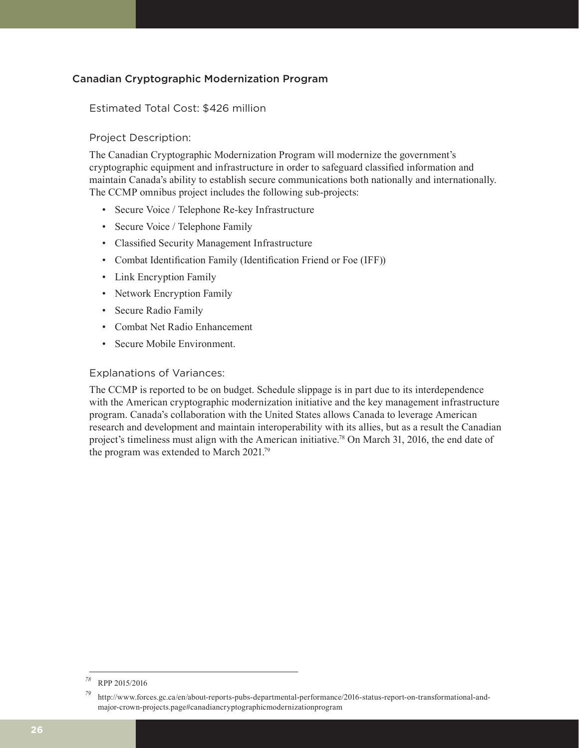#### Canadian Cryptographic Modernization Program

#### Estimated Total Cost: \$426 million

#### Project Description:

The Canadian Cryptographic Modernization Program will modernize the government's cryptographic equipment and infrastructure in order to safeguard classified information and maintain Canada's ability to establish secure communications both nationally and internationally. The CCMP omnibus project includes the following sub-projects:

- Secure Voice / Telephone Re-key Infrastructure
- Secure Voice / Telephone Family
- Classified Security Management Infrastructure
- Combat Identification Family (Identification Friend or Foe (IFF))
- Link Encryption Family
- Network Encryption Family
- Secure Radio Family
- Combat Net Radio Enhancement
- Secure Mobile Environment.

#### Explanations of Variances:

The CCMP is reported to be on budget. Schedule slippage is in part due to its interdependence with the American cryptographic modernization initiative and the key management infrastructure program. Canada's collaboration with the United States allows Canada to leverage American research and development and maintain interoperability with its allies, but as a result the Canadian project's timeliness must align with the American initiative.78 On March 31, 2016, the end date of the program was extended to March 2021.79

*<sup>78</sup>* RPP 2015/2016

*<sup>79</sup>* http://www.forces.gc.ca/en/about-reports-pubs-departmental-performance/2016-status-report-on-transformational-andmajor-crown-projects.page#canadiancryptographicmodernizationprogram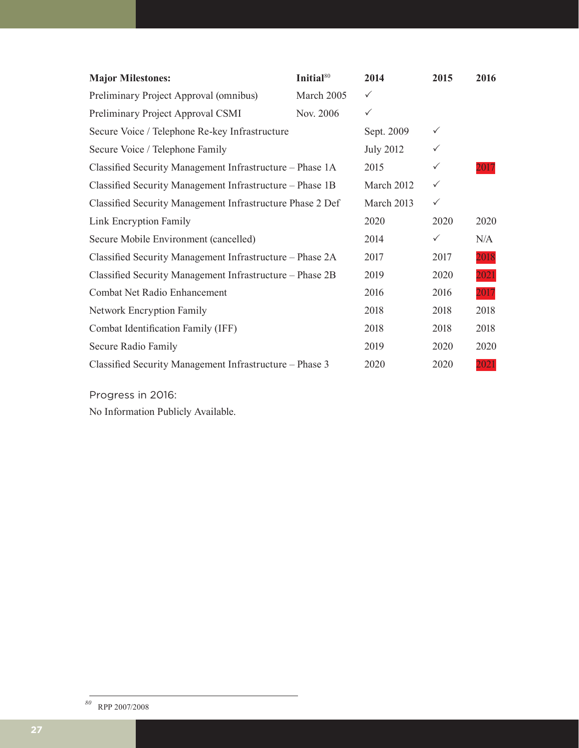| <b>Major Milestones:</b>                                  | Initial <sup>80</sup> | 2014             | 2015         | 2016 |
|-----------------------------------------------------------|-----------------------|------------------|--------------|------|
| Preliminary Project Approval (omnibus)                    | March 2005            | $\checkmark$     |              |      |
| Preliminary Project Approval CSMI                         | Nov. 2006             | $\checkmark$     |              |      |
| Secure Voice / Telephone Re-key Infrastructure            |                       | Sept. 2009       | $\checkmark$ |      |
| Secure Voice / Telephone Family                           |                       | <b>July 2012</b> | $\checkmark$ |      |
| Classified Security Management Infrastructure - Phase 1A  |                       | 2015             | $\checkmark$ | 2017 |
| Classified Security Management Infrastructure - Phase 1B  |                       | March 2012       | $\checkmark$ |      |
| Classified Security Management Infrastructure Phase 2 Def |                       | March 2013       | $\checkmark$ |      |
| Link Encryption Family                                    |                       | 2020             | 2020         | 2020 |
| Secure Mobile Environment (cancelled)                     |                       | 2014             | $\checkmark$ | N/A  |
| Classified Security Management Infrastructure – Phase 2A  |                       | 2017             | 2017         | 2018 |
| Classified Security Management Infrastructure – Phase 2B  |                       | 2019             | 2020         | 2021 |
| Combat Net Radio Enhancement                              |                       | 2016             | 2016         | 2017 |
| <b>Network Encryption Family</b>                          |                       | 2018             | 2018         | 2018 |
| Combat Identification Family (IFF)                        |                       | 2018             | 2018         | 2018 |
| Secure Radio Family                                       |                       | 2019             | 2020         | 2020 |
| Classified Security Management Infrastructure – Phase 3   |                       | 2020             | 2020         | 2021 |

Progress in 2016:

No Information Publicly Available.

*<sup>80</sup>* RPP 2007/2008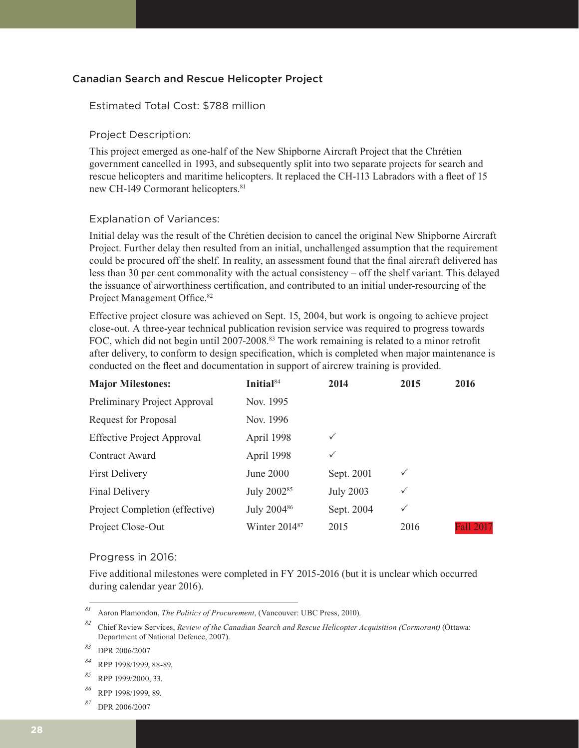#### Canadian Search and Rescue Helicopter Project

#### Estimated Total Cost: \$788 million

#### Project Description:

This project emerged as one-half of the New Shipborne Aircraft Project that the Chrétien government cancelled in 1993, and subsequently split into two separate projects for search and rescue helicopters and maritime helicopters. It replaced the CH-113 Labradors with a fleet of 15 new CH-149 Cormorant helicopters.<sup>81</sup>

#### Explanation of Variances:

Initial delay was the result of the Chrétien decision to cancel the original New Shipborne Aircraft Project. Further delay then resulted from an initial, unchallenged assumption that the requirement could be procured off the shelf. In reality, an assessment found that the final aircraft delivered has less than 30 per cent commonality with the actual consistency – off the shelf variant. This delayed the issuance of airworthiness certification, and contributed to an initial under-resourcing of the Project Management Office.<sup>82</sup>

Effective project closure was achieved on Sept. 15, 2004, but work is ongoing to achieve project close-out. A three-year technical publication revision service was required to progress towards FOC, which did not begin until 2007-2008.<sup>83</sup> The work remaining is related to a minor retrofit after delivery, to conform to design specification, which is completed when major maintenance is conducted on the fleet and documentation in support of aircrew training is provided.

| <b>Major Milestones:</b>          | Initial <sup>84</sup>   | 2014             | 2015         | 2016             |
|-----------------------------------|-------------------------|------------------|--------------|------------------|
| Preliminary Project Approval      | Nov. 1995               |                  |              |                  |
| Request for Proposal              | Nov. 1996               |                  |              |                  |
| <b>Effective Project Approval</b> | April 1998              | $\checkmark$     |              |                  |
| Contract Award                    | April 1998              | $\checkmark$     |              |                  |
| <b>First Delivery</b>             | June 2000               | Sept. 2001       | $\checkmark$ |                  |
| Final Delivery                    | July 2002 <sup>85</sup> | <b>July 2003</b> | $\checkmark$ |                  |
| Project Completion (effective)    | July 2004 <sup>86</sup> | Sept. 2004       | $\checkmark$ |                  |
| Project Close-Out                 | Winter $2014^{87}$      | 2015             | 2016         | <b>Fall 2017</b> |

#### Progress in 2016:

Five additional milestones were completed in FY 2015-2016 (but it is unclear which occurred during calendar year 2016).

*<sup>81</sup>* Aaron Plamondon, *The Politics of Procurement*, (Vancouver: UBC Press, 2010).

*<sup>82</sup>* Chief Review Services, *Review of the Canadian Search and Rescue Helicopter Acquisition (Cormorant)* (Ottawa: Department of National Defence, 2007).

*<sup>83</sup>* DPR 2006/2007

*<sup>84</sup>* RPP 1998/1999, 88-89.

*<sup>85</sup>* RPP 1999/2000, 33.

*<sup>86</sup>* RPP 1998/1999, 89.

*<sup>87</sup>* DPR 2006/2007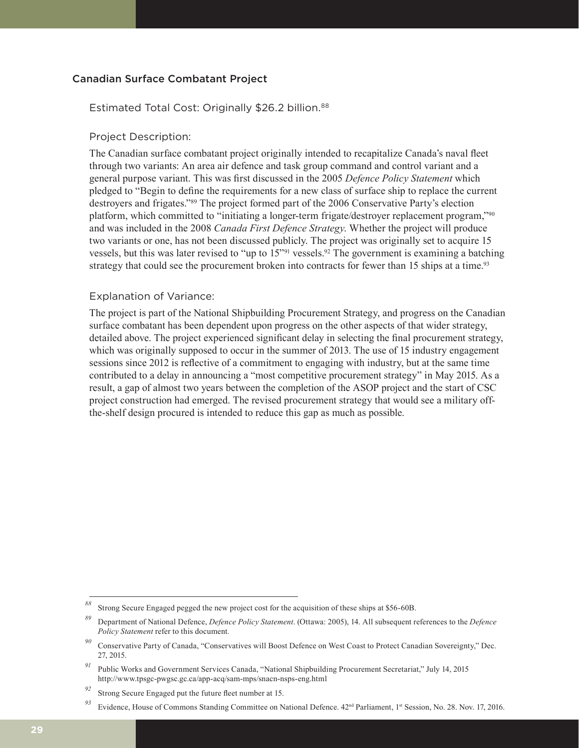#### Canadian Surface Combatant Project

#### Estimated Total Cost: Originally \$26.2 billion.<sup>88</sup>

#### Project Description:

The Canadian surface combatant project originally intended to recapitalize Canada's naval fleet through two variants: An area air defence and task group command and control variant and a general purpose variant. This was first discussed in the 2005 *Defence Policy Statement* which pledged to "Begin to define the requirements for a new class of surface ship to replace the current destroyers and frigates."89 The project formed part of the 2006 Conservative Party's election platform, which committed to "initiating a longer-term frigate/destroyer replacement program,"<sup>90</sup> and was included in the 2008 *Canada First Defence Strategy*. Whether the project will produce two variants or one, has not been discussed publicly. The project was originally set to acquire 15 vessels, but this was later revised to "up to 15"91 vessels.92 The government is examining a batching strategy that could see the procurement broken into contracts for fewer than 15 ships at a time.<sup>93</sup>

#### Explanation of Variance:

The project is part of the National Shipbuilding Procurement Strategy, and progress on the Canadian surface combatant has been dependent upon progress on the other aspects of that wider strategy, detailed above. The project experienced significant delay in selecting the final procurement strategy, which was originally supposed to occur in the summer of 2013. The use of 15 industry engagement sessions since 2012 is reflective of a commitment to engaging with industry, but at the same time contributed to a delay in announcing a "most competitive procurement strategy" in May 2015. As a result, a gap of almost two years between the completion of the ASOP project and the start of CSC project construction had emerged. The revised procurement strategy that would see a military offthe-shelf design procured is intended to reduce this gap as much as possible.

*<sup>88</sup>* Strong Secure Engaged pegged the new project cost for the acquisition of these ships at \$56-60B.

*<sup>89</sup>* Department of National Defence, *Defence Policy Statement*. (Ottawa: 2005), 14. All subsequent references to the *Defence Policy Statement* refer to this document*.* 

*<sup>90</sup>* Conservative Party of Canada, "Conservatives will Boost Defence on West Coast to Protect Canadian Sovereignty," Dec. 27, 2015.

*<sup>91</sup>* Public Works and Government Services Canada, "National Shipbuilding Procurement Secretariat," July 14, 2015 http://www.tpsgc-pwgsc.gc.ca/app-acq/sam-mps/snacn-nsps-eng.html

*<sup>92</sup>* Strong Secure Engaged put the future fleet number at 15.

<sup>&</sup>lt;sup>93</sup> Evidence, House of Commons Standing Committee on National Defence. 42<sup>nd</sup> Parliament, 1<sup>st</sup> Session, No. 28. Nov. 17, 2016.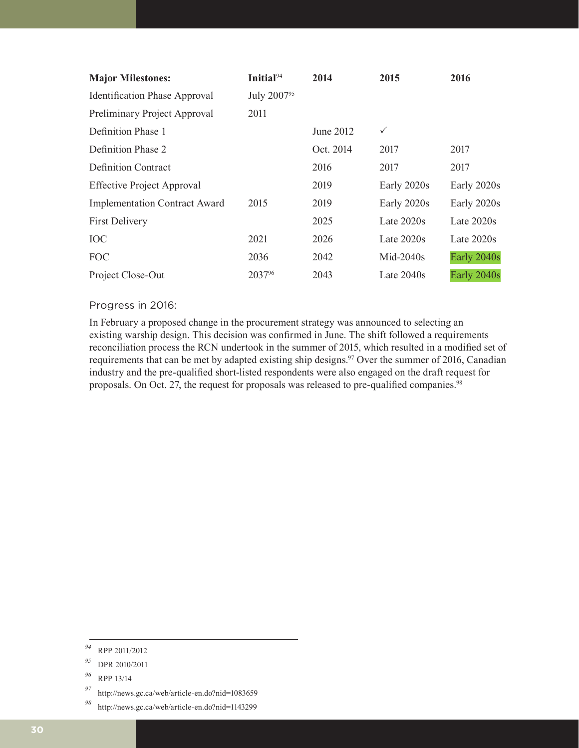| <b>Major Milestones:</b>             | Initial <sup>94</sup>   | 2014      | 2015         | 2016         |
|--------------------------------------|-------------------------|-----------|--------------|--------------|
| <b>Identification Phase Approval</b> | July 2007 <sup>95</sup> |           |              |              |
| Preliminary Project Approval         | 2011                    |           |              |              |
| Definition Phase 1                   |                         | June 2012 | $\checkmark$ |              |
| Definition Phase 2                   |                         | Oct. 2014 | 2017         | 2017         |
| <b>Definition Contract</b>           |                         | 2016      | 2017         | 2017         |
| <b>Effective Project Approval</b>    |                         | 2019      | Early 2020s  | Early 2020s  |
| <b>Implementation Contract Award</b> | 2015                    | 2019      | Early 2020s  | Early 2020s  |
| <b>First Delivery</b>                |                         | 2025      | Late $2020s$ | Late $2020s$ |
| <b>IOC</b>                           | 2021                    | 2026      | Late 2020s   | Late $2020s$ |
| <b>FOC</b>                           | 2036                    | 2042      | $Mid-2040s$  | Early 2040s  |
| Project Close-Out                    | 203796                  | 2043      | Late $2040s$ | Early 2040s  |

#### Progress in 2016:

In February a proposed change in the procurement strategy was announced to selecting an existing warship design. This decision was confirmed in June. The shift followed a requirements reconciliation process the RCN undertook in the summer of 2015, which resulted in a modified set of requirements that can be met by adapted existing ship designs.<sup>97</sup> Over the summer of 2016, Canadian industry and the pre-qualified short-listed respondents were also engaged on the draft request for proposals. On Oct. 27, the request for proposals was released to pre-qualified companies.<sup>98</sup>

*<sup>94</sup>* RPP 2011/2012

*<sup>95</sup>* DPR 2010/2011

*<sup>96</sup>* RPP 13/14

*<sup>97</sup>* http://news.gc.ca/web/article-en.do?nid=1083659

*<sup>98</sup>* http://news.gc.ca/web/article-en.do?nid=1143299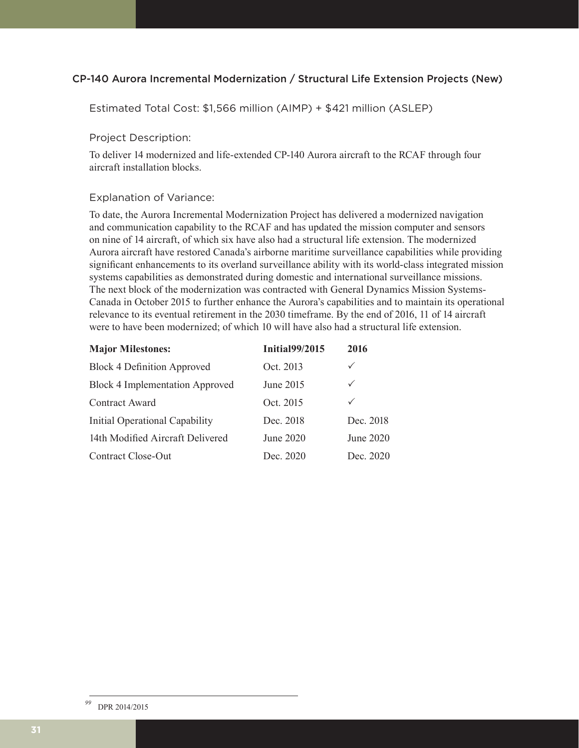#### CP-140 Aurora Incremental Modernization / Structural Life Extension Projects (New)

Estimated Total Cost: \$1,566 million (AIMP) + \$421 million (ASLEP)

#### Project Description:

To deliver 14 modernized and life-extended CP-140 Aurora aircraft to the RCAF through four aircraft installation blocks.

#### Explanation of Variance:

To date, the Aurora Incremental Modernization Project has delivered a modernized navigation and communication capability to the RCAF and has updated the mission computer and sensors on nine of 14 aircraft, of which six have also had a structural life extension. The modernized Aurora aircraft have restored Canada's airborne maritime surveillance capabilities while providing significant enhancements to its overland surveillance ability with its world-class integrated mission systems capabilities as demonstrated during domestic and international surveillance missions. The next block of the modernization was contracted with General Dynamics Mission Systems-Canada in October 2015 to further enhance the Aurora's capabilities and to maintain its operational relevance to its eventual retirement in the 2030 timeframe. By the end of 2016, 11 of 14 aircraft were to have been modernized; of which 10 will have also had a structural life extension.

| <b>Major Milestones:</b>               | <b>Initial99/2015</b> | 2016         |
|----------------------------------------|-----------------------|--------------|
| <b>Block 4 Definition Approved</b>     | Oct. 2013             | $\checkmark$ |
| <b>Block 4 Implementation Approved</b> | June 2015             | $\checkmark$ |
| Contract Award                         | Oct. 2015             | $\checkmark$ |
| Initial Operational Capability         | Dec. 2018             | Dec. 2018    |
| 14th Modified Aircraft Delivered       | June 2020             | June 2020    |
| Contract Close-Out                     | Dec. 2020             | Dec. 2020    |

*<sup>99</sup>* DPR 2014/2015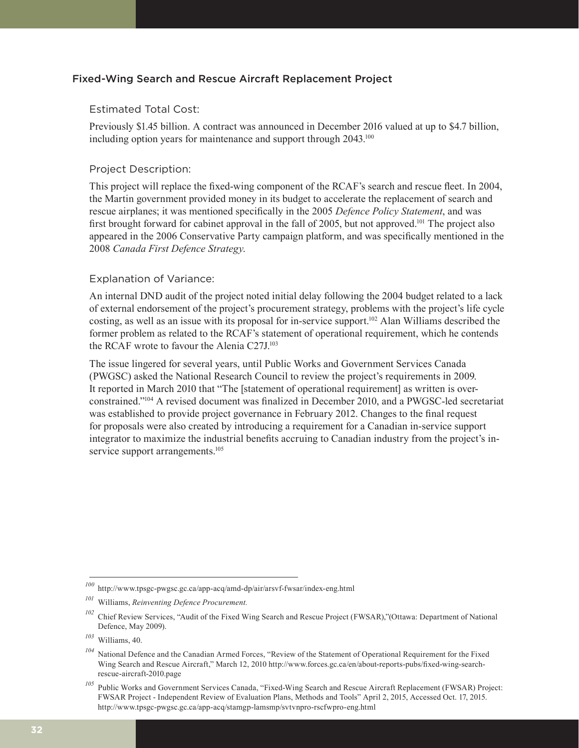#### Fixed-Wing Search and Rescue Aircraft Replacement Project

#### Estimated Total Cost:

Previously \$1.45 billion. A contract was announced in December 2016 valued at up to \$4.7 billion, including option years for maintenance and support through 2043.<sup>100</sup>

#### Project Description:

This project will replace the fixed-wing component of the RCAF's search and rescue fleet. In 2004, the Martin government provided money in its budget to accelerate the replacement of search and rescue airplanes; it was mentioned specifically in the 2005 *Defence Policy Statement*, and was first brought forward for cabinet approval in the fall of 2005, but not approved.<sup>101</sup> The project also appeared in the 2006 Conservative Party campaign platform, and was specifically mentioned in the 2008 *Canada First Defence Strategy*.

#### Explanation of Variance:

An internal DND audit of the project noted initial delay following the 2004 budget related to a lack of external endorsement of the project's procurement strategy, problems with the project's life cycle costing, as well as an issue with its proposal for in-service support.102 Alan Williams described the former problem as related to the RCAF's statement of operational requirement, which he contends the RCAF wrote to favour the Alenia C27J.103

The issue lingered for several years, until Public Works and Government Services Canada (PWGSC) asked the National Research Council to review the project's requirements in 2009. It reported in March 2010 that "The [statement of operational requirement] as written is overconstrained."104 A revised document was finalized in December 2010, and a PWGSC-led secretariat was established to provide project governance in February 2012. Changes to the final request for proposals were also created by introducing a requirement for a Canadian in-service support integrator to maximize the industrial benefits accruing to Canadian industry from the project's inservice support arrangements.<sup>105</sup>

*<sup>100</sup>* http://www.tpsgc-pwgsc.gc.ca/app-acq/amd-dp/air/arsvf-fwsar/index-eng.html

*<sup>101</sup>* Williams, *Reinventing Defence Procurement.*

<sup>&</sup>lt;sup>102</sup> Chief Review Services, "Audit of the Fixed Wing Search and Rescue Project (FWSAR),"(Ottawa: Department of National Defence, May 2009).

*<sup>103</sup>* Williams, 40.

*<sup>104</sup>* National Defence and the Canadian Armed Forces, "Review of the Statement of Operational Requirement for the Fixed Wing Search and Rescue Aircraft," March 12, 2010 http://www.forces.gc.ca/en/about-reports-pubs/fixed-wing-searchrescue-aircraft-2010.page

*<sup>105</sup>* Public Works and Government Services Canada, "Fixed-Wing Search and Rescue Aircraft Replacement (FWSAR) Project: FWSAR Project - Independent Review of Evaluation Plans, Methods and Tools" April 2, 2015, Accessed Oct. 17, 2015. http://www.tpsgc-pwgsc.gc.ca/app-acq/stamgp-lamsmp/svtvnpro-rscfwpro-eng.html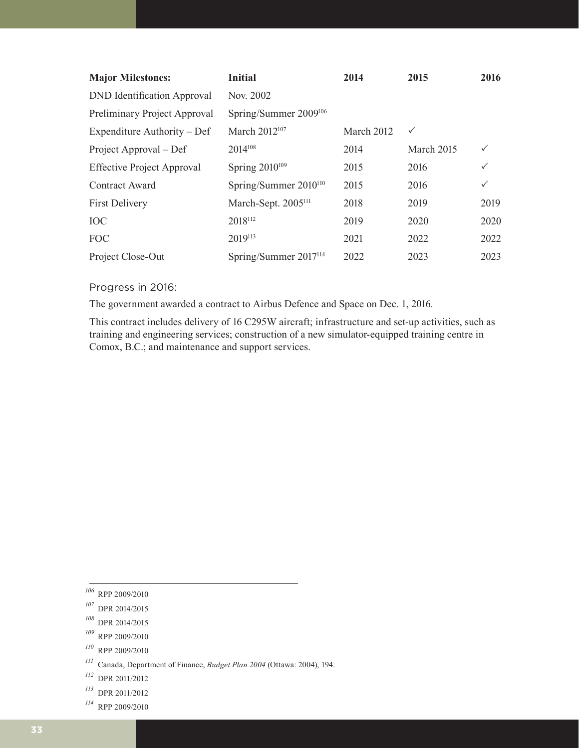| <b>Major Milestones:</b>           | <b>Initial</b>                    | 2014       | 2015         | 2016         |
|------------------------------------|-----------------------------------|------------|--------------|--------------|
| <b>DND</b> Identification Approval | Nov. 2002                         |            |              |              |
| Preliminary Project Approval       | Spring/Summer 2009 <sup>106</sup> |            |              |              |
| Expenditure Authority – Def        | March 2012 <sup>107</sup>         | March 2012 | $\checkmark$ |              |
| Project Approval – Def             | 2014108                           | 2014       | March 2015   | $\checkmark$ |
| <b>Effective Project Approval</b>  | Spring 2010 <sup>109</sup>        | 2015       | 2016         |              |
| Contract Award                     | Spring/Summer $2010^{110}$        | 2015       | 2016         | $\checkmark$ |
| <b>First Delivery</b>              | March-Sept. 2005 <sup>111</sup>   | 2018       | 2019         | 2019         |
| <b>IOC</b>                         | 2018112                           | 2019       | 2020         | 2020         |
| <b>FOC</b>                         | 2019113                           | 2021       | 2022         | 2022         |
| Project Close-Out                  | Spring/Summer $2017^{114}$        | 2022       | 2023         | 2023         |

### Progress in 2016:

The government awarded a contract to Airbus Defence and Space on Dec. 1, 2016.

This contract includes delivery of 16 C295W aircraft; infrastructure and set-up activities, such as training and engineering services; construction of a new simulator-equipped training centre in Comox, B.C.; and maintenance and support services.

- *<sup>108</sup>* DPR 2014/2015
- *<sup>109</sup>* RPP 2009/2010
- *<sup>110</sup>* RPP 2009/2010
- *<sup>111</sup>* Canada, Department of Finance, *Budget Plan 2004* (Ottawa: 2004), 194.
- *<sup>112</sup>* DPR 2011/2012
- *<sup>113</sup>* DPR 2011/2012
- *<sup>114</sup>* RPP 2009/2010

*<sup>106</sup>* RPP 2009/2010

*<sup>107</sup>* DPR 2014/2015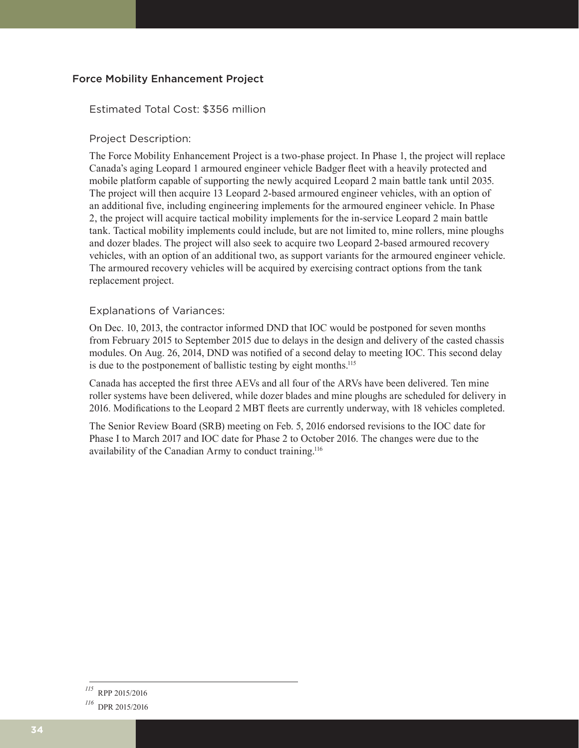#### Force Mobility Enhancement Project

#### Estimated Total Cost: \$356 million

#### Project Description:

The Force Mobility Enhancement Project is a two-phase project. In Phase 1, the project will replace Canada's aging Leopard 1 armoured engineer vehicle Badger fleet with a heavily protected and mobile platform capable of supporting the newly acquired Leopard 2 main battle tank until 2035. The project will then acquire 13 Leopard 2-based armoured engineer vehicles, with an option of an additional five, including engineering implements for the armoured engineer vehicle. In Phase 2, the project will acquire tactical mobility implements for the in-service Leopard 2 main battle tank. Tactical mobility implements could include, but are not limited to, mine rollers, mine ploughs and dozer blades. The project will also seek to acquire two Leopard 2-based armoured recovery vehicles, with an option of an additional two, as support variants for the armoured engineer vehicle. The armoured recovery vehicles will be acquired by exercising contract options from the tank replacement project.

#### Explanations of Variances:

On Dec. 10, 2013, the contractor informed DND that IOC would be postponed for seven months from February 2015 to September 2015 due to delays in the design and delivery of the casted chassis modules. On Aug. 26, 2014, DND was notified of a second delay to meeting IOC. This second delay is due to the postponement of ballistic testing by eight months.<sup>115</sup>

Canada has accepted the first three AEVs and all four of the ARVs have been delivered. Ten mine roller systems have been delivered, while dozer blades and mine ploughs are scheduled for delivery in 2016. Modifications to the Leopard 2 MBT fleets are currently underway, with 18 vehicles completed.

The Senior Review Board (SRB) meeting on Feb. 5, 2016 endorsed revisions to the IOC date for Phase I to March 2017 and IOC date for Phase 2 to October 2016. The changes were due to the availability of the Canadian Army to conduct training.116

*<sup>115</sup>* RPP 2015/2016

*<sup>116</sup>* DPR 2015/2016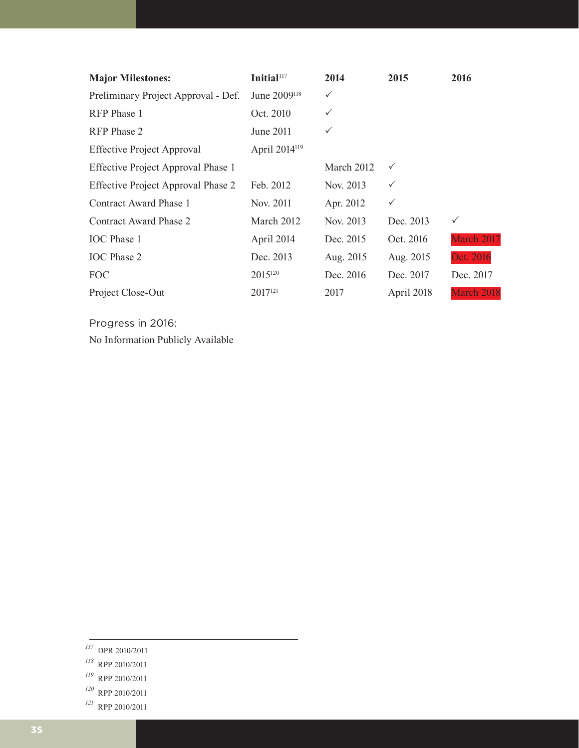| <b>Major Milestones:</b>                  | Initial <sup>117</sup>    | 2014         | 2015         | 2016         |
|-------------------------------------------|---------------------------|--------------|--------------|--------------|
| Preliminary Project Approval - Def.       | June 2009 <sup>118</sup>  | ✓            |              |              |
| RFP Phase 1                               | Oct. 2010                 | $\checkmark$ |              |              |
| RFP Phase 2                               | June 2011                 | $\checkmark$ |              |              |
| <b>Effective Project Approval</b>         | April 2014 <sup>119</sup> |              |              |              |
| Effective Project Approval Phase 1        |                           | March 2012   | $\checkmark$ |              |
| <b>Effective Project Approval Phase 2</b> | Feb. 2012                 | Nov. 2013    | $\checkmark$ |              |
| Contract Award Phase 1                    | Nov. 2011                 | Apr. 2012    | $\checkmark$ |              |
| Contract Award Phase 2                    | March 2012                | Nov. 2013    | Dec. 2013    | $\checkmark$ |
| <b>IOC</b> Phase 1                        | April 2014                | Dec. 2015    | Oct. 2016    | March 2017   |
| <b>IOC</b> Phase 2                        | Dec. 2013                 | Aug. 2015    | Aug. 2015    | Oct. 2016    |
| <b>FOC</b>                                | 2015 <sup>120</sup>       | Dec. 2016    | Dec. 2017    | Dec. 2017    |
| Project Close-Out                         | 2017 <sup>121</sup>       | 2017         | April 2018   | March 2018   |

Progress in 2016:

No Information Publicly Available

- *<sup>117</sup>* DPR 2010/2011
- *<sup>118</sup>* RPP 2010/2011
- *<sup>119</sup>* RPP 2010/2011
- *<sup>120</sup>* RPP 2010/2011
- *<sup>121</sup>* RPP 2010/2011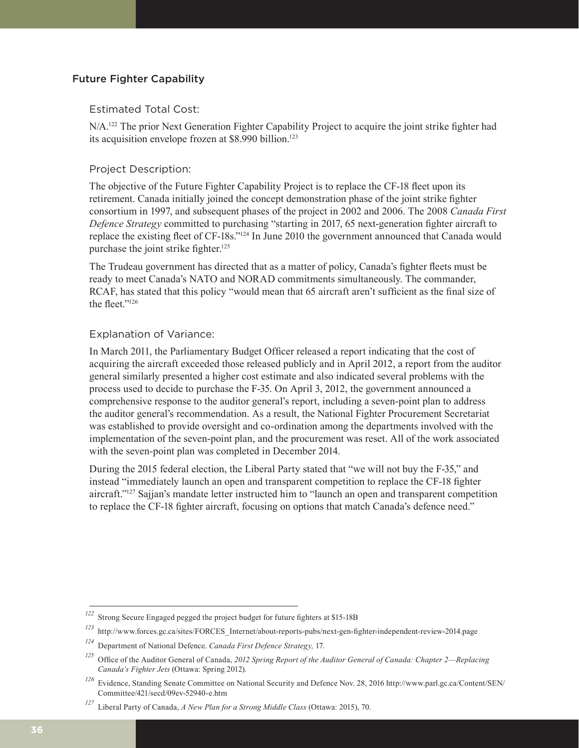#### Future Fighter Capability

#### Estimated Total Cost:

N/A.<sup>122</sup> The prior Next Generation Fighter Capability Project to acquire the joint strike fighter had its acquisition envelope frozen at \$8.990 billion.<sup>123</sup>

#### Project Description:

The objective of the Future Fighter Capability Project is to replace the CF-18 fleet upon its retirement. Canada initially joined the concept demonstration phase of the joint strike fighter consortium in 1997, and subsequent phases of the project in 2002 and 2006. The 2008 *Canada First Defence Strategy* committed to purchasing "starting in 2017, 65 next-generation fighter aircraft to replace the existing fleet of CF-18s."124 In June 2010 the government announced that Canada would purchase the joint strike fighter.<sup>125</sup>

The Trudeau government has directed that as a matter of policy, Canada's fighter fleets must be ready to meet Canada's NATO and NORAD commitments simultaneously. The commander, RCAF, has stated that this policy "would mean that 65 aircraft aren't sufficient as the final size of the fleet."<sup>126</sup>

#### Explanation of Variance:

In March 2011, the Parliamentary Budget Officer released a report indicating that the cost of acquiring the aircraft exceeded those released publicly and in April 2012, a report from the auditor general similarly presented a higher cost estimate and also indicated several problems with the process used to decide to purchase the F-35. On April 3, 2012, the government announced a comprehensive response to the auditor general's report, including a seven-point plan to address the auditor general's recommendation. As a result, the National Fighter Procurement Secretariat was established to provide oversight and co-ordination among the departments involved with the implementation of the seven-point plan, and the procurement was reset. All of the work associated with the seven-point plan was completed in December 2014.

During the 2015 federal election, the Liberal Party stated that "we will not buy the F-35," and instead "immediately launch an open and transparent competition to replace the CF-18 fighter aircraft."127 Sajjan's mandate letter instructed him to "launch an open and transparent competition to replace the CF-18 fighter aircraft, focusing on options that match Canada's defence need."

*<sup>122</sup>* Strong Secure Engaged pegged the project budget for future fighters at \$15-18B

*<sup>123</sup>* http://www.forces.gc.ca/sites/FORCES\_Internet/about-reports-pubs/next-gen-fighter-independent-review-2014.page

*<sup>124</sup>* Department of National Defence. *Canada First Defence Strategy,* 17.

*<sup>125</sup>* Office of the Auditor General of Canada, *2012 Spring Report of the Auditor General of Canada: Chapter 2—Replacing Canada's Fighter Jets* (Ottawa: Spring 2012).

*<sup>126</sup>* Evidence, Standing Senate Committee on National Security and Defence Nov. 28, 2016 http://www.parl.gc.ca/Content/SEN/ Committee/421/secd/09ev-52940-e.htm

*<sup>127</sup>* Liberal Party of Canada, *A New Plan for a Strong Middle Class* (Ottawa: 2015), 70.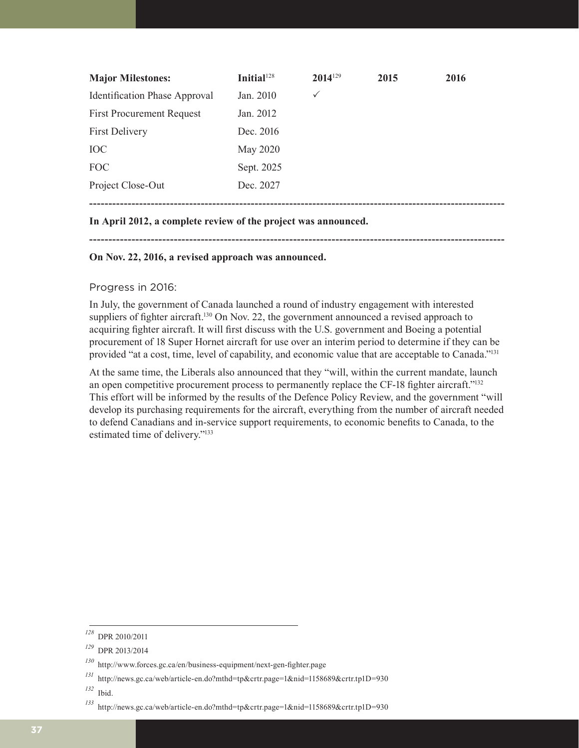| <b>Major Milestones:</b>             | Initial <sup>128</sup> | 2014129      | 2015 | 2016 |
|--------------------------------------|------------------------|--------------|------|------|
| <b>Identification Phase Approval</b> | Jan. 2010              | $\checkmark$ |      |      |
| <b>First Procurement Request</b>     | Jan. 2012              |              |      |      |
| <b>First Delivery</b>                | Dec. 2016              |              |      |      |
| <b>IOC</b>                           | May 2020               |              |      |      |
| <b>FOC</b>                           | Sept. 2025             |              |      |      |
| Project Close-Out                    | Dec. 2027              |              |      |      |
|                                      |                        |              |      |      |

#### **In April 2012, a complete review of the project was announced.**

**------------------------------------------------------------------------------------------------------------**

#### **On Nov. 22, 2016, a revised approach was announced.**

#### Progress in 2016:

In July, the government of Canada launched a round of industry engagement with interested suppliers of fighter aircraft.<sup>130</sup> On Nov. 22, the government announced a revised approach to acquiring fighter aircraft. It will first discuss with the U.S. government and Boeing a potential procurement of 18 Super Hornet aircraft for use over an interim period to determine if they can be provided "at a cost, time, level of capability, and economic value that are acceptable to Canada."<sup>131</sup>

At the same time, the Liberals also announced that they "will, within the current mandate, launch an open competitive procurement process to permanently replace the CF-18 fighter aircraft."<sup>132</sup> This effort will be informed by the results of the Defence Policy Review, and the government "will develop its purchasing requirements for the aircraft, everything from the number of aircraft needed to defend Canadians and in-service support requirements, to economic benefits to Canada, to the estimated time of delivery."133

*<sup>128</sup>* DPR 2010/2011

*<sup>129</sup>* DPR 2013/2014

*<sup>130</sup>* http://www.forces.gc.ca/en/business-equipment/next-gen-fighter.page

*<sup>131</sup>* http://news.gc.ca/web/article-en.do?mthd=tp&crtr.page=1&nid=1158689&crtr.tp1D=930

*<sup>132</sup>* Ibid.

*<sup>133</sup>* http://news.gc.ca/web/article-en.do?mthd=tp&crtr.page=1&nid=1158689&crtr.tp1D=930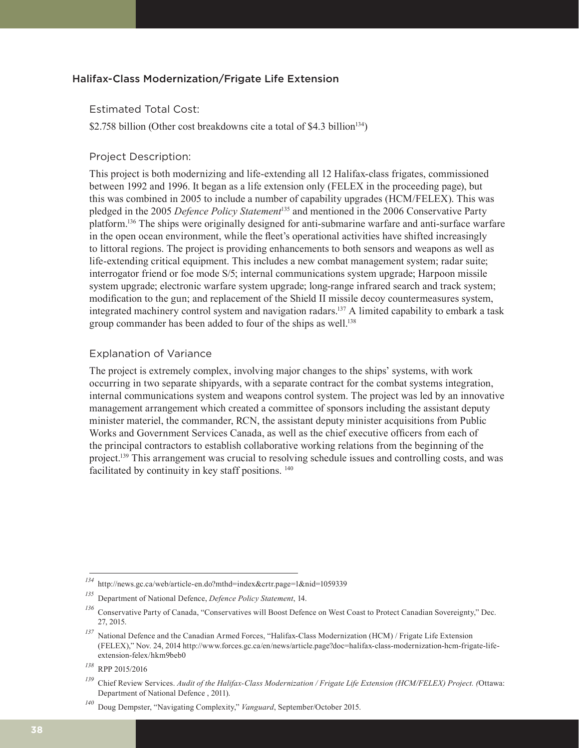#### Halifax-Class Modernization/Frigate Life Extension

#### Estimated Total Cost:

\$2.758 billion (Other cost breakdowns cite a total of \$4.3 billion<sup>134</sup>)

#### Project Description:

This project is both modernizing and life-extending all 12 Halifax-class frigates, commissioned between 1992 and 1996. It began as a life extension only (FELEX in the proceeding page), but this was combined in 2005 to include a number of capability upgrades (HCM/FELEX). This was pledged in the 2005 *Defence Policy Statement*135 and mentioned in the 2006 Conservative Party platform.136 The ships were originally designed for anti-submarine warfare and anti-surface warfare in the open ocean environment, while the fleet's operational activities have shifted increasingly to littoral regions. The project is providing enhancements to both sensors and weapons as well as life-extending critical equipment. This includes a new combat management system; radar suite; interrogator friend or foe mode S/5; internal communications system upgrade; Harpoon missile system upgrade; electronic warfare system upgrade; long-range infrared search and track system; modification to the gun; and replacement of the Shield II missile decoy countermeasures system, integrated machinery control system and navigation radars.137 A limited capability to embark a task group commander has been added to four of the ships as well.<sup>138</sup>

#### Explanation of Variance

The project is extremely complex, involving major changes to the ships' systems, with work occurring in two separate shipyards, with a separate contract for the combat systems integration, internal communications system and weapons control system. The project was led by an innovative management arrangement which created a committee of sponsors including the assistant deputy minister materiel, the commander, RCN, the assistant deputy minister acquisitions from Public Works and Government Services Canada, as well as the chief executive officers from each of the principal contractors to establish collaborative working relations from the beginning of the project.139 This arrangement was crucial to resolving schedule issues and controlling costs, and was facilitated by continuity in key staff positions. <sup>140</sup>

*<sup>134</sup>* http://news.gc.ca/web/article-en.do?mthd=index&crtr.page=1&nid=1059339

*<sup>135</sup>* Department of National Defence, *Defence Policy Statement*, 14.

<sup>&</sup>lt;sup>136</sup> Conservative Party of Canada, "Conservatives will Boost Defence on West Coast to Protect Canadian Sovereignty," Dec. 27, 2015.

*National Defence and the Canadian Armed Forces, "Halifax-Class Modernization (HCM) / Frigate Life Extension* (FELEX)," Nov. 24, 2014 http://www.forces.gc.ca/en/news/article.page?doc=halifax-class-modernization-hcm-frigate-lifeextension-felex/hkm9beb0

*<sup>138</sup>* RPP 2015/2016

*<sup>139</sup>* Chief Review Services. *Audit of the Halifax-Class Modernization / Frigate Life Extension (HCM/FELEX) Project. (*Ottawa: Department of National Defence , 2011).

*<sup>140</sup>* Doug Dempster, "Navigating Complexity," *Vanguard*, September/October 2015.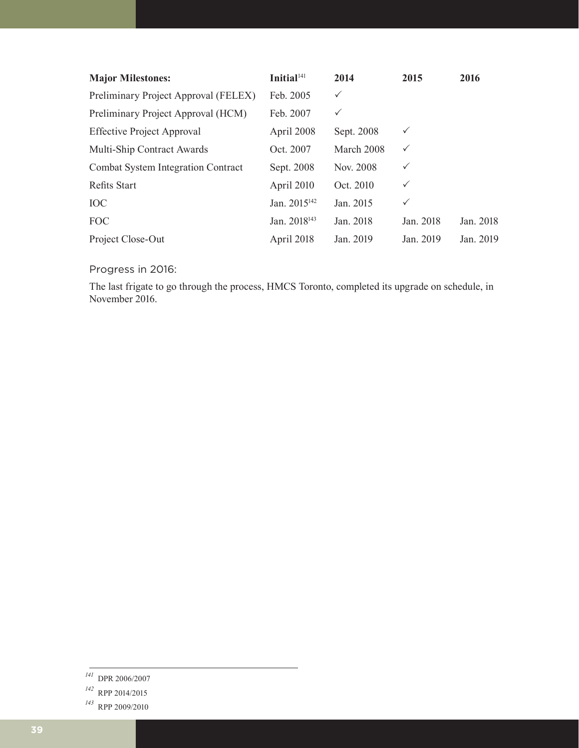| <b>Major Milestones:</b>             | Initial <sup>141</sup>   | 2014         | 2015         | 2016      |
|--------------------------------------|--------------------------|--------------|--------------|-----------|
| Preliminary Project Approval (FELEX) | Feb. 2005                | $\checkmark$ |              |           |
| Preliminary Project Approval (HCM)   | Feb. 2007                | $\checkmark$ |              |           |
| <b>Effective Project Approval</b>    | April 2008               | Sept. 2008   | ✓            |           |
| Multi-Ship Contract Awards           | Oct. 2007                | March 2008   | $\checkmark$ |           |
| Combat System Integration Contract   | Sept. 2008               | Nov. 2008    | $\checkmark$ |           |
| <b>Refits Start</b>                  | April 2010               | Oct. 2010    | $\checkmark$ |           |
| <b>IOC</b>                           | Jan. 2015 <sup>142</sup> | Jan. 2015    | $\checkmark$ |           |
| <b>FOC</b>                           | Jan. 2018 <sup>143</sup> | Jan. 2018    | Jan. 2018    | Jan. 2018 |
| Project Close-Out                    | April 2018               | Jan. 2019    | Jan. 2019    | Jan. 2019 |

Progress in 2016:

The last frigate to go through the process, HMCS Toronto, completed its upgrade on schedule, in November 2016.

*<sup>141</sup>* DPR 2006/2007

*<sup>142</sup>* RPP 2014/2015

*<sup>143</sup>* RPP 2009/2010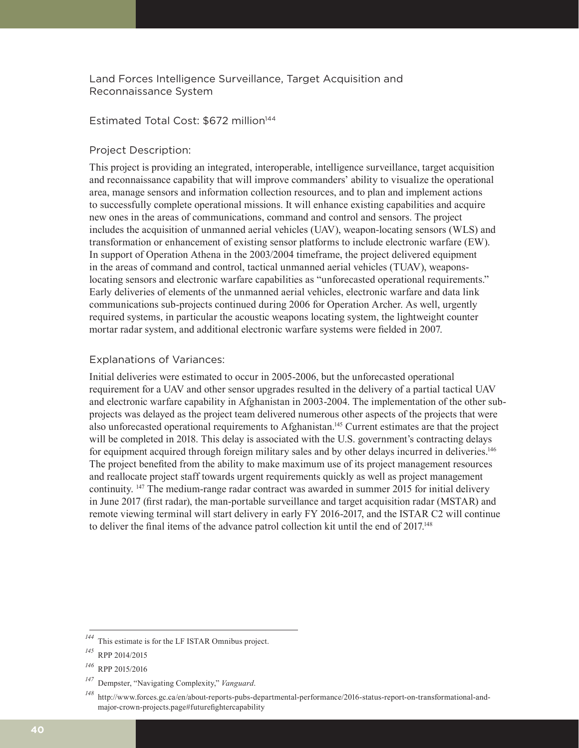Land Forces Intelligence Surveillance, Target Acquisition and Reconnaissance System

#### Estimated Total Cost: \$672 million<sup>144</sup>

#### Project Description:

This project is providing an integrated, interoperable, intelligence surveillance, target acquisition and reconnaissance capability that will improve commanders' ability to visualize the operational area, manage sensors and information collection resources, and to plan and implement actions to successfully complete operational missions. It will enhance existing capabilities and acquire new ones in the areas of communications, command and control and sensors. The project includes the acquisition of unmanned aerial vehicles (UAV), weapon-locating sensors (WLS) and transformation or enhancement of existing sensor platforms to include electronic warfare (EW). In support of Operation Athena in the 2003/2004 timeframe, the project delivered equipment in the areas of command and control, tactical unmanned aerial vehicles (TUAV), weaponslocating sensors and electronic warfare capabilities as "unforecasted operational requirements." Early deliveries of elements of the unmanned aerial vehicles, electronic warfare and data link communications sub-projects continued during 2006 for Operation Archer. As well, urgently required systems, in particular the acoustic weapons locating system, the lightweight counter mortar radar system, and additional electronic warfare systems were fielded in 2007.

#### Explanations of Variances:

Initial deliveries were estimated to occur in 2005-2006, but the unforecasted operational requirement for a UAV and other sensor upgrades resulted in the delivery of a partial tactical UAV and electronic warfare capability in Afghanistan in 2003-2004. The implementation of the other subprojects was delayed as the project team delivered numerous other aspects of the projects that were also unforecasted operational requirements to Afghanistan.145 Current estimates are that the project will be completed in 2018. This delay is associated with the U.S. government's contracting delays for equipment acquired through foreign military sales and by other delays incurred in deliveries.<sup>146</sup> The project benefited from the ability to make maximum use of its project management resources and reallocate project staff towards urgent requirements quickly as well as project management continuity. 147 The medium-range radar contract was awarded in summer 2015 for initial delivery in June 2017 (first radar), the man-portable surveillance and target acquisition radar (MSTAR) and remote viewing terminal will start delivery in early FY 2016-2017, and the ISTAR C2 will continue to deliver the final items of the advance patrol collection kit until the end of 2017.<sup>148</sup>

This estimate is for the LF ISTAR Omnibus project.

*<sup>145</sup>* RPP 2014/2015

*<sup>146</sup>* RPP 2015/2016

*<sup>147</sup>* Dempster, "Navigating Complexity," *Vanguard*.

*<sup>148</sup>* http://www.forces.gc.ca/en/about-reports-pubs-departmental-performance/2016-status-report-on-transformational-andmajor-crown-projects.page#futurefightercapability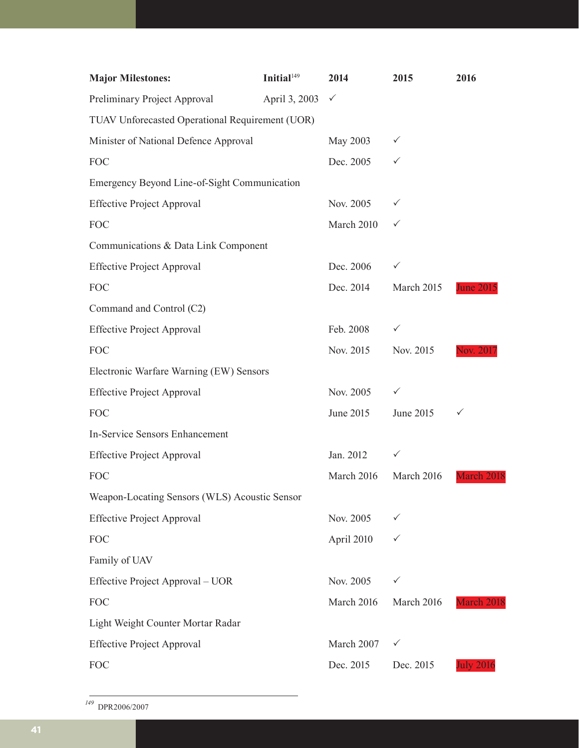| <b>Major Milestones:</b>                        | Initial <sup>149</sup> | 2014       | 2015       | 2016             |
|-------------------------------------------------|------------------------|------------|------------|------------------|
| Preliminary Project Approval                    | April 3, 2003          | ✓          |            |                  |
| TUAV Unforecasted Operational Requirement (UOR) |                        |            |            |                  |
| Minister of National Defence Approval           |                        | May 2003   | ✓          |                  |
| <b>FOC</b>                                      |                        | Dec. 2005  | ✓          |                  |
| Emergency Beyond Line-of-Sight Communication    |                        |            |            |                  |
| <b>Effective Project Approval</b>               |                        | Nov. 2005  | ✓          |                  |
| <b>FOC</b>                                      |                        | March 2010 | ✓          |                  |
| Communications & Data Link Component            |                        |            |            |                  |
| <b>Effective Project Approval</b>               |                        | Dec. 2006  | ✓          |                  |
| <b>FOC</b>                                      |                        | Dec. 2014  | March 2015 | <b>June 2015</b> |
| Command and Control (C2)                        |                        |            |            |                  |
| <b>Effective Project Approval</b>               |                        | Feb. 2008  | ✓          |                  |
| <b>FOC</b>                                      |                        | Nov. 2015  | Nov. 2015  | Nov. 2011        |
| Electronic Warfare Warning (EW) Sensors         |                        |            |            |                  |
| <b>Effective Project Approval</b>               |                        | Nov. 2005  | ✓          |                  |
| <b>FOC</b>                                      |                        | June 2015  | June 2015  | ✓                |
| <b>In-Service Sensors Enhancement</b>           |                        |            |            |                  |
| <b>Effective Project Approval</b>               |                        | Jan. 2012  | ✓          |                  |
| <b>FOC</b>                                      |                        | March 2016 | March 2016 | March 2018       |
| Weapon-Locating Sensors (WLS) Acoustic Sensor   |                        |            |            |                  |
| <b>Effective Project Approval</b>               |                        | Nov. 2005  | ✓          |                  |
| <b>FOC</b>                                      |                        | April 2010 | ✓          |                  |
| Family of UAV                                   |                        |            |            |                  |
| Effective Project Approval – UOR                |                        | Nov. 2005  | ✓          |                  |
| <b>FOC</b>                                      |                        | March 2016 | March 2016 | March 2018       |
| Light Weight Counter Mortar Radar               |                        |            |            |                  |
| <b>Effective Project Approval</b>               |                        | March 2007 | ✓          |                  |
| <b>FOC</b>                                      |                        | Dec. 2015  | Dec. 2015  | <b>July 2016</b> |

*<sup>149</sup>* DPR2006/2007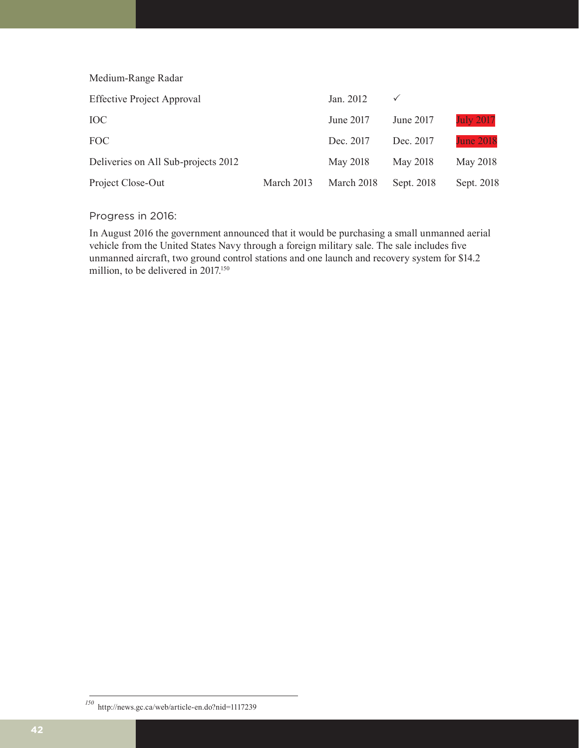Medium-Range Radar Effective Project Approval Jan. 2012  $\checkmark$ IOC June 2017 June 2017 July 2017 FOC Dec. 2017 Dec. 2017 Dec. 2017 June 2018 Deliveries on All Sub-projects 2012 May 2018 May 2018 May 2018 May 2018 Project Close-Out March 2013 March 2018 Sept. 2018 Sept. 2018

#### Progress in 2016:

In August 2016 the government announced that it would be purchasing a small unmanned aerial vehicle from the United States Navy through a foreign military sale. The sale includes five unmanned aircraft, two ground control stations and one launch and recovery system for \$14.2 million, to be delivered in 2017.<sup>150</sup>

*<sup>150</sup>* http://news.gc.ca/web/article-en.do?nid=1117239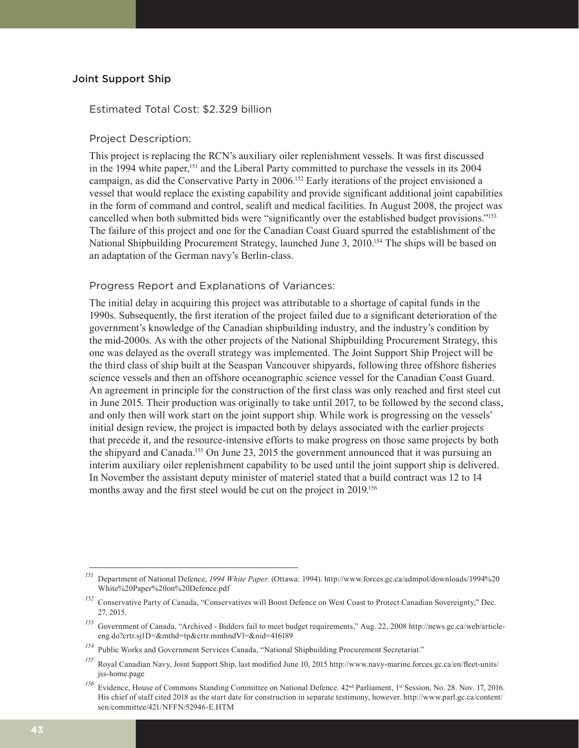#### Joint Support Ship

#### Estimated Total Cost: \$2.329 billion

#### Project Description:

This project is replacing the RCN's auxiliary oiler replenishment vessels. It was first discussed in the 1994 white paper,<sup>151</sup> and the Liberal Party committed to purchase the vessels in its 2004 campaign, as did the Conservative Party in 2006.152 Early iterations of the project envisioned a vessel that would replace the existing capability and provide significant additional joint capabilities in the form of command and control, sealift and medical facilities. In August 2008, the project was cancelled when both submitted bids were "significantly over the established budget provisions."<sup>153</sup> The failure of this project and one for the Canadian Coast Guard spurred the establishment of the National Shipbuilding Procurement Strategy, launched June 3, 2010.<sup>154</sup> The ships will be based on an adaptation of the German navy's Berlin-class.

#### Progress Report and Explanations of Variances:

The initial delay in acquiring this project was attributable to a shortage of capital funds in the 1990s. Subsequently, the first iteration of the project failed due to a significant deterioration of the government's knowledge of the Canadian shipbuilding industry, and the industry's condition by the mid-2000s. As with the other projects of the National Shipbuilding Procurement Strategy, this one was delayed as the overall strategy was implemented. The Joint Support Ship Project will be the third class of ship built at the Seaspan Vancouver shipyards, following three offshore fisheries science vessels and then an offshore oceanographic science vessel for the Canadian Coast Guard. An agreement in principle for the construction of the first class was only reached and first steel cut in June 2015. Their production was originally to take until 2017, to be followed by the second class, and only then will work start on the joint support ship. While work is progressing on the vessels' initial design review, the project is impacted both by delays associated with the earlier projects that precede it, and the resource-intensive efforts to make progress on those same projects by both the shipyard and Canada.155 On June 23, 2015 the government announced that it was pursuing an interim auxiliary oiler replenishment capability to be used until the joint support ship is delivered. In November the assistant deputy minister of materiel stated that a build contract was 12 to 14 months away and the first steel would be cut on the project in 2019.<sup>156</sup>

*<sup>151</sup>* Department of National Defence, *1994 White Paper*. (Ottawa: 1994). http://www.forces.gc.ca/admpol/downloads/1994%20 White%20Paper%20on%20Defence.pdf

<sup>&</sup>lt;sup>152</sup> Conservative Party of Canada, "Conservatives will Boost Defence on West Coast to Protect Canadian Sovereignty," Dec. 27, 2015.

*<sup>153</sup>* Government of Canada, "Archived - Bidders fail to meet budget requirements," Aug. 22, 2008 http://news.gc.ca/web/articleeng.do?crtr.sj1D=&mthd=tp&crtr.mnthndVl=&nid=416189

*<sup>154</sup>* Public Works and Government Services Canada, "National Shipbuilding Procurement Secretariat."

*<sup>155</sup>* Royal Canadian Navy, Joint Support Ship, last modified June 10, 2015 http://www.navy-marine.forces.gc.ca/en/fleet-units/ jss-home.page

<sup>&</sup>lt;sup>156</sup> Evidence, House of Commons Standing Committee on National Defence. 42<sup>nd</sup> Parliament, 1<sup>st</sup> Session, No. 28. Nov. 17, 2016. His chief of staff cited 2018 as the start date for construction in separate testimony, however. http://www.parl.gc.ca/content/ sen/committee/421/NFFN/52946-E.HTM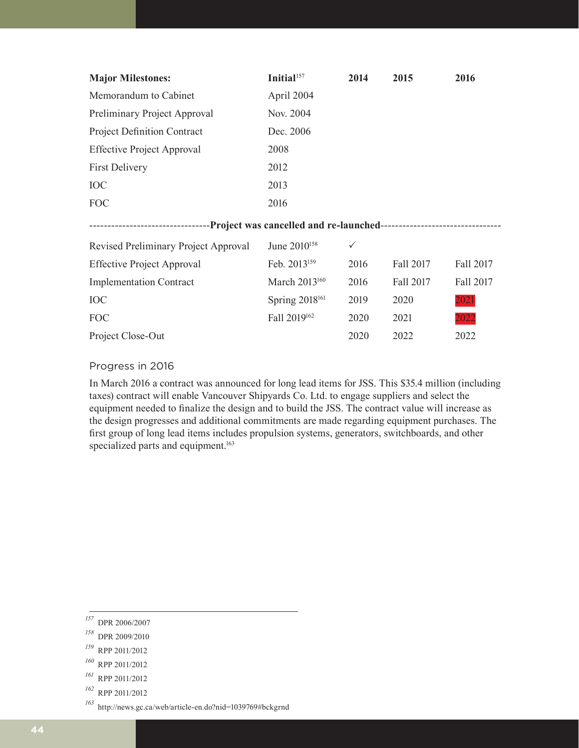| <b>Major Milestones:</b>           | Initial $157$ | 2014 | 2015 | 2016 |
|------------------------------------|---------------|------|------|------|
| Memorandum to Cabinet              | April 2004    |      |      |      |
| Preliminary Project Approval       | Nov. 2004     |      |      |      |
| <b>Project Definition Contract</b> | Dec. 2006     |      |      |      |
| <b>Effective Project Approval</b>  | 2008          |      |      |      |
| <b>First Delivery</b>              | 2012          |      |      |      |
| <b>IOC</b>                         | 2013          |      |      |      |
| FOC                                | 2016          |      |      |      |
|                                    |               |      |      |      |

#### ---------------------------------**Project was cancelled and re-launched**---------------------------------

| Revised Preliminary Project Approval | June 2010 <sup>158</sup>   | $\checkmark$ |           |           |
|--------------------------------------|----------------------------|--------------|-----------|-----------|
| <b>Effective Project Approval</b>    | Feb. 2013 <sup>159</sup>   | 2016         | Fall 2017 | Fall 2017 |
| <b>Implementation Contract</b>       | March 2013 <sup>160</sup>  | 2016         | Fall 2017 | Fall 2017 |
| <b>IOC</b>                           | Spring 2018 <sup>161</sup> | 2019         | 2020      | 2021      |
| FOC                                  | Fall 2019 <sup>162</sup>   | 2020         | 2021      | 2022      |
| Project Close-Out                    |                            | 2020         | 2022      | 2022      |

#### Progress in 2016

In March 2016 a contract was announced for long lead items for JSS. This \$35.4 million (including taxes) contract will enable Vancouver Shipyards Co. Ltd. to engage suppliers and select the equipment needed to finalize the design and to build the JSS. The contract value will increase as the design progresses and additional commitments are made regarding equipment purchases. The first group of long lead items includes propulsion systems, generators, switchboards, and other specialized parts and equipment.<sup>163</sup>

*<sup>157</sup>* DPR 2006/2007

*<sup>158</sup>* DPR 2009/2010

*<sup>159</sup>* RPP 2011/2012

*<sup>160</sup>* RPP 2011/2012

*<sup>161</sup>* RPP 2011/2012

*<sup>162</sup>* RPP 2011/2012

*<sup>163</sup>* http://news.gc.ca/web/article-en.do?nid=1039769#bckgrnd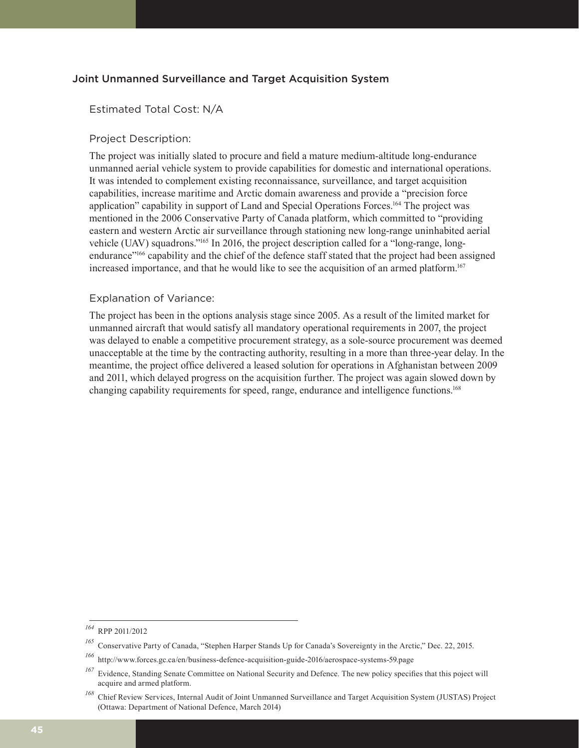#### Joint Unmanned Surveillance and Target Acquisition System

#### Estimated Total Cost: N/A

#### Project Description:

The project was initially slated to procure and field a mature medium-altitude long-endurance unmanned aerial vehicle system to provide capabilities for domestic and international operations. It was intended to complement existing reconnaissance, surveillance, and target acquisition capabilities, increase maritime and Arctic domain awareness and provide a "precision force application" capability in support of Land and Special Operations Forces.164 The project was mentioned in the 2006 Conservative Party of Canada platform, which committed to "providing eastern and western Arctic air surveillance through stationing new long-range uninhabited aerial vehicle (UAV) squadrons."165 In 2016, the project description called for a "long-range, longendurance"166 capability and the chief of the defence staff stated that the project had been assigned increased importance, and that he would like to see the acquisition of an armed platform.<sup>167</sup>

#### Explanation of Variance:

The project has been in the options analysis stage since 2005. As a result of the limited market for unmanned aircraft that would satisfy all mandatory operational requirements in 2007, the project was delayed to enable a competitive procurement strategy, as a sole-source procurement was deemed unacceptable at the time by the contracting authority, resulting in a more than three-year delay. In the meantime, the project office delivered a leased solution for operations in Afghanistan between 2009 and 2011, which delayed progress on the acquisition further. The project was again slowed down by changing capability requirements for speed, range, endurance and intelligence functions.168

*<sup>164</sup>* RPP 2011/2012

*<sup>165</sup>* Conservative Party of Canada, "Stephen Harper Stands Up for Canada's Sovereignty in the Arctic," Dec. 22, 2015.

*<sup>166</sup>* http://www.forces.gc.ca/en/business-defence-acquisition-guide-2016/aerospace-systems-59.page

*<sup>167</sup>* Evidence, Standing Senate Committee on National Security and Defence. The new policy specifies that this poject will acquire and armed platform.

*<sup>168</sup>* Chief Review Services, Internal Audit of Joint Unmanned Surveillance and Target Acquisition System (JUSTAS) Project (Ottawa: Department of National Defence, March 2014)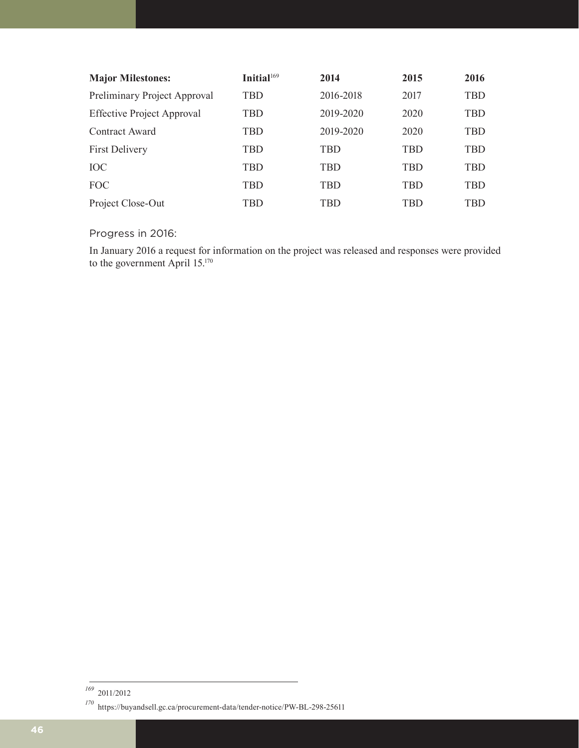| <b>Major Milestones:</b>          | Initial <sup>169</sup> | 2014      | 2015       | 2016       |
|-----------------------------------|------------------------|-----------|------------|------------|
| Preliminary Project Approval      | TBD                    | 2016-2018 | 2017       | TBD        |
| <b>Effective Project Approval</b> | TBD                    | 2019-2020 | 2020       | TBD        |
| Contract Award                    | TBD                    | 2019-2020 | 2020       | <b>TBD</b> |
| <b>First Delivery</b>             | TBD                    | TBD       | <b>TBD</b> | TBD        |
| <b>IOC</b>                        | <b>TBD</b>             | TBD       | <b>TBD</b> | TBD        |
| <b>FOC</b>                        | <b>TBD</b>             | TBD       | <b>TBD</b> | TBD        |
| Project Close-Out                 | TBD                    | TBD       | TBD        | TBD        |

Progress in 2016:

In January 2016 a request for information on the project was released and responses were provided to the government April 15.170

*<sup>169</sup>* 2011/2012

*<sup>170</sup>* https://buyandsell.gc.ca/procurement-data/tender-notice/PW-BL-298-25611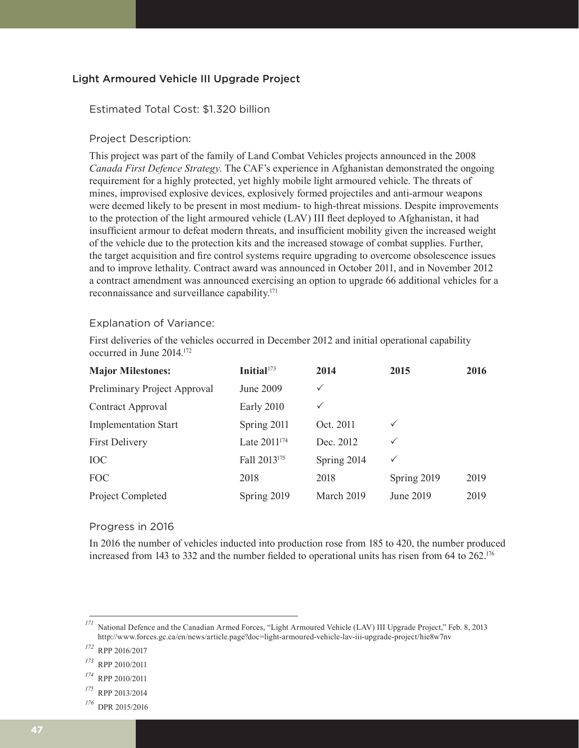#### Light Armoured Vehicle III Upgrade Project

#### Estimated Total Cost: \$1.320 billion

#### Project Description:

This project was part of the family of Land Combat Vehicles projects announced in the 2008 *Canada First Defence Strategy*. The CAF's experience in Afghanistan demonstrated the ongoing requirement for a highly protected, yet highly mobile light armoured vehicle. The threats of mines, improvised explosive devices, explosively formed projectiles and anti-armour weapons were deemed likely to be present in most medium- to high-threat missions. Despite improvements to the protection of the light armoured vehicle (LAV) III fleet deployed to Afghanistan, it had insufficient armour to defeat modern threats, and insufficient mobility given the increased weight of the vehicle due to the protection kits and the increased stowage of combat supplies. Further, the target acquisition and fire control systems require upgrading to overcome obsolescence issues and to improve lethality. Contract award was announced in October 2011, and in November 2012 a contract amendment was announced exercising an option to upgrade 66 additional vehicles for a reconnaissance and surveillance capability.171

#### Explanation of Variance:

First deliveries of the vehicles occurred in December 2012 and initial operational capability occurred in June 2014.172

| <b>Major Milestones:</b>     | Initial <sup>173</sup>   | 2014         | 2015         | 2016 |
|------------------------------|--------------------------|--------------|--------------|------|
| Preliminary Project Approval | June 2009                | $\checkmark$ |              |      |
| Contract Approval            | Early 2010               | $\checkmark$ |              |      |
| <b>Implementation Start</b>  | Spring 2011              | Oct. 2011    | $\checkmark$ |      |
| <b>First Delivery</b>        | Late 2011 <sup>174</sup> | Dec. 2012    | ✓            |      |
| <b>IOC</b>                   | Fall 2013 <sup>175</sup> | Spring 2014  | $\checkmark$ |      |
| FOC                          | 2018                     | 2018         | Spring 2019  | 2019 |
| Project Completed            | Spring 2019              | March 2019   | June 2019    | 2019 |

#### Progress in 2016

In 2016 the number of vehicles inducted into production rose from 185 to 420, the number produced increased from 143 to 332 and the number fielded to operational units has risen from 64 to 262.<sup>176</sup>

- *<sup>175</sup>* RPP 2013/2014
- *<sup>176</sup>* DPR 2015/2016

<sup>&</sup>lt;sup>171</sup> National Defence and the Canadian Armed Forces, "Light Armoured Vehicle (LAV) III Upgrade Project," Feb. 8, 2013 http://www.forces.gc.ca/en/news/article.page?doc=light-armoured-vehicle-lav-iii-upgrade-project/hie8w7nv

*<sup>172</sup>* RPP 2016/2017

*<sup>173</sup>* RPP 2010/2011

*<sup>174</sup>* RPP 2010/2011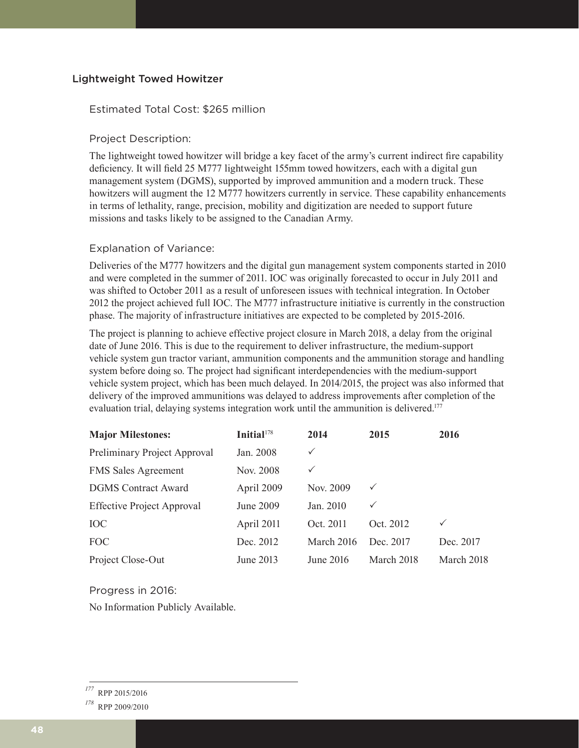#### Lightweight Towed Howitzer

#### Estimated Total Cost: \$265 million

#### Project Description:

The lightweight towed howitzer will bridge a key facet of the army's current indirect fire capability deficiency. It will field 25 M777 lightweight 155mm towed howitzers, each with a digital gun management system (DGMS), supported by improved ammunition and a modern truck. These howitzers will augment the 12 M777 howitzers currently in service. These capability enhancements in terms of lethality, range, precision, mobility and digitization are needed to support future missions and tasks likely to be assigned to the Canadian Army.

#### Explanation of Variance:

Deliveries of the M777 howitzers and the digital gun management system components started in 2010 and were completed in the summer of 2011. IOC was originally forecasted to occur in July 2011 and was shifted to October 2011 as a result of unforeseen issues with technical integration. In October 2012 the project achieved full IOC. The M777 infrastructure initiative is currently in the construction phase. The majority of infrastructure initiatives are expected to be completed by 2015-2016.

The project is planning to achieve effective project closure in March 2018, a delay from the original date of June 2016. This is due to the requirement to deliver infrastructure, the medium-support vehicle system gun tractor variant, ammunition components and the ammunition storage and handling system before doing so. The project had significant interdependencies with the medium-support vehicle system project, which has been much delayed. In 2014/2015, the project was also informed that delivery of the improved ammunitions was delayed to address improvements after completion of the evaluation trial, delaying systems integration work until the ammunition is delivered.<sup>177</sup>

| <b>Major Milestones:</b>          | Initial <sup>178</sup> | 2014         | 2015         | 2016         |
|-----------------------------------|------------------------|--------------|--------------|--------------|
| Preliminary Project Approval      | Jan. 2008              | $\checkmark$ |              |              |
| <b>FMS Sales Agreement</b>        | Nov. 2008              | ✓            |              |              |
| <b>DGMS</b> Contract Award        | April 2009             | Nov. 2009    | $\checkmark$ |              |
| <b>Effective Project Approval</b> | June 2009              | Jan. 2010    | $\checkmark$ |              |
| <b>IOC</b>                        | April 2011             | Oct. 2011    | Oct. 2012    | $\checkmark$ |
| <b>FOC</b>                        | Dec. 2012              | March 2016   | Dec. 2017    | Dec. 2017    |
| Project Close-Out                 | June 2013              | June 2016    | March 2018   | March 2018   |

Progress in 2016:

No Information Publicly Available.

*<sup>177</sup>* RPP 2015/2016

*<sup>178</sup>* RPP 2009/2010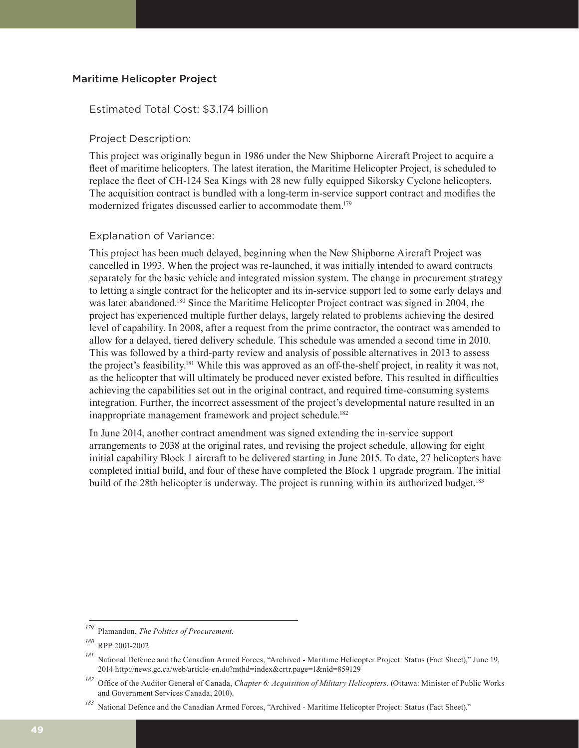#### Maritime Helicopter Project

#### Estimated Total Cost: \$3.174 billion

#### Project Description:

This project was originally begun in 1986 under the New Shipborne Aircraft Project to acquire a fleet of maritime helicopters. The latest iteration, the Maritime Helicopter Project, is scheduled to replace the fleet of CH-124 Sea Kings with 28 new fully equipped Sikorsky Cyclone helicopters. The acquisition contract is bundled with a long-term in-service support contract and modifies the modernized frigates discussed earlier to accommodate them.<sup>179</sup>

#### Explanation of Variance:

This project has been much delayed, beginning when the New Shipborne Aircraft Project was cancelled in 1993. When the project was re-launched, it was initially intended to award contracts separately for the basic vehicle and integrated mission system. The change in procurement strategy to letting a single contract for the helicopter and its in-service support led to some early delays and was later abandoned.180 Since the Maritime Helicopter Project contract was signed in 2004, the project has experienced multiple further delays, largely related to problems achieving the desired level of capability. In 2008, after a request from the prime contractor, the contract was amended to allow for a delayed, tiered delivery schedule. This schedule was amended a second time in 2010. This was followed by a third-party review and analysis of possible alternatives in 2013 to assess the project's feasibility.181 While this was approved as an off-the-shelf project, in reality it was not, as the helicopter that will ultimately be produced never existed before. This resulted in difficulties achieving the capabilities set out in the original contract, and required time-consuming systems integration. Further, the incorrect assessment of the project's developmental nature resulted in an inappropriate management framework and project schedule.<sup>182</sup>

In June 2014, another contract amendment was signed extending the in-service support arrangements to 2038 at the original rates, and revising the project schedule, allowing for eight initial capability Block 1 aircraft to be delivered starting in June 2015. To date, 27 helicopters have completed initial build, and four of these have completed the Block 1 upgrade program. The initial build of the 28th helicopter is underway. The project is running within its authorized budget.<sup>183</sup>

*<sup>179</sup>* Plamandon, *The Politics of Procurement.*

*<sup>180</sup>* RPP 2001-2002

*<sup>181</sup>* National Defence and the Canadian Armed Forces, "Archived - Maritime Helicopter Project: Status (Fact Sheet)," June 19, 2014 http://news.gc.ca/web/article-en.do?mthd=index&crtr.page=1&nid=859129

*<sup>182</sup>* Office of the Auditor General of Canada, *Chapter 6: Acquisition of Military Helicopters.* (Ottawa: Minister of Public Works and Government Services Canada, 2010).

*<sup>183</sup>* National Defence and the Canadian Armed Forces, "Archived - Maritime Helicopter Project: Status (Fact Sheet)."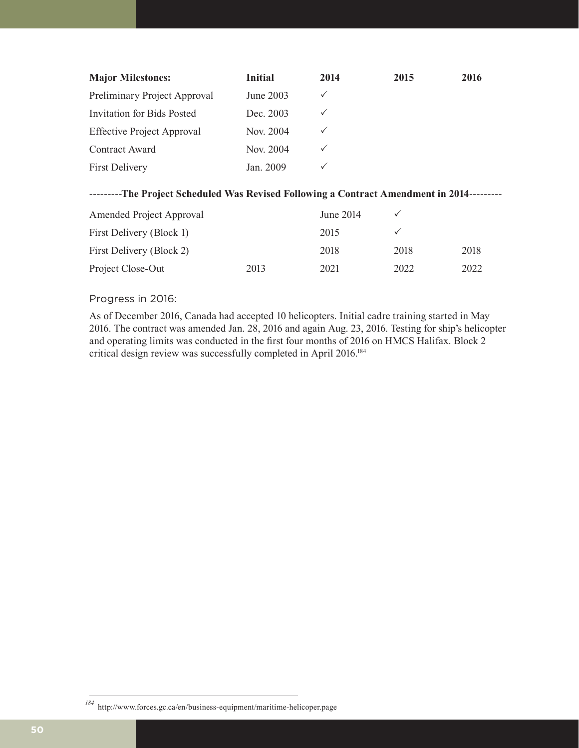| <b>Major Milestones:</b>          | <b>Initial</b> | 2014         | 2015 | 2016 |
|-----------------------------------|----------------|--------------|------|------|
| Preliminary Project Approval      | June 2003      | ✓            |      |      |
| Invitation for Bids Posted        | Dec. 2003      | $\checkmark$ |      |      |
| <b>Effective Project Approval</b> | Nov. 2004      | $\checkmark$ |      |      |
| Contract Award                    | Nov. 2004      |              |      |      |
| <b>First Delivery</b>             | Jan. 2009      |              |      |      |

#### ---------**The Project Scheduled Was Revised Following a Contract Amendment in 2014**---------

| Amended Project Approval |      | June 2014 |      |      |
|--------------------------|------|-----------|------|------|
| First Delivery (Block 1) |      | 2015      |      |      |
| First Delivery (Block 2) |      | 2018      | 2018 | 2018 |
| Project Close-Out        | 2013 | 2021      | 2022 | 2022 |

#### Progress in 2016:

As of December 2016, Canada had accepted 10 helicopters. Initial cadre training started in May 2016. The contract was amended Jan. 28, 2016 and again Aug. 23, 2016. Testing for ship's helicopter and operating limits was conducted in the first four months of 2016 on HMCS Halifax. Block 2 critical design review was successfully completed in April 2016.184

*<sup>184</sup>* http://www.forces.gc.ca/en/business-equipment/maritime-helicoper.page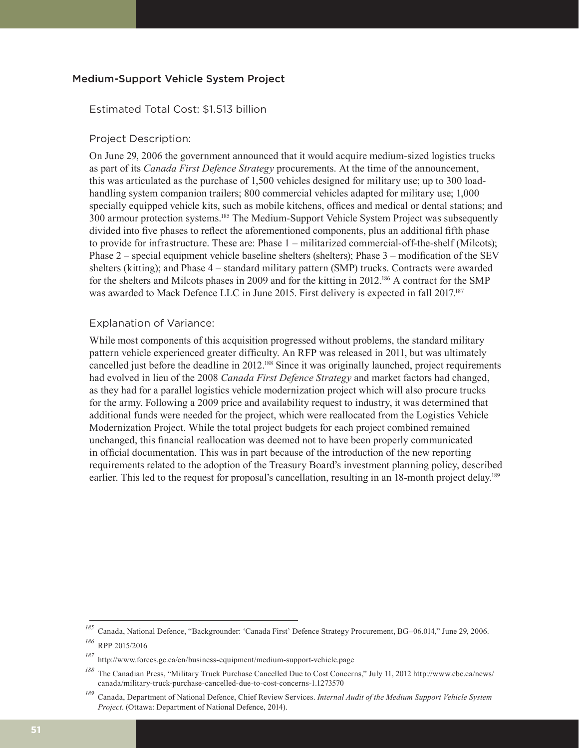#### Medium-Support Vehicle System Project

#### Estimated Total Cost: \$1.513 billion

#### Project Description:

On June 29, 2006 the government announced that it would acquire medium-sized logistics trucks as part of its *Canada First Defence Strategy* procurements. At the time of the announcement, this was articulated as the purchase of 1,500 vehicles designed for military use; up to 300 loadhandling system companion trailers; 800 commercial vehicles adapted for military use; 1,000 specially equipped vehicle kits, such as mobile kitchens, offices and medical or dental stations; and 300 armour protection systems.185 The Medium-Support Vehicle System Project was subsequently divided into five phases to reflect the aforementioned components, plus an additional fifth phase to provide for infrastructure. These are: Phase 1 – militarized commercial-off-the-shelf (Milcots); Phase 2 – special equipment vehicle baseline shelters (shelters); Phase 3 – modification of the SEV shelters (kitting); and Phase 4 – standard military pattern (SMP) trucks. Contracts were awarded for the shelters and Milcots phases in 2009 and for the kitting in 2012.<sup>186</sup> A contract for the SMP was awarded to Mack Defence LLC in June 2015. First delivery is expected in fall 2017.<sup>187</sup>

#### Explanation of Variance:

While most components of this acquisition progressed without problems, the standard military pattern vehicle experienced greater difficulty. An RFP was released in 2011, but was ultimately cancelled just before the deadline in 2012.188 Since it was originally launched, project requirements had evolved in lieu of the 2008 *Canada First Defence Strategy* and market factors had changed, as they had for a parallel logistics vehicle modernization project which will also procure trucks for the army. Following a 2009 price and availability request to industry, it was determined that additional funds were needed for the project, which were reallocated from the Logistics Vehicle Modernization Project. While the total project budgets for each project combined remained unchanged, this financial reallocation was deemed not to have been properly communicated in official documentation. This was in part because of the introduction of the new reporting requirements related to the adoption of the Treasury Board's investment planning policy, described earlier. This led to the request for proposal's cancellation, resulting in an 18-month project delay.<sup>189</sup>

*<sup>185</sup>* Canada, National Defence, "Backgrounder: 'Canada First' Defence Strategy Procurement, BG–06.014," June 29, 2006.

*<sup>186</sup>* RPP 2015/2016

*<sup>187</sup>* http://www.forces.gc.ca/en/business-equipment/medium-support-vehicle.page

*<sup>188</sup>* The Canadian Press, "Military Truck Purchase Cancelled Due to Cost Concerns," July 11, 2012 http://www.cbc.ca/news/ canada/military-truck-purchase-cancelled-due-to-cost-concerns-1.1273570

*<sup>189</sup>* Canada, Department of National Defence, Chief Review Services. *Internal Audit of the Medium Support Vehicle System Project*. (Ottawa: Department of National Defence, 2014).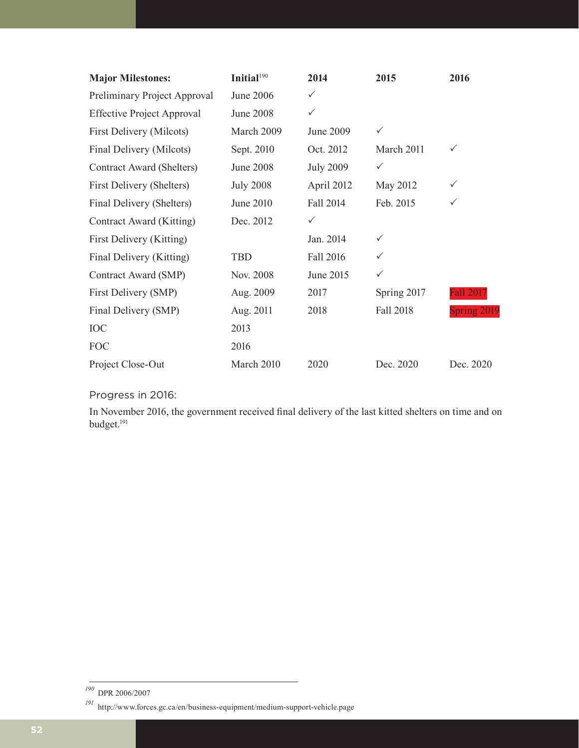| <b>Major Milestones:</b>          | Initial <sup>190</sup> | 2014             | 2015             | 2016               |
|-----------------------------------|------------------------|------------------|------------------|--------------------|
| Preliminary Project Approval      | June 2006              | $\checkmark$     |                  |                    |
| <b>Effective Project Approval</b> | <b>June 2008</b>       | $\checkmark$     |                  |                    |
| First Delivery (Milcots)          | March 2009             | June 2009        | $\checkmark$     |                    |
| Final Delivery (Milcots)          | Sept. 2010             | Oct. 2012        | March 2011       | $\checkmark$       |
| Contract Award (Shelters)         | <b>June 2008</b>       | <b>July 2009</b> | $\checkmark$     |                    |
| First Delivery (Shelters)         | <b>July 2008</b>       | April 2012       | May 2012         | $\checkmark$       |
| Final Delivery (Shelters)         | June 2010              | Fall 2014        | Feb. 2015        | ✓                  |
| Contract Award (Kitting)          | Dec. 2012              | $\checkmark$     |                  |                    |
| First Delivery (Kitting)          |                        | Jan. 2014        | $\checkmark$     |                    |
| Final Delivery (Kitting)          | <b>TBD</b>             | Fall 2016        | ✓                |                    |
| Contract Award (SMP)              | Nov. 2008              | June 2015        | $\checkmark$     |                    |
| First Delivery (SMP)              | Aug. 2009              | 2017             | Spring 2017      | <b>Fall 2017</b>   |
| Final Delivery (SMP)              | Aug. 2011              | 2018             | <b>Fall 2018</b> | <b>Spring 2019</b> |
| <b>IOC</b>                        | 2013                   |                  |                  |                    |
| <b>FOC</b>                        | 2016                   |                  |                  |                    |
| Project Close-Out                 | March 2010             | 2020             | Dec. 2020        | Dec. 2020          |

### Progress in 2016:

In November 2016, the government received final delivery of the last kitted shelters on time and on budget.191

*<sup>190</sup>* DPR 2006/2007

*<sup>191</sup>* http://www.forces.gc.ca/en/business-equipment/medium-support-vehicle.page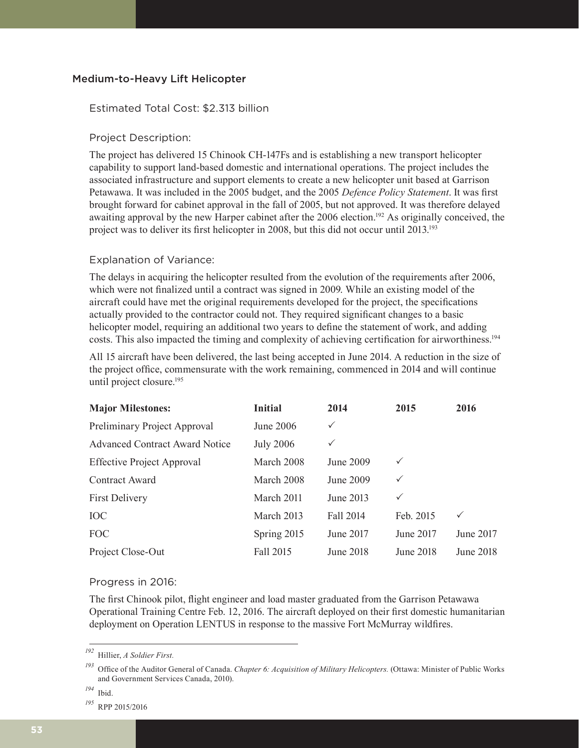#### Medium-to-Heavy Lift Helicopter

#### Estimated Total Cost: \$2.313 billion

#### Project Description:

The project has delivered 15 Chinook CH-147Fs and is establishing a new transport helicopter capability to support land-based domestic and international operations. The project includes the associated infrastructure and support elements to create a new helicopter unit based at Garrison Petawawa. It was included in the 2005 budget, and the 2005 *Defence Policy Statement*. It was first brought forward for cabinet approval in the fall of 2005, but not approved. It was therefore delayed awaiting approval by the new Harper cabinet after the 2006 election.<sup>192</sup> As originally conceived, the project was to deliver its first helicopter in 2008, but this did not occur until 2013.<sup>193</sup>

#### Explanation of Variance:

The delays in acquiring the helicopter resulted from the evolution of the requirements after 2006, which were not finalized until a contract was signed in 2009. While an existing model of the aircraft could have met the original requirements developed for the project, the specifications actually provided to the contractor could not. They required significant changes to a basic helicopter model, requiring an additional two years to define the statement of work, and adding costs. This also impacted the timing and complexity of achieving certification for airworthiness.<sup>194</sup>

All 15 aircraft have been delivered, the last being accepted in June 2014. A reduction in the size of the project office, commensurate with the work remaining, commenced in 2014 and will continue until project closure.195

| <b>Major Milestones:</b>              | <b>Initial</b>   | 2014         | 2015         | 2016             |
|---------------------------------------|------------------|--------------|--------------|------------------|
| Preliminary Project Approval          | June 2006        | $\checkmark$ |              |                  |
| <b>Advanced Contract Award Notice</b> | <b>July 2006</b> | $\checkmark$ |              |                  |
| <b>Effective Project Approval</b>     | March 2008       | June 2009    | $\checkmark$ |                  |
| Contract Award                        | March 2008       | June 2009    | $\checkmark$ |                  |
| <b>First Delivery</b>                 | March 2011       | June 2013    | ✓            |                  |
| <b>IOC</b>                            | March 2013       | Fall 2014    | Feb. 2015    | $\checkmark$     |
| FOC                                   | Spring 2015      | June 2017    | June 2017    | June 2017        |
| Project Close-Out                     | Fall 2015        | June 2018    | June 2018    | <b>June 2018</b> |

#### Progress in 2016:

The first Chinook pilot, flight engineer and load master graduated from the Garrison Petawawa Operational Training Centre Feb. 12, 2016. The aircraft deployed on their first domestic humanitarian deployment on Operation LENTUS in response to the massive Fort McMurray wildfires.

*<sup>192</sup>* Hillier, *A Soldier First.*

*<sup>193</sup>* Office of the Auditor General of Canada. *Chapter 6: Acquisition of Military Helicopters.* (Ottawa: Minister of Public Works and Government Services Canada, 2010).

*<sup>194</sup>* Ibid.

*<sup>195</sup>* RPP 2015/2016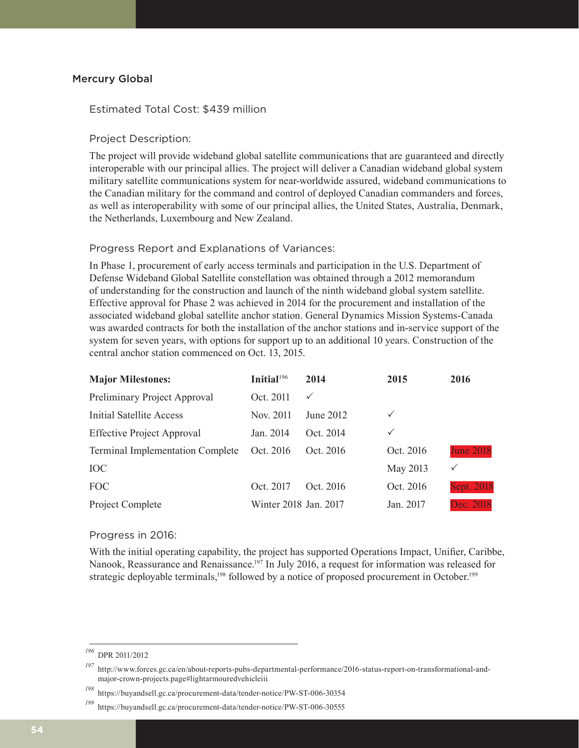#### Mercury Global

#### Estimated Total Cost: \$439 million

#### Project Description:

The project will provide wideband global satellite communications that are guaranteed and directly interoperable with our principal allies. The project will deliver a Canadian wideband global system military satellite communications system for near-worldwide assured, wideband communications to the Canadian military for the command and control of deployed Canadian commanders and forces, as well as interoperability with some of our principal allies, the United States, Australia, Denmark, the Netherlands, Luxembourg and New Zealand.

#### Progress Report and Explanations of Variances:

In Phase 1, procurement of early access terminals and participation in the U.S. Department of Defense Wideband Global Satellite constellation was obtained through a 2012 memorandum of understanding for the construction and launch of the ninth wideband global system satellite. Effective approval for Phase 2 was achieved in 2014 for the procurement and installation of the associated wideband global satellite anchor station. General Dynamics Mission Systems-Canada was awarded contracts for both the installation of the anchor stations and in-service support of the system for seven years, with options for support up to an additional 10 years. Construction of the central anchor station commenced on Oct. 13, 2015.

| <b>Major Milestones:</b>                | Initial <sup>196</sup> | 2014         | 2015         | 2016              |
|-----------------------------------------|------------------------|--------------|--------------|-------------------|
| Preliminary Project Approval            | Oct. 2011              | $\checkmark$ |              |                   |
| <b>Initial Satellite Access</b>         | Nov. 2011              | June 2012    | $\checkmark$ |                   |
| <b>Effective Project Approval</b>       | Jan. 2014              | Oct. 2014    | $\checkmark$ |                   |
| <b>Terminal Implementation Complete</b> | Oct. 2016              | Oct. 2016    | Oct. 2016    | <b>June 2018</b>  |
| <b>IOC</b>                              |                        |              | May 2013     | ✓                 |
| <b>FOC</b>                              | Oct. 2017              | Oct. 2016    | Oct. 2016    | <b>Sept. 2018</b> |
| Project Complete                        | Winter 2018 Jan. 2017  |              | Jan. 2017    | Dec. 2018         |

#### Progress in 2016:

With the initial operating capability, the project has supported Operations Impact, Unifier, Caribbe, Nanook, Reassurance and Renaissance.<sup>197</sup> In July 2016, a request for information was released for strategic deployable terminals,<sup>198</sup> followed by a notice of proposed procurement in October.<sup>199</sup>

*<sup>196</sup>* DPR 2011/2012

*<sup>197</sup>* http://www.forces.gc.ca/en/about-reports-pubs-departmental-performance/2016-status-report-on-transformational-andmajor-crown-projects.page#lightarmouredvehicleiii

*<sup>198</sup>* https://buyandsell.gc.ca/procurement-data/tender-notice/PW-ST-006-30354

*<sup>199</sup>* https://buyandsell.gc.ca/procurement-data/tender-notice/PW-ST-006-30555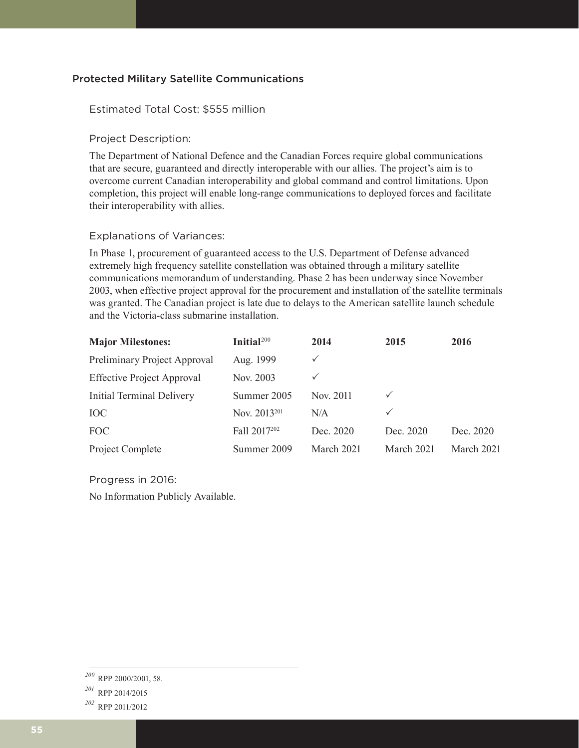#### Protected Military Satellite Communications

#### Estimated Total Cost: \$555 million

#### Project Description:

The Department of National Defence and the Canadian Forces require global communications that are secure, guaranteed and directly interoperable with our allies. The project's aim is to overcome current Canadian interoperability and global command and control limitations. Upon completion, this project will enable long-range communications to deployed forces and facilitate their interoperability with allies.

#### Explanations of Variances:

In Phase 1, procurement of guaranteed access to the U.S. Department of Defense advanced extremely high frequency satellite constellation was obtained through a military satellite communications memorandum of understanding. Phase 2 has been underway since November 2003, when effective project approval for the procurement and installation of the satellite terminals was granted. The Canadian project is late due to delays to the American satellite launch schedule and the Victoria-class submarine installation.

| <b>Major Milestones:</b>          | Initial <sup>200</sup>   | 2014         | 2015         | 2016       |
|-----------------------------------|--------------------------|--------------|--------------|------------|
| Preliminary Project Approval      | Aug. 1999                |              |              |            |
| <b>Effective Project Approval</b> | Nov. 2003                | $\checkmark$ |              |            |
| Initial Terminal Delivery         | Summer 2005              | Nov. 2011    | $\checkmark$ |            |
| <b>IOC</b>                        | Nov. 2013 <sup>201</sup> | N/A          | ✓            |            |
| FOC                               | Fall 2017202             | Dec. 2020    | Dec. 2020    | Dec. 2020  |
| Project Complete                  | Summer 2009              | March 2021   | March 2021   | March 2021 |

Progress in 2016:

No Information Publicly Available.

*<sup>200</sup>* RPP 2000/2001, 58.

*<sup>201</sup>* RPP 2014/2015

*<sup>202</sup>* RPP 2011/2012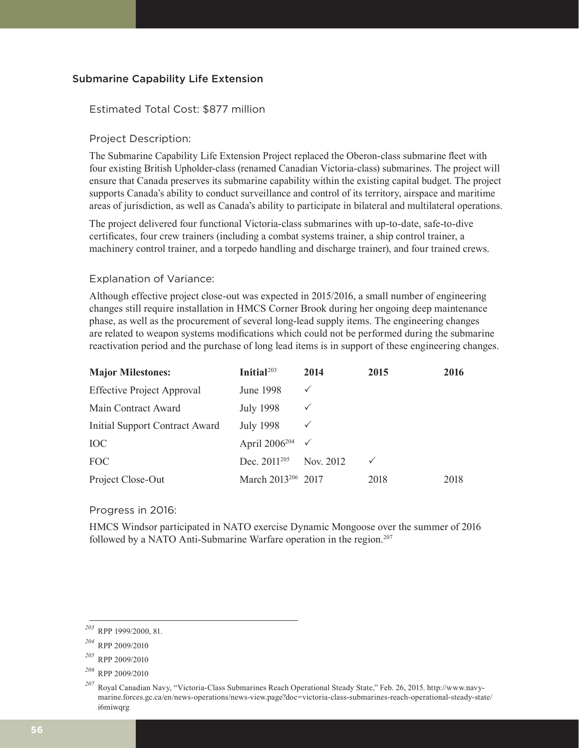#### Submarine Capability Life Extension

#### Estimated Total Cost: \$877 million

#### Project Description:

The Submarine Capability Life Extension Project replaced the Oberon-class submarine fleet with four existing British Upholder-class (renamed Canadian Victoria-class) submarines. The project will ensure that Canada preserves its submarine capability within the existing capital budget. The project supports Canada's ability to conduct surveillance and control of its territory, airspace and maritime areas of jurisdiction, as well as Canada's ability to participate in bilateral and multilateral operations.

The project delivered four functional Victoria-class submarines with up-to-date, safe-to-dive certificates, four crew trainers (including a combat systems trainer, a ship control trainer, a machinery control trainer, and a torpedo handling and discharge trainer), and four trained crews.

#### Explanation of Variance:

Although effective project close-out was expected in 2015/2016, a small number of engineering changes still require installation in HMCS Corner Brook during her ongoing deep maintenance phase, as well as the procurement of several long-lead supply items. The engineering changes are related to weapon systems modifications which could not be performed during the submarine reactivation period and the purchase of long lead items is in support of these engineering changes.

| <b>Major Milestones:</b>          | Initial $203$                          | 2014         | 2015 | 2016 |
|-----------------------------------|----------------------------------------|--------------|------|------|
| <b>Effective Project Approval</b> | June 1998                              | $\checkmark$ |      |      |
| Main Contract Award               | <b>July 1998</b>                       | $\checkmark$ |      |      |
| Initial Support Contract Award    | <b>July 1998</b>                       | $\checkmark$ |      |      |
| <b>IOC</b>                        | April 2006 <sup>204</sup> $\checkmark$ |              |      |      |
| <b>FOC</b>                        | Dec. $2011^{205}$                      | Nov. 2012    | ✓    |      |
| Project Close-Out                 | March 2013 <sup>206</sup> 2017         |              | 2018 | 2018 |

Progress in 2016:

HMCS Windsor participated in NATO exercise Dynamic Mongoose over the summer of 2016 followed by a NATO Anti-Submarine Warfare operation in the region.<sup>207</sup>

*<sup>203</sup>* RPP 1999/2000, 81.

*<sup>204</sup>* RPP 2009/2010

*<sup>205</sup>* RPP 2009/2010

*<sup>206</sup>* RPP 2009/2010

*<sup>207</sup>* Royal Canadian Navy, "Victoria-Class Submarines Reach Operational Steady State," Feb. 26, 2015. http://www.navymarine.forces.gc.ca/en/news-operations/news-view.page?doc=victoria-class-submarines-reach-operational-steady-state/ i6miwqrg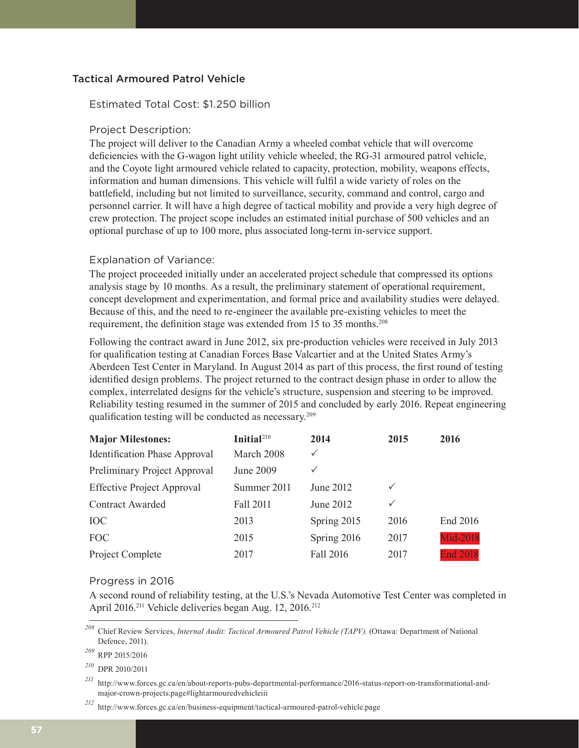#### Tactical Armoured Patrol Vehicle

#### Estimated Total Cost: \$1.250 billion

#### Project Description:

The project will deliver to the Canadian Army a wheeled combat vehicle that will overcome deficiencies with the G-wagon light utility vehicle wheeled, the RG-31 armoured patrol vehicle, and the Coyote light armoured vehicle related to capacity, protection, mobility, weapons effects, information and human dimensions. This vehicle will fulfil a wide variety of roles on the battlefield, including but not limited to surveillance, security, command and control, cargo and personnel carrier. It will have a high degree of tactical mobility and provide a very high degree of crew protection. The project scope includes an estimated initial purchase of 500 vehicles and an optional purchase of up to 100 more, plus associated long-term in-service support.

#### Explanation of Variance:

The project proceeded initially under an accelerated project schedule that compressed its options analysis stage by 10 months. As a result, the preliminary statement of operational requirement, concept development and experimentation, and formal price and availability studies were delayed. Because of this, and the need to re-engineer the available pre-existing vehicles to meet the requirement, the definition stage was extended from 15 to 35 months.<sup>208</sup>

Following the contract award in June 2012, six pre-production vehicles were received in July 2013 for qualification testing at Canadian Forces Base Valcartier and at the United States Army's Aberdeen Test Center in Maryland. In August 2014 as part of this process, the first round of testing identified design problems. The project returned to the contract design phase in order to allow the complex, interrelated designs for the vehicle's structure, suspension and steering to be improved. Reliability testing resumed in the summer of 2015 and concluded by early 2016. Repeat engineering qualification testing will be conducted as necessary.<sup>209</sup>

| <b>Major Milestones:</b>             | Initial $210$ | 2014         | 2015         | 2016            |
|--------------------------------------|---------------|--------------|--------------|-----------------|
| <b>Identification Phase Approval</b> | March 2008    | $\checkmark$ |              |                 |
| Preliminary Project Approval         | June 2009     | $\checkmark$ |              |                 |
| <b>Effective Project Approval</b>    | Summer 2011   | June 2012    | $\checkmark$ |                 |
| <b>Contract Awarded</b>              | Fall 2011     | June 2012    | $\checkmark$ |                 |
| <b>IOC</b>                           | 2013          | Spring 2015  | 2016         | End 2016        |
| <b>FOC</b>                           | 2015          | Spring 2016  | 2017         | <b>Mid-2018</b> |
| Project Complete                     | 2017          | Fall 2016    | 2017         | <b>End 2018</b> |

#### Progress in 2016

A second round of reliability testing, at the U.S.'s Nevada Automotive Test Center was completed in April 2016.<sup>211</sup> Vehicle deliveries began Aug. 12, 2016.<sup>212</sup>

*<sup>208</sup>* Chief Review Services, *Internal Audit: Tactical Armoured Patrol Vehicle (TAPV).* (Ottawa: Department of National Defence, 2011).

*<sup>209</sup>* RPP 2015/2016

*<sup>210</sup>* DPR 2010/2011

*<sup>211</sup>* http://www.forces.gc.ca/en/about-reports-pubs-departmental-performance/2016-status-report-on-transformational-andmajor-crown-projects.page#lightarmouredvehicleiii

*<sup>212</sup>* http://www.forces.gc.ca/en/business-equipment/tactical-armoured-patrol-vehicle.page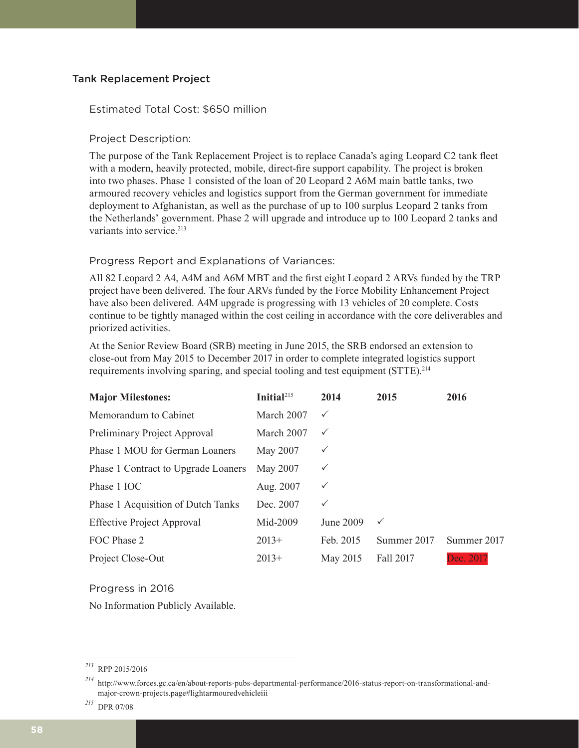#### Tank Replacement Project

#### Estimated Total Cost: \$650 million

#### Project Description:

The purpose of the Tank Replacement Project is to replace Canada's aging Leopard C2 tank fleet with a modern, heavily protected, mobile, direct-fire support capability. The project is broken into two phases. Phase 1 consisted of the loan of 20 Leopard 2 A6M main battle tanks, two armoured recovery vehicles and logistics support from the German government for immediate deployment to Afghanistan, as well as the purchase of up to 100 surplus Leopard 2 tanks from the Netherlands' government. Phase 2 will upgrade and introduce up to 100 Leopard 2 tanks and variants into service.<sup>213</sup>

#### Progress Report and Explanations of Variances:

All 82 Leopard 2 A4, A4M and A6M MBT and the first eight Leopard 2 ARVs funded by the TRP project have been delivered. The four ARVs funded by the Force Mobility Enhancement Project have also been delivered. A4M upgrade is progressing with 13 vehicles of 20 complete. Costs continue to be tightly managed within the cost ceiling in accordance with the core deliverables and priorized activities.

At the Senior Review Board (SRB) meeting in June 2015, the SRB endorsed an extension to close-out from May 2015 to December 2017 in order to complete integrated logistics support requirements involving sparing, and special tooling and test equipment (STTE).214

| <b>Major Milestones:</b>            | Initial $^{215}$ | 2014         | 2015         | 2016        |
|-------------------------------------|------------------|--------------|--------------|-------------|
| Memorandum to Cabinet               | March 2007       | $\checkmark$ |              |             |
| Preliminary Project Approval        | March 2007       | $\checkmark$ |              |             |
| Phase 1 MOU for German Loaners      | May 2007         | $\checkmark$ |              |             |
| Phase 1 Contract to Upgrade Loaners | May 2007         | $\checkmark$ |              |             |
| Phase 1 IOC                         | Aug. 2007        | $\checkmark$ |              |             |
| Phase 1 Acquisition of Dutch Tanks  | Dec. 2007        | $\checkmark$ |              |             |
| <b>Effective Project Approval</b>   | Mid-2009         | June 2009    | $\checkmark$ |             |
| FOC Phase 2                         | $2013+$          | Feb. 2015    | Summer 2017  | Summer 2017 |
| Project Close-Out                   | $2013+$          | May 2015     | Fall 2017    | Dec. 2017   |

Progress in 2016

No Information Publicly Available.

*<sup>213</sup>* RPP 2015/2016

*<sup>214</sup>* http://www.forces.gc.ca/en/about-reports-pubs-departmental-performance/2016-status-report-on-transformational-andmajor-crown-projects.page#lightarmouredvehicleiii

*<sup>215</sup>* DPR 07/08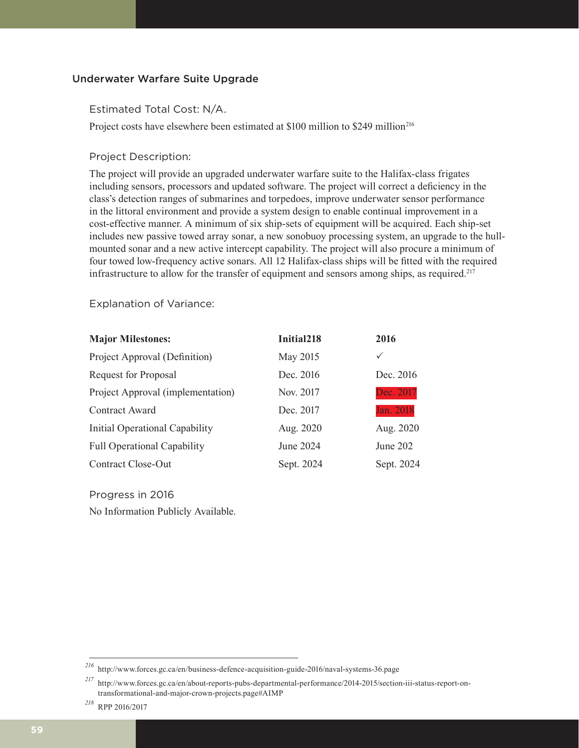#### Underwater Warfare Suite Upgrade

Estimated Total Cost: N/A.

Project costs have elsewhere been estimated at \$100 million to \$249 million<sup>216</sup>

#### Project Description:

The project will provide an upgraded underwater warfare suite to the Halifax-class frigates including sensors, processors and updated software. The project will correct a deficiency in the class's detection ranges of submarines and torpedoes, improve underwater sensor performance in the littoral environment and provide a system design to enable continual improvement in a cost-effective manner. A minimum of six ship-sets of equipment will be acquired. Each ship-set includes new passive towed array sonar, a new sonobuoy processing system, an upgrade to the hullmounted sonar and a new active intercept capability. The project will also procure a minimum of four towed low-frequency active sonars. All 12 Halifax-class ships will be fitted with the required infrastructure to allow for the transfer of equipment and sensors among ships, as required.<sup>217</sup>

Explanation of Variance:

| <b>Major Milestones:</b>           | Initial <sub>218</sub> | 2016       |
|------------------------------------|------------------------|------------|
| Project Approval (Definition)      | May 2015               | ✓          |
| <b>Request for Proposal</b>        | Dec. 2016              | Dec. 2016  |
| Project Approval (implementation)  | Nov. 2017              | Dec. 2017  |
| Contract Award                     | Dec. 2017              | Jan. 2018  |
| Initial Operational Capability     | Aug. 2020              | Aug. 2020  |
| <b>Full Operational Capability</b> | June 2024              | June 202   |
| Contract Close-Out                 | Sept. 2024             | Sept. 2024 |

Progress in 2016 No Information Publicly Available.

*<sup>216</sup>* http://www.forces.gc.ca/en/business-defence-acquisition-guide-2016/naval-systems-36.page

*<sup>217</sup>* http://www.forces.gc.ca/en/about-reports-pubs-departmental-performance/2014-2015/section-iii-status-report-ontransformational-and-major-crown-projects.page#AIMP

*<sup>218</sup>* RPP 2016/2017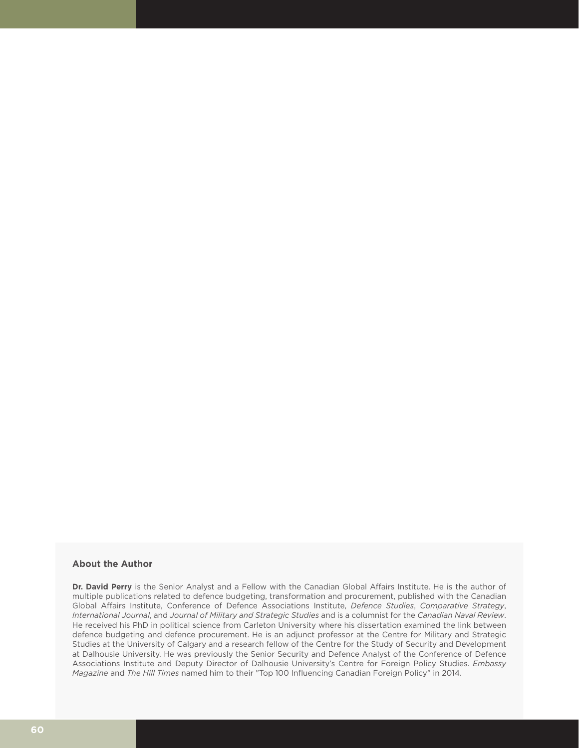#### **About the Author**

**Dr. David Perry** is the Senior Analyst and a Fellow with the Canadian Global Affairs Institute. He is the author of multiple publications related to defence budgeting, transformation and procurement, published with the Canadian Global Affairs Institute, Conference of Defence Associations Institute, *Defence Studies*, *Comparative Strategy*, *International Journal*, and *Journal of Military and Strategic Studies* and is a columnist for the *Canadian Naval Review*. He received his PhD in political science from Carleton University where his dissertation examined the link between defence budgeting and defence procurement. He is an adjunct professor at the Centre for Military and Strategic Studies at the University of Calgary and a research fellow of the Centre for the Study of Security and Development at Dalhousie University. He was previously the Senior Security and Defence Analyst of the Conference of Defence Associations Institute and Deputy Director of Dalhousie University's Centre for Foreign Policy Studies. *Embassy Magazine* and *The Hill Times* named him to their "Top 100 Influencing Canadian Foreign Policy" in 2014.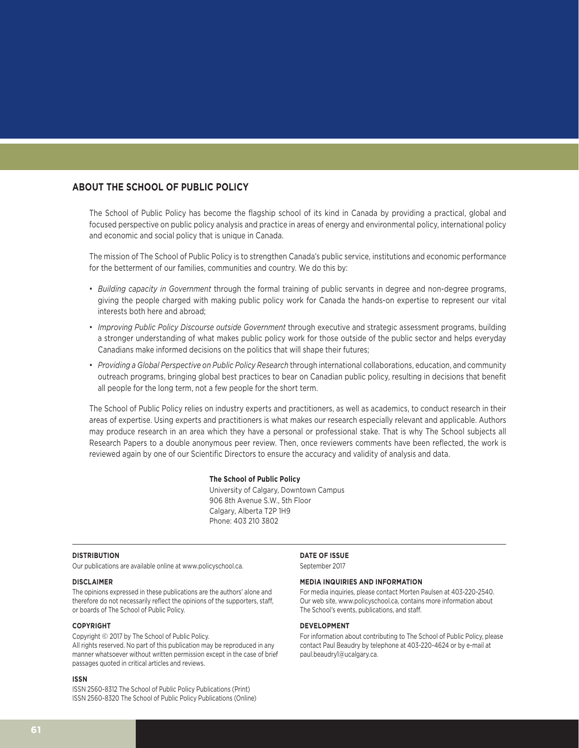#### **ABOUT THE SCHOOL OF PUBLIC POLICY**

The School of Public Policy has become the flagship school of its kind in Canada by providing a practical, global and focused perspective on public policy analysis and practice in areas of energy and environmental policy, international policy and economic and social policy that is unique in Canada.

The mission of The School of Public Policy is to strengthen Canada's public service, institutions and economic performance for the betterment of our families, communities and country. We do this by:

- *Building capacity in Government* through the formal training of public servants in degree and non-degree programs, giving the people charged with making public policy work for Canada the hands-on expertise to represent our vital interests both here and abroad;
- *Improving Public Policy Discourse outside Government* through executive and strategic assessment programs, building a stronger understanding of what makes public policy work for those outside of the public sector and helps everyday Canadians make informed decisions on the politics that will shape their futures;
- *Providing a Global Perspective on Public Policy Research* through international collaborations, education, and community outreach programs, bringing global best practices to bear on Canadian public policy, resulting in decisions that benefit all people for the long term, not a few people for the short term.

The School of Public Policy relies on industry experts and practitioners, as well as academics, to conduct research in their areas of expertise. Using experts and practitioners is what makes our research especially relevant and applicable. Authors may produce research in an area which they have a personal or professional stake. That is why The School subjects all Research Papers to a double anonymous peer review. Then, once reviewers comments have been reflected, the work is reviewed again by one of our Scientific Directors to ensure the accuracy and validity of analysis and data.

#### **The School of Public Policy**

University of Calgary, Downtown Campus 906 8th Avenue S.W., 5th Floor Calgary, Alberta T2P 1H9 Phone: 403 210 3802

#### **DISTRIBUTION**

Our publications are available online at www.policyschool.ca.

#### **DISCLAIMER**

The opinions expressed in these publications are the authors' alone and therefore do not necessarily reflect the opinions of the supporters, staff, or boards of The School of Public Policy.

#### **COPYRIGHT**

Copyright © 2017 by The School of Public Policy. All rights reserved. No part of this publication may be reproduced in any manner whatsoever without written permission except in the case of brief passages quoted in critical articles and reviews.

#### **ISSN**

ISSN 2560-8312 The School of Public Policy Publications (Print) ISSN 2560-8320 The School of Public Policy Publications (Online)

#### **DATE OF ISSUE**

September 2017

#### **MEDIA INQUIRIES AND INFORMATION**

For media inquiries, please contact Morten Paulsen at 403-220-2540. Our web site, www.policyschool.ca, contains more information about The School's events, publications, and staff.

#### **DEVELOPMENT**

For information about contributing to The School of Public Policy, please contact Paul Beaudry by telephone at 403-220-4624 or by e-mail at paul.beaudry1@ucalgary.ca.